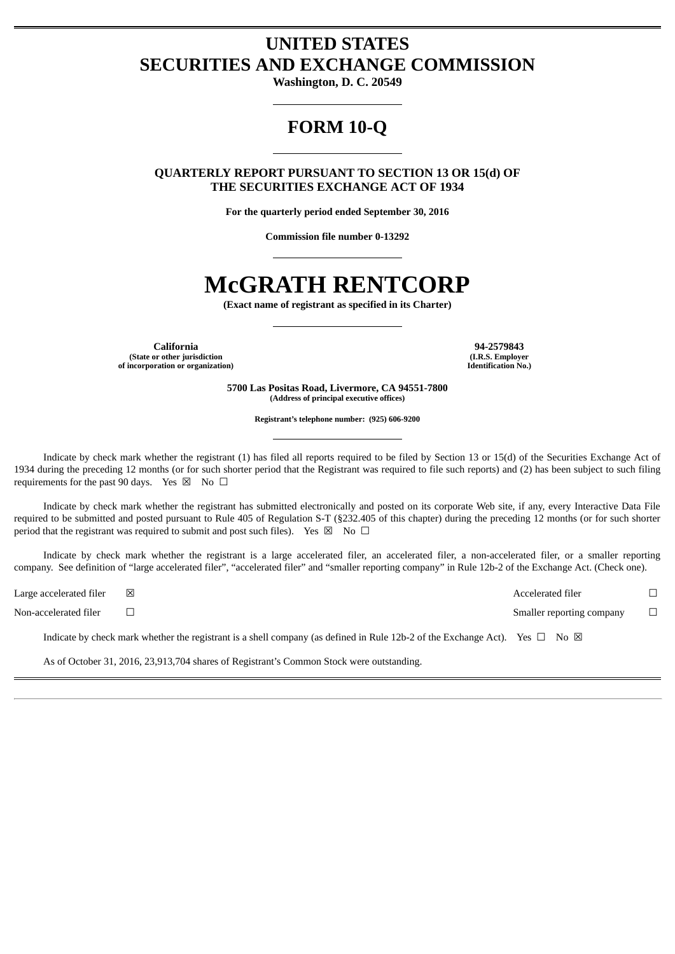# **UNITED STATES SECURITIES AND EXCHANGE COMMISSION**

**Washington, D. C. 20549**

# **FORM 10-Q**

**QUARTERLY REPORT PURSUANT TO SECTION 13 OR 15(d) OF THE SECURITIES EXCHANGE ACT OF 1934**

**For the quarterly period ended September 30, 2016**

**Commission file number 0-13292**

# **McGRATH RENTCORP**

**(Exact name of registrant as specified in its Charter)**

**California 94-2579843 (State or other jurisdiction of incorporation or organization)**

**(I.R.S. Employer Identification No.)**

**5700 Las Positas Road, Livermore, CA 94551-7800 (Address of principal executive offices)**

**Registrant's telephone number: (925) 606-9200**

Indicate by check mark whether the registrant (1) has filed all reports required to be filed by Section 13 or 15(d) of the Securities Exchange Act of 1934 during the preceding 12 months (or for such shorter period that the Registrant was required to file such reports) and (2) has been subject to such filing requirements for the past 90 days. Yes  $\boxtimes$  No  $\Box$ 

Indicate by check mark whether the registrant has submitted electronically and posted on its corporate Web site, if any, every Interactive Data File required to be submitted and posted pursuant to Rule 405 of Regulation S-T (§232.405 of this chapter) during the preceding 12 months (or for such shorter period that the registrant was required to submit and post such files). Yes  $\boxtimes$  No  $\Box$ 

Indicate by check mark whether the registrant is a large accelerated filer, an accelerated filer, a non-accelerated filer, or a smaller reporting company. See definition of "large accelerated filer", "accelerated filer" and "smaller reporting company" in Rule 12b-2 of the Exchange Act. (Check one).

Large accelerated filer ☒ Accelerated filer ☐

Non-accelerated filer <del>□</del> □

Indicate by check mark whether the registrant is a shell company (as defined in Rule 12b-2 of the Exchange Act). Yes  $\Box$  No  $\boxtimes$ 

As of October 31, 2016, 23,913,704 shares of Registrant's Common Stock were outstanding.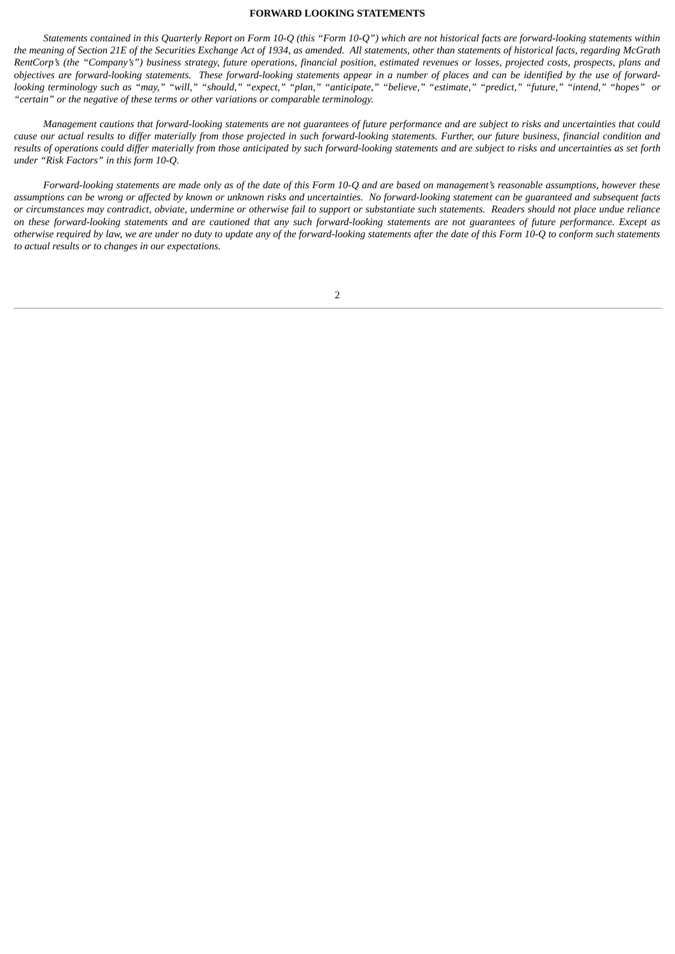#### **FORWARD LOOKING STATEMENTS**

Statements contained in this Quarterly Report on Form 10-Q (this "Form 10-Q") which are not historical facts are forward-looking statements within the meaning of Section 21E of the Securities Exchange Act of 1934, as amended. All statements, other than statements of historical facts, regarding McGrath RentCorp's (the "Company's") business strategy, future operations, financial position, estimated revenues or losses, projected costs, prospects, plans and objectives are forward-looking statements. These forward-looking statements appear in a number of places and can be identified by the use of forwardlooking terminology such as "may," "will," "should," "expect," "plan," "anticipate," "believe," "estimate," "predict," "future," "intend," "hopes" or *"certain" or the negative of these terms or other variations or comparable terminology.*

Management cautions that forward-looking statements are not quarantees of future performance and are subject to risks and uncertainties that could cause our actual results to differ materially from those projected in such forward-looking statements. Further, our future business, financial condition and results of operations could differ materially from those anticipated by such forward-looking statements and are subject to risks and uncertainties as set forth *under "Risk Factors" in this form 10-Q.*

Forward-looking statements are made only as of the date of this Form 10-O and are based on management's reasonable assumptions, however these assumptions can be wrona or affected by known or unknown risks and uncertainties. No forward-looking statement can be augranteed and subsequent facts or circumstances may contradict, obviate, undermine or otherwise fail to support or substantiate such statements. Readers should not place undue reliance on these forward-looking statements and are cautioned that any such forward-looking statements are not guarantees of future performance. Except as otherwise required by law, we are under no duty to update any of the forward-looking statements after the date of this Form 10-Q to conform such statements *to actual results or to changes in our expectations.*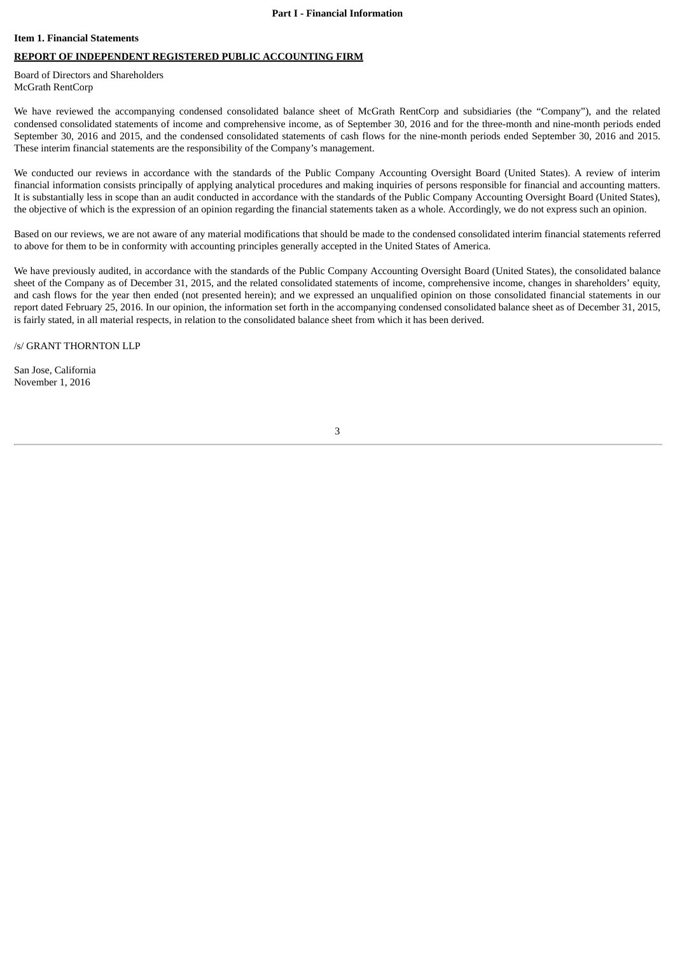### **Item 1. Financial Statements**

# **REPORT OF INDEPENDENT REGISTERED PUBLIC ACCOUNTING FIRM**

Board of Directors and Shareholders McGrath RentCorp

We have reviewed the accompanying condensed consolidated balance sheet of McGrath RentCorp and subsidiaries (the "Company"), and the related condensed consolidated statements of income and comprehensive income, as of September 30, 2016 and for the three-month and nine-month periods ended September 30, 2016 and 2015, and the condensed consolidated statements of cash flows for the nine-month periods ended September 30, 2016 and 2015. These interim financial statements are the responsibility of the Company's management.

We conducted our reviews in accordance with the standards of the Public Company Accounting Oversight Board (United States). A review of interim financial information consists principally of applying analytical procedures and making inquiries of persons responsible for financial and accounting matters. It is substantially less in scope than an audit conducted in accordance with the standards of the Public Company Accounting Oversight Board (United States), the objective of which is the expression of an opinion regarding the financial statements taken as a whole. Accordingly, we do not express such an opinion.

Based on our reviews, we are not aware of any material modifications that should be made to the condensed consolidated interim financial statements referred to above for them to be in conformity with accounting principles generally accepted in the United States of America.

We have previously audited, in accordance with the standards of the Public Company Accounting Oversight Board (United States), the consolidated balance sheet of the Company as of December 31, 2015, and the related consolidated statements of income, comprehensive income, changes in shareholders' equity, and cash flows for the year then ended (not presented herein); and we expressed an unqualified opinion on those consolidated financial statements in our report dated February 25, 2016. In our opinion, the information set forth in the accompanying condensed consolidated balance sheet as of December 31, 2015, is fairly stated, in all material respects, in relation to the consolidated balance sheet from which it has been derived.

/s/ GRANT THORNTON LLP

San Jose, California November 1, 2016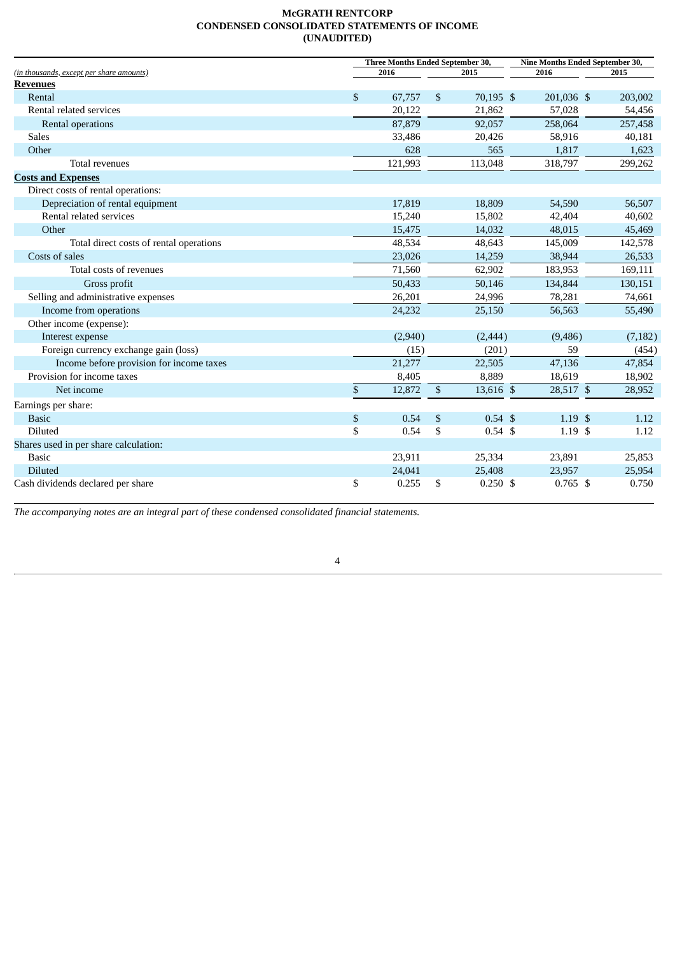# **McGRATH RENTCORP CONDENSED CONSOLIDATED STATEMENTS OF INCOME (UNAUDITED)**

|                                          | Three Months Ended September 30, |                           | Nine Months Ended September 30, |  |            |  |          |  |  |
|------------------------------------------|----------------------------------|---------------------------|---------------------------------|--|------------|--|----------|--|--|
| (in thousands, except per share amounts) | 2016                             |                           | 2015                            |  | 2016       |  | 2015     |  |  |
| <b>Revenues</b>                          |                                  |                           |                                 |  |            |  |          |  |  |
| Rental                                   | \$<br>67,757                     | $\mathfrak{S}$            | 70,195 \$                       |  | 201,036 \$ |  | 203,002  |  |  |
| Rental related services                  | 20,122                           |                           | 21,862                          |  | 57,028     |  | 54,456   |  |  |
| Rental operations                        | 87,879                           |                           | 92,057                          |  | 258,064    |  | 257,458  |  |  |
| <b>Sales</b>                             | 33,486                           |                           | 20,426                          |  | 58,916     |  | 40,181   |  |  |
| Other                                    | 628                              |                           | 565                             |  | 1,817      |  | 1,623    |  |  |
| Total revenues                           | 121,993                          |                           | 113,048                         |  | 318,797    |  | 299,262  |  |  |
| <b>Costs and Expenses</b>                |                                  |                           |                                 |  |            |  |          |  |  |
| Direct costs of rental operations:       |                                  |                           |                                 |  |            |  |          |  |  |
| Depreciation of rental equipment         | 17,819                           |                           | 18,809                          |  | 54,590     |  | 56,507   |  |  |
| Rental related services                  | 15,240                           |                           | 15,802                          |  | 42,404     |  | 40,602   |  |  |
| Other                                    | 15,475                           |                           | 14,032                          |  | 48,015     |  | 45,469   |  |  |
| Total direct costs of rental operations  | 48,534                           |                           | 48,643                          |  | 145,009    |  | 142,578  |  |  |
| Costs of sales                           | 23,026                           |                           | 14,259                          |  | 38,944     |  | 26,533   |  |  |
| Total costs of revenues                  | 71,560                           |                           | 62,902                          |  | 183,953    |  | 169,111  |  |  |
| Gross profit                             | 50,433                           |                           | 50,146                          |  | 134,844    |  | 130,151  |  |  |
| Selling and administrative expenses      | 26,201                           |                           | 24,996                          |  | 78,281     |  | 74,661   |  |  |
| Income from operations                   | 24,232                           |                           | 25,150                          |  | 56,563     |  | 55,490   |  |  |
| Other income (expense):                  |                                  |                           |                                 |  |            |  |          |  |  |
| Interest expense                         | (2,940)                          |                           | (2, 444)                        |  | (9,486)    |  | (7, 182) |  |  |
| Foreign currency exchange gain (loss)    | (15)                             |                           | (201)                           |  | 59         |  | (454)    |  |  |
| Income before provision for income taxes | 21,277                           |                           | 22,505                          |  | 47,136     |  | 47,854   |  |  |
| Provision for income taxes               | 8,405                            |                           | 8,889                           |  | 18,619     |  | 18,902   |  |  |
| Net income                               | \$<br>12,872                     | $\boldsymbol{\mathsf{S}}$ | 13,616 \$                       |  | 28,517 \$  |  | 28,952   |  |  |
| Earnings per share:                      |                                  |                           |                                 |  |            |  |          |  |  |
| <b>Basic</b>                             | \$<br>0.54                       | \$                        | $0.54 \text{ } $$               |  | 1.19S      |  | 1.12     |  |  |
| Diluted                                  | \$<br>0.54                       | \$                        | $0.54 \text{ } $$               |  | 1.19S      |  | 1.12     |  |  |
| Shares used in per share calculation:    |                                  |                           |                                 |  |            |  |          |  |  |
| <b>Basic</b>                             | 23,911                           |                           | 25,334                          |  | 23,891     |  | 25,853   |  |  |
| <b>Diluted</b>                           | 24,041                           |                           | 25,408                          |  | 23,957     |  | 25,954   |  |  |
| Cash dividends declared per share        | \$<br>0.255                      | \$                        | $0.250$ \$                      |  | $0.765$ \$ |  | 0.750    |  |  |

*The accompanying notes are an integral part of these condensed consolidated financial statements.*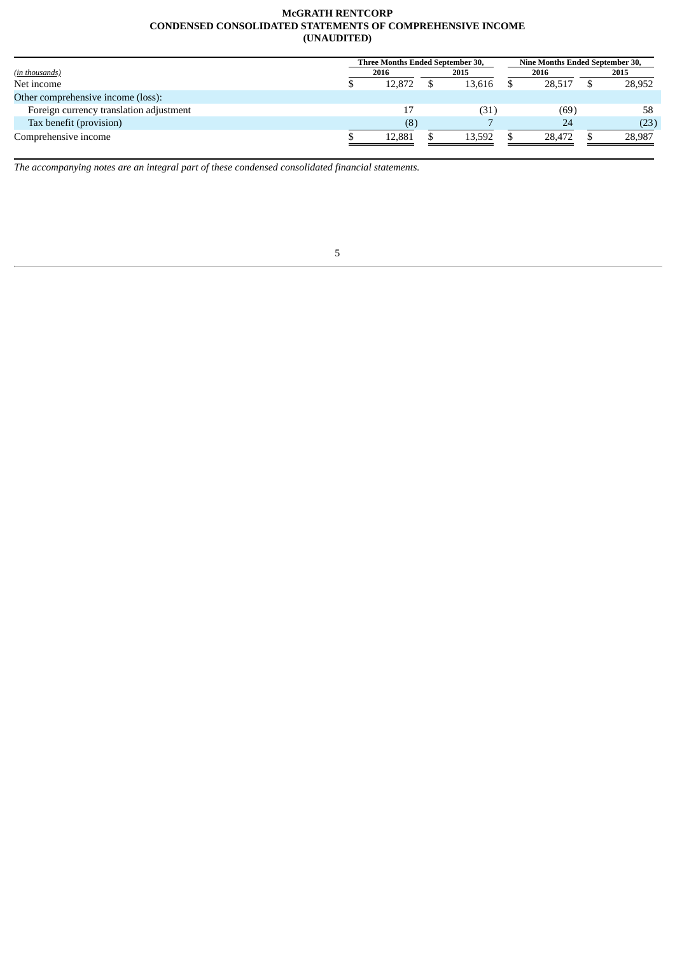# **McGRATH RENTCORP CONDENSED CONSOLIDATED STATEMENTS OF COMPREHENSIVE INCOME (UNAUDITED)**

|                                         |      | Three Months Ended September 30, |  |        |      |        | Nine Months Ended September 30, |        |  |  |
|-----------------------------------------|------|----------------------------------|--|--------|------|--------|---------------------------------|--------|--|--|
| (in thousands)                          | 2016 |                                  |  | 2015   | 2016 |        |                                 | 2015   |  |  |
| Net income                              |      | 12.872                           |  | 13.616 |      | 28.517 |                                 | 28,952 |  |  |
| Other comprehensive income (loss):      |      |                                  |  |        |      |        |                                 |        |  |  |
| Foreign currency translation adjustment |      |                                  |  | (31`   |      | (69)   |                                 | 58     |  |  |
| Tax benefit (provision)                 |      | (8)                              |  |        |      | 24     |                                 | (23)   |  |  |
| Comprehensive income                    |      | 12.881                           |  | 13.592 |      | 28,472 |                                 | 28,987 |  |  |

*The accompanying notes are an integral part of these condensed consolidated financial statements.*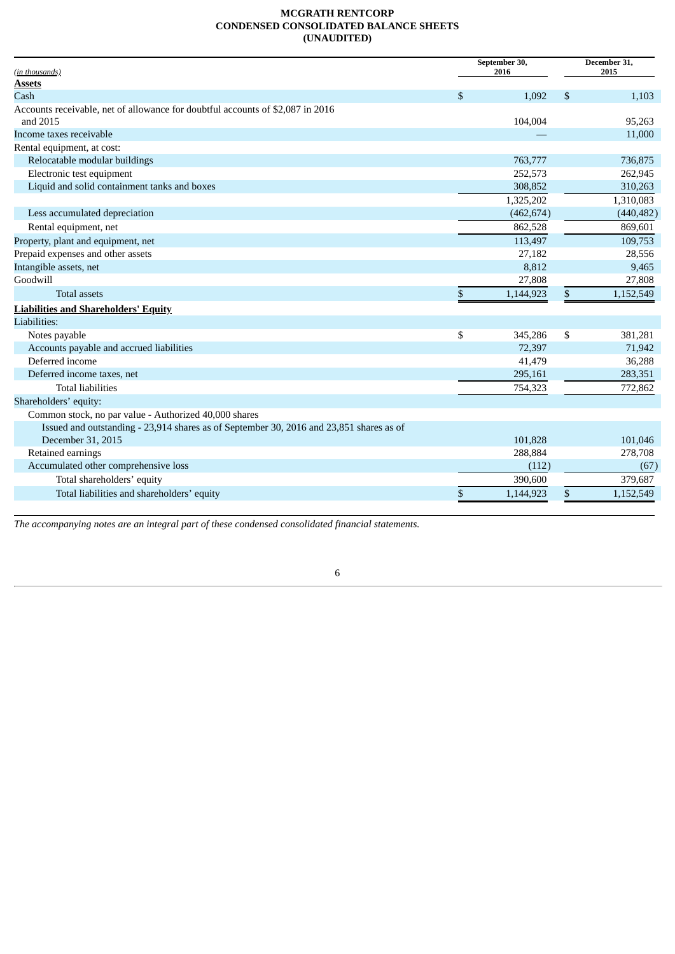# **MCGRATH RENTCORP CONDENSED CONSOLIDATED BALANCE SHEETS (UNAUDITED)**

| (in thousands)                                                                          |                | September 30,<br>2016 | December 31,<br>2015 |
|-----------------------------------------------------------------------------------------|----------------|-----------------------|----------------------|
| <b>Assets</b>                                                                           |                |                       |                      |
| Cash                                                                                    | \$             | 1.092                 | \$<br>1,103          |
| Accounts receivable, net of allowance for doubtful accounts of \$2,087 in 2016          |                |                       |                      |
| and 2015                                                                                |                | 104,004               | 95,263               |
| Income taxes receivable                                                                 |                |                       | 11,000               |
| Rental equipment, at cost:                                                              |                |                       |                      |
| Relocatable modular buildings                                                           |                | 763,777               | 736,875              |
| Electronic test equipment                                                               |                | 252,573               | 262,945              |
| Liquid and solid containment tanks and boxes                                            |                | 308,852               | 310,263              |
|                                                                                         |                | 1,325,202             | 1,310,083            |
| Less accumulated depreciation                                                           |                | (462, 674)            | (440, 482)           |
| Rental equipment, net                                                                   |                | 862,528               | 869,601              |
| Property, plant and equipment, net                                                      |                | 113,497               | 109,753              |
| Prepaid expenses and other assets                                                       |                | 27,182                | 28,556               |
| Intangible assets, net                                                                  |                | 8,812                 | 9,465                |
| Goodwill                                                                                |                | 27,808                | 27,808               |
| <b>Total assets</b>                                                                     | $\mathfrak{S}$ | 1,144,923             | \$<br>1,152,549      |
| <b>Liabilities and Shareholders' Equity</b>                                             |                |                       |                      |
| Liabilities:                                                                            |                |                       |                      |
| Notes payable                                                                           | \$             | 345,286               | \$<br>381,281        |
| Accounts payable and accrued liabilities                                                |                | 72,397                | 71,942               |
| Deferred income                                                                         |                | 41,479                | 36,288               |
| Deferred income taxes, net                                                              |                | 295,161               | 283,351              |
| <b>Total liabilities</b>                                                                |                | 754,323               | 772,862              |
| Shareholders' equity:                                                                   |                |                       |                      |
| Common stock, no par value - Authorized 40,000 shares                                   |                |                       |                      |
| Issued and outstanding - 23,914 shares as of September 30, 2016 and 23,851 shares as of |                |                       |                      |
| December 31, 2015                                                                       |                | 101,828               | 101,046              |
| Retained earnings                                                                       |                | 288,884               | 278,708              |
| Accumulated other comprehensive loss                                                    |                | (112)                 | (67)                 |
| Total shareholders' equity                                                              |                | 390,600               | 379,687              |
| Total liabilities and shareholders' equity                                              | \$             | 1,144,923             | \$<br>1,152,549      |

*The accompanying notes are an integral part of these condensed consolidated financial statements.*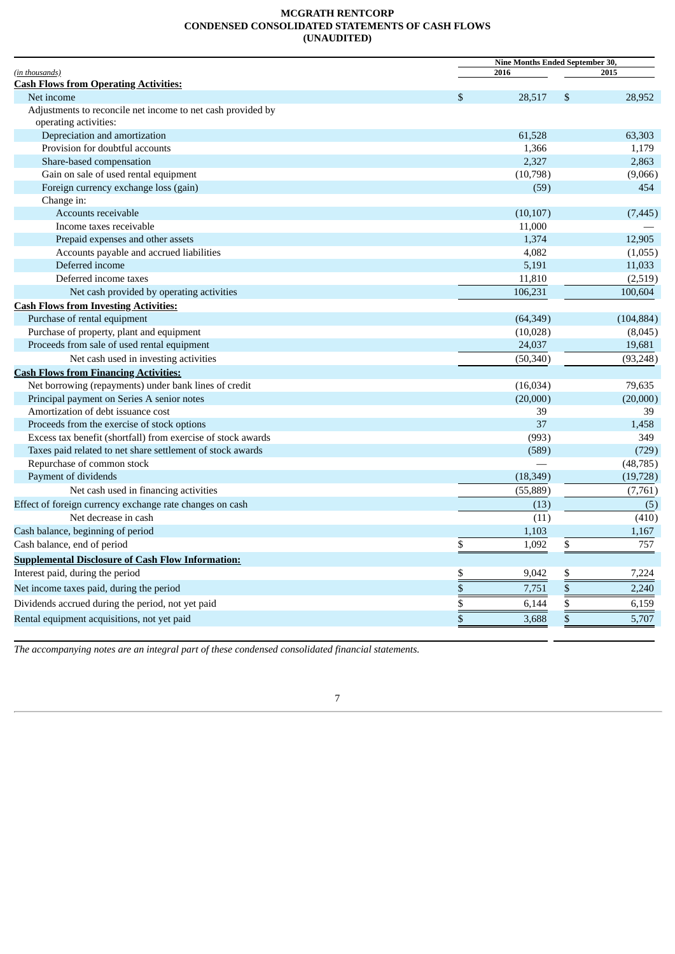# **MCGRATH RENTCORP CONDENSED CONSOLIDATED STATEMENTS OF CASH FLOWS (UNAUDITED)**

|                                                                                      | Nine Months Ended September 30, |                 |            |
|--------------------------------------------------------------------------------------|---------------------------------|-----------------|------------|
| (in thousands)                                                                       | 2016                            |                 | 2015       |
| <b>Cash Flows from Operating Activities:</b>                                         |                                 |                 |            |
| Net income                                                                           | \$<br>28,517                    | \$              | 28,952     |
| Adjustments to reconcile net income to net cash provided by<br>operating activities: |                                 |                 |            |
| Depreciation and amortization                                                        | 61,528                          |                 | 63,303     |
| Provision for doubtful accounts                                                      | 1,366                           |                 | 1,179      |
| Share-based compensation                                                             | 2,327                           |                 | 2,863      |
| Gain on sale of used rental equipment                                                | (10,798)                        |                 | (9,066)    |
| Foreign currency exchange loss (gain)                                                | (59)                            |                 | 454        |
| Change in:                                                                           |                                 |                 |            |
| Accounts receivable                                                                  | (10, 107)                       |                 | (7, 445)   |
| Income taxes receivable                                                              | 11,000                          |                 |            |
| Prepaid expenses and other assets                                                    | 1,374                           |                 | 12,905     |
| Accounts payable and accrued liabilities                                             | 4,082                           |                 | (1,055)    |
| Deferred income                                                                      | 5,191                           |                 | 11,033     |
| Deferred income taxes                                                                | 11,810                          |                 | (2,519)    |
| Net cash provided by operating activities                                            | 106,231                         |                 | 100,604    |
| <b>Cash Flows from Investing Activities:</b>                                         |                                 |                 |            |
| Purchase of rental equipment                                                         | (64, 349)                       |                 | (104, 884) |
| Purchase of property, plant and equipment                                            | (10,028)                        |                 | (8,045)    |
| Proceeds from sale of used rental equipment                                          | 24,037                          |                 | 19,681     |
| Net cash used in investing activities                                                | (50, 340)                       |                 | (93, 248)  |
| <b>Cash Flows from Financing Activities:</b>                                         |                                 |                 |            |
| Net borrowing (repayments) under bank lines of credit                                | (16,034)                        |                 | 79,635     |
| Principal payment on Series A senior notes                                           | (20,000)                        |                 | (20,000)   |
| Amortization of debt issuance cost                                                   | 39                              |                 | 39         |
| Proceeds from the exercise of stock options                                          | 37                              |                 | 1,458      |
| Excess tax benefit (shortfall) from exercise of stock awards                         | (993)                           |                 | 349        |
| Taxes paid related to net share settlement of stock awards                           | (589)                           |                 | (729)      |
| Repurchase of common stock                                                           |                                 |                 | (48, 785)  |
| Payment of dividends                                                                 | (18, 349)                       |                 | (19, 728)  |
| Net cash used in financing activities                                                | (55, 889)                       |                 | (7,761)    |
| Effect of foreign currency exchange rate changes on cash                             | (13)                            |                 | (5)        |
| Net decrease in cash                                                                 | (11)                            |                 | (410)      |
| Cash balance, beginning of period                                                    | 1,103                           |                 | 1,167      |
| Cash balance, end of period                                                          | \$<br>1,092                     | \$              | 757        |
| <b>Supplemental Disclosure of Cash Flow Information:</b>                             |                                 |                 |            |
| Interest paid, during the period                                                     | \$<br>9,042                     | \$              | 7,224      |
| Net income taxes paid, during the period                                             | \$<br>7,751                     | $\$$            | 2,240      |
|                                                                                      |                                 |                 |            |
| Dividends accrued during the period, not yet paid                                    | \$<br>6,144                     | \$              | 6,159      |
| Rental equipment acquisitions, not yet paid                                          | \$<br>3,688                     | $\overline{\$}$ | 5,707      |

*The accompanying notes are an integral part of these condensed consolidated financial statements.*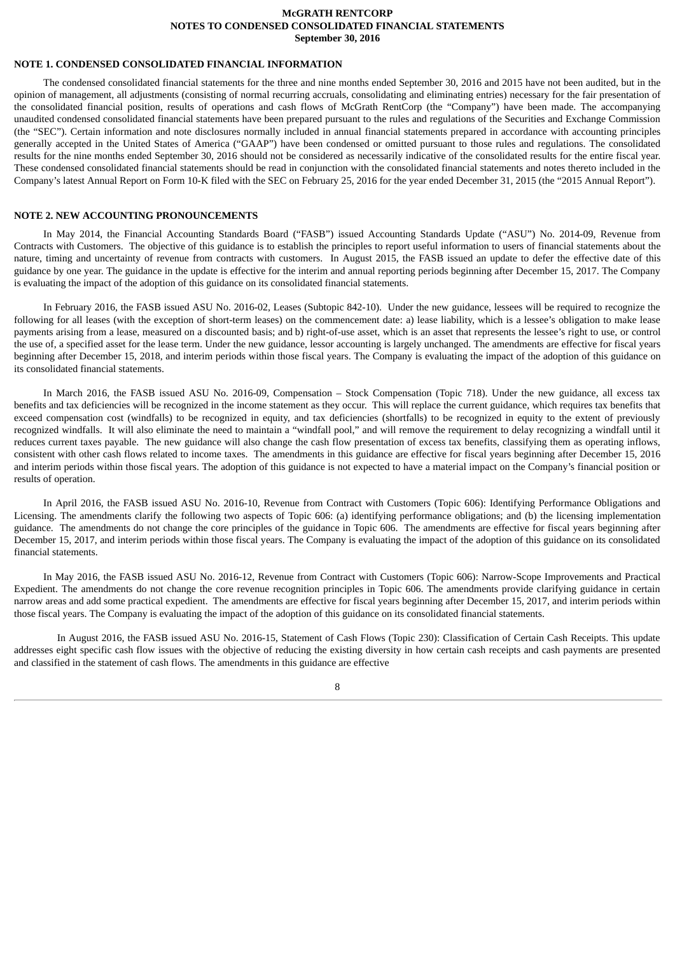# **McGRATH RENTCORP NOTES TO CONDENSED CONSOLIDATED FINANCIAL STATEMENTS September 30, 2016**

# **NOTE 1. CONDENSED CONSOLIDATED FINANCIAL INFORMATION**

The condensed consolidated financial statements for the three and nine months ended September 30, 2016 and 2015 have not been audited, but in the opinion of management, all adjustments (consisting of normal recurring accruals, consolidating and eliminating entries) necessary for the fair presentation of the consolidated financial position, results of operations and cash flows of McGrath RentCorp (the "Company") have been made. The accompanying unaudited condensed consolidated financial statements have been prepared pursuant to the rules and regulations of the Securities and Exchange Commission (the "SEC"). Certain information and note disclosures normally included in annual financial statements prepared in accordance with accounting principles generally accepted in the United States of America ("GAAP") have been condensed or omitted pursuant to those rules and regulations. The consolidated results for the nine months ended September 30, 2016 should not be considered as necessarily indicative of the consolidated results for the entire fiscal year. These condensed consolidated financial statements should be read in conjunction with the consolidated financial statements and notes thereto included in the Company's latest Annual Report on Form 10-K filed with the SEC on February 25, 2016 for the year ended December 31, 2015 (the "2015 Annual Report").

#### **NOTE 2. NEW ACCOUNTING PRONOUNCEMENTS**

In May 2014, the Financial Accounting Standards Board ("FASB") issued Accounting Standards Update ("ASU") No. 2014-09, Revenue from Contracts with Customers. The objective of this guidance is to establish the principles to report useful information to users of financial statements about the nature, timing and uncertainty of revenue from contracts with customers. In August 2015, the FASB issued an update to defer the effective date of this guidance by one year. The guidance in the update is effective for the interim and annual reporting periods beginning after December 15, 2017. The Company is evaluating the impact of the adoption of this guidance on its consolidated financial statements.

In February 2016, the FASB issued ASU No. 2016-02, Leases (Subtopic 842-10). Under the new guidance, lessees will be required to recognize the following for all leases (with the exception of short-term leases) on the commencement date: a) lease liability, which is a lessee's obligation to make lease payments arising from a lease, measured on a discounted basis; and b) right-of-use asset, which is an asset that represents the lessee's right to use, or control the use of, a specified asset for the lease term. Under the new guidance, lessor accounting is largely unchanged. The amendments are effective for fiscal years beginning after December 15, 2018, and interim periods within those fiscal years. The Company is evaluating the impact of the adoption of this guidance on its consolidated financial statements.

In March 2016, the FASB issued ASU No. 2016-09, Compensation – Stock Compensation (Topic 718). Under the new guidance, all excess tax benefits and tax deficiencies will be recognized in the income statement as they occur. This will replace the current guidance, which requires tax benefits that exceed compensation cost (windfalls) to be recognized in equity, and tax deficiencies (shortfalls) to be recognized in equity to the extent of previously recognized windfalls. It will also eliminate the need to maintain a "windfall pool," and will remove the requirement to delay recognizing a windfall until it reduces current taxes payable. The new guidance will also change the cash flow presentation of excess tax benefits, classifying them as operating inflows, consistent with other cash flows related to income taxes. The amendments in this guidance are effective for fiscal years beginning after December 15, 2016 and interim periods within those fiscal years. The adoption of this guidance is not expected to have a material impact on the Company's financial position or results of operation.

In April 2016, the FASB issued ASU No. 2016-10, Revenue from Contract with Customers (Topic 606): Identifying Performance Obligations and Licensing. The amendments clarify the following two aspects of Topic 606: (a) identifying performance obligations; and (b) the licensing implementation guidance. The amendments do not change the core principles of the guidance in Topic 606. The amendments are effective for fiscal years beginning after December 15, 2017, and interim periods within those fiscal years. The Company is evaluating the impact of the adoption of this guidance on its consolidated financial statements.

In May 2016, the FASB issued ASU No. 2016-12, Revenue from Contract with Customers (Topic 606): Narrow-Scope Improvements and Practical Expedient. The amendments do not change the core revenue recognition principles in Topic 606. The amendments provide clarifying guidance in certain narrow areas and add some practical expedient. The amendments are effective for fiscal years beginning after December 15, 2017, and interim periods within those fiscal years. The Company is evaluating the impact of the adoption of this guidance on its consolidated financial statements.

In August 2016, the FASB issued ASU No. 2016-15, Statement of Cash Flows (Topic 230): Classification of Certain Cash Receipts. This update addresses eight specific cash flow issues with the objective of reducing the existing diversity in how certain cash receipts and cash payments are presented and classified in the statement of cash flows. The amendments in this guidance are effective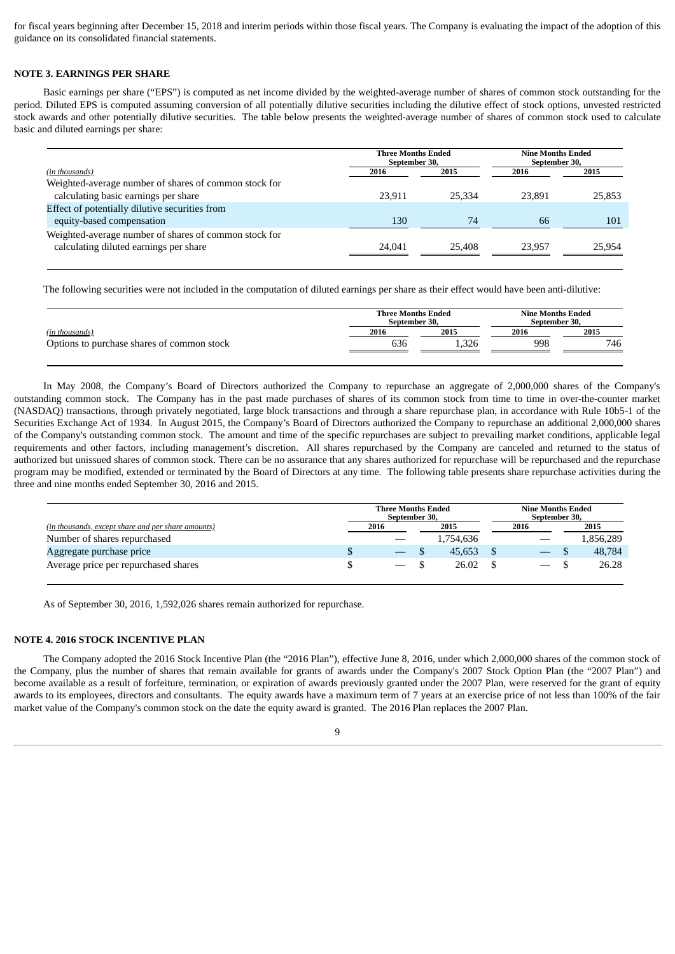for fiscal years beginning after December 15, 2018 and interim periods within those fiscal years. The Company is evaluating the impact of the adoption of this guidance on its consolidated financial statements.

#### **NOTE 3. EARNINGS PER SHARE**

Basic earnings per share ("EPS") is computed as net income divided by the weighted-average number of shares of common stock outstanding for the period. Diluted EPS is computed assuming conversion of all potentially dilutive securities including the dilutive effect of stock options, unvested restricted stock awards and other potentially dilutive securities. The table below presents the weighted-average number of shares of common stock used to calculate basic and diluted earnings per share:

|                                                       | <b>Three Months Ended</b><br>September 30, |        | <b>Nine Months Ended</b><br>September 30, |        |  |  |  |
|-------------------------------------------------------|--------------------------------------------|--------|-------------------------------------------|--------|--|--|--|
| (in thousands)                                        | 2016                                       | 2015   | 2016                                      | 2015   |  |  |  |
| Weighted-average number of shares of common stock for |                                            |        |                                           |        |  |  |  |
| calculating basic earnings per share                  | 23.911                                     | 25,334 | 23.891                                    | 25,853 |  |  |  |
| Effect of potentially dilutive securities from        |                                            |        |                                           |        |  |  |  |
| equity-based compensation                             | 130                                        | 74     | 66                                        | 101    |  |  |  |
| Weighted-average number of shares of common stock for |                                            |        |                                           |        |  |  |  |
| calculating diluted earnings per share                | 24.041                                     | 25.408 | 23.957                                    | 25.954 |  |  |  |
|                                                       |                                            |        |                                           |        |  |  |  |

The following securities were not included in the computation of diluted earnings per share as their effect would have been anti-dilutive:

|                                            | <b>Three Months Ended</b><br>September 30. |       | <b>Nine Months Ended</b><br>September 30. |      |
|--------------------------------------------|--------------------------------------------|-------|-------------------------------------------|------|
| (in thousands)                             | 2016                                       | 2015  | 2016                                      | 2015 |
| Options to purchase shares of common stock | 636                                        | 1.326 | 998                                       | 746  |
|                                            |                                            |       |                                           |      |

In May 2008, the Company's Board of Directors authorized the Company to repurchase an aggregate of 2,000,000 shares of the Company's outstanding common stock. The Company has in the past made purchases of shares of its common stock from time to time in over-the-counter market (NASDAQ) transactions, through privately negotiated, large block transactions and through a share repurchase plan, in accordance with Rule 10b5-1 of the Securities Exchange Act of 1934. In August 2015, the Company's Board of Directors authorized the Company to repurchase an additional 2,000,000 shares of the Company's outstanding common stock. The amount and time of the specific repurchases are subject to prevailing market conditions, applicable legal requirements and other factors, including management's discretion. All shares repurchased by the Company are canceled and returned to the status of authorized but unissued shares of common stock. There can be no assurance that any shares authorized for repurchase will be repurchased and the repurchase program may be modified, extended or terminated by the Board of Directors at any time. The following table presents share repurchase activities during the three and nine months ended September 30, 2016 and 2015.

|                                                    |  | <b>Three Months Ended</b><br>September 30, | <b>Nine Months Ended</b><br>September 30, |      |  |           |  |  |  |
|----------------------------------------------------|--|--------------------------------------------|-------------------------------------------|------|--|-----------|--|--|--|
| (in thousands, except share and per share amounts) |  | 2015                                       | 2016                                      | 2015 |  |           |  |  |  |
| Number of shares repurchased                       |  |                                            | 1.754.636                                 |      |  | 1,856,289 |  |  |  |
| Aggregate purchase price                           |  |                                            | 45.653                                    |      |  | 48.784    |  |  |  |
| Average price per repurchased shares               |  | $\overline{\phantom{m}}$                   | 26.02                                     |      |  | 26.28     |  |  |  |

As of September 30, 2016, 1,592,026 shares remain authorized for repurchase.

# **NOTE 4. 2016 STOCK INCENTIVE PLAN**

The Company adopted the 2016 Stock Incentive Plan (the "2016 Plan"), effective June 8, 2016, under which 2,000,000 shares of the common stock of the Company, plus the number of shares that remain available for grants of awards under the Company's 2007 Stock Option Plan (the "2007 Plan") and become available as a result of forfeiture, termination, or expiration of awards previously granted under the 2007 Plan, were reserved for the grant of equity awards to its employees, directors and consultants. The equity awards have a maximum term of 7 years at an exercise price of not less than 100% of the fair market value of the Company's common stock on the date the equity award is granted. The 2016 Plan replaces the 2007 Plan.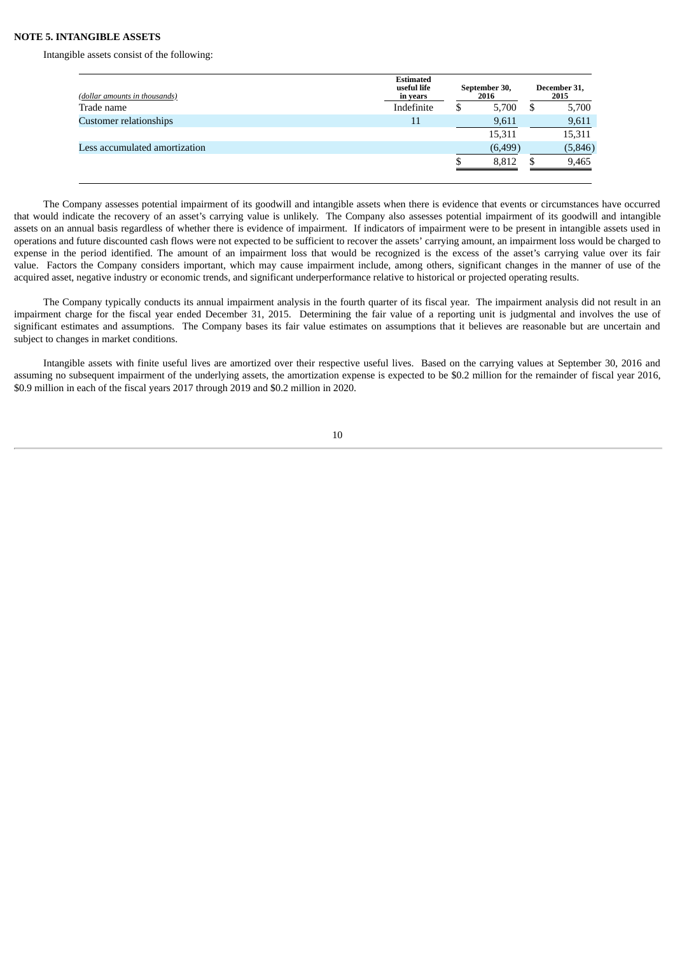#### **NOTE 5. INTANGIBLE ASSETS**

Intangible assets consist of the following:

| (dollar amounts in thousands) | <b>Estimated</b><br>useful life<br>in years | September 30,<br>2016 |   | December 31,<br>2015 |
|-------------------------------|---------------------------------------------|-----------------------|---|----------------------|
| Trade name                    | Indefinite                                  | \$<br>5,700           | S | 5,700                |
| Customer relationships        | 11                                          | 9,611                 |   | 9,611                |
|                               |                                             | 15,311                |   | 15,311               |
| Less accumulated amortization |                                             | (6, 499)              |   | (5, 846)             |
|                               |                                             | 8,812                 |   | 9,465                |
|                               |                                             |                       |   |                      |

The Company assesses potential impairment of its goodwill and intangible assets when there is evidence that events or circumstances have occurred that would indicate the recovery of an asset's carrying value is unlikely. The Company also assesses potential impairment of its goodwill and intangible assets on an annual basis regardless of whether there is evidence of impairment. If indicators of impairment were to be present in intangible assets used in operations and future discounted cash flows were not expected to be sufficient to recover the assets' carrying amount, an impairment loss would be charged to expense in the period identified. The amount of an impairment loss that would be recognized is the excess of the asset's carrying value over its fair value. Factors the Company considers important, which may cause impairment include, among others, significant changes in the manner of use of the acquired asset, negative industry or economic trends, and significant underperformance relative to historical or projected operating results.

The Company typically conducts its annual impairment analysis in the fourth quarter of its fiscal year. The impairment analysis did not result in an impairment charge for the fiscal year ended December 31, 2015. Determining the fair value of a reporting unit is judgmental and involves the use of significant estimates and assumptions. The Company bases its fair value estimates on assumptions that it believes are reasonable but are uncertain and subject to changes in market conditions.

Intangible assets with finite useful lives are amortized over their respective useful lives. Based on the carrying values at September 30, 2016 and assuming no subsequent impairment of the underlying assets, the amortization expense is expected to be \$0.2 million for the remainder of fiscal year 2016, \$0.9 million in each of the fiscal years 2017 through 2019 and \$0.2 million in 2020.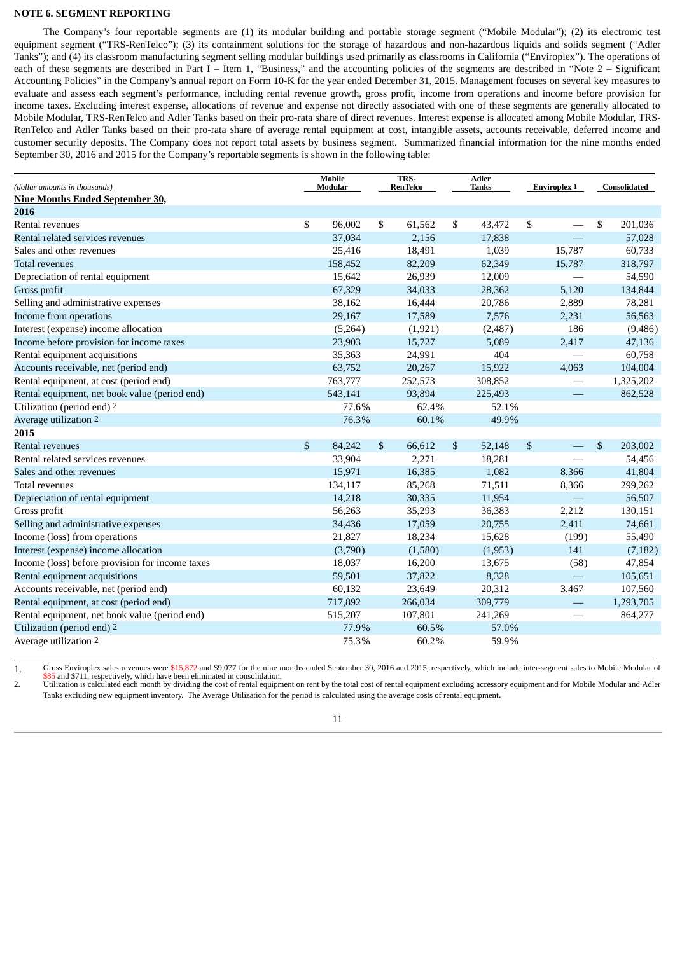# **NOTE 6. SEGMENT REPORTING**

The Company's four reportable segments are (1) its modular building and portable storage segment ("Mobile Modular"); (2) its electronic test equipment segment ("TRS-RenTelco"); (3) its containment solutions for the storage of hazardous and non-hazardous liquids and solids segment ("Adler Tanks"); and (4) its classroom manufacturing segment selling modular buildings used primarily as classrooms in California ("Enviroplex"). The operations of each of these segments are described in Part I – Item 1, "Business," and the accounting policies of the segments are described in "Note 2 – Significant Accounting Policies" in the Company's annual report on Form 10-K for the year ended December 31, 2015. Management focuses on several key measures to evaluate and assess each segment's performance, including rental revenue growth, gross profit, income from operations and income before provision for income taxes. Excluding interest expense, allocations of revenue and expense not directly associated with one of these segments are generally allocated to Mobile Modular, TRS-RenTelco and Adler Tanks based on their pro-rata share of direct revenues. Interest expense is allocated among Mobile Modular, TRS-RenTelco and Adler Tanks based on their pro-rata share of average rental equipment at cost, intangible assets, accounts receivable, deferred income and customer security deposits. The Company does not report total assets by business segment. Summarized financial information for the nine months ended September 30, 2016 and 2015 for the Company's reportable segments is shown in the following table:

| (dollar amounts in thousands)                   |              | Mobile<br>Modular |                | TRS-<br><b>RenTelco</b> | <b>Adler</b><br>Tanks | <b>Enviroplex 1</b>           | Consolidated  |
|-------------------------------------------------|--------------|-------------------|----------------|-------------------------|-----------------------|-------------------------------|---------------|
| <b>Nine Months Ended September 30,</b>          |              |                   |                |                         |                       |                               |               |
| 2016                                            |              |                   |                |                         |                       |                               |               |
| Rental revenues                                 | \$           | 96,002            | \$             | 61,562                  | \$<br>43,472          | \$                            | \$<br>201,036 |
| Rental related services revenues                |              | 37,034            |                | 2,156                   | 17,838                |                               | 57,028        |
| Sales and other revenues                        |              | 25,416            |                | 18,491                  | 1,039                 | 15,787                        | 60,733        |
| Total revenues                                  |              | 158,452           |                | 82,209                  | 62,349                | 15,787                        | 318,797       |
| Depreciation of rental equipment                |              | 15,642            |                | 26,939                  | 12,009                |                               | 54,590        |
| Gross profit                                    |              | 67,329            |                | 34,033                  | 28,362                | 5,120                         | 134,844       |
| Selling and administrative expenses             |              | 38,162            |                | 16,444                  | 20,786                | 2,889                         | 78,281        |
| Income from operations                          |              | 29,167            |                | 17,589                  | 7,576                 | 2,231                         | 56,563        |
| Interest (expense) income allocation            |              | (5,264)           |                | (1,921)                 | (2,487)               | 186                           | (9,486)       |
| Income before provision for income taxes        |              | 23,903            |                | 15,727                  | 5,089                 | 2,417                         | 47,136        |
| Rental equipment acquisitions                   |              | 35,363            |                | 24,991                  | 404                   |                               | 60,758        |
| Accounts receivable, net (period end)           |              | 63,752            |                | 20,267                  | 15,922                | 4,063                         | 104,004       |
| Rental equipment, at cost (period end)          |              | 763,777           |                | 252,573                 | 308,852               |                               | 1,325,202     |
| Rental equipment, net book value (period end)   |              | 543,141           |                | 93,894                  | 225,493               |                               | 862,528       |
| Utilization (period end) 2                      |              | 77.6%             |                | 62.4%                   | 52.1%                 |                               |               |
| Average utilization 2                           |              | 76.3%             |                | 60.1%                   | 49.9%                 |                               |               |
| 2015                                            |              |                   |                |                         |                       |                               |               |
| <b>Rental revenues</b>                          | $\mathbb{S}$ | 84,242            | $\mathfrak{S}$ | 66,612                  | \$<br>52,148          | \$                            | \$<br>203,002 |
| Rental related services revenues                |              | 33,904            |                | 2,271                   | 18,281                |                               | 54,456        |
| Sales and other revenues                        |              | 15,971            |                | 16,385                  | 1,082                 | 8,366                         | 41,804        |
| Total revenues                                  |              | 134,117           |                | 85,268                  | 71,511                | 8,366                         | 299,262       |
| Depreciation of rental equipment                |              | 14,218            |                | 30,335                  | 11,954                |                               | 56,507        |
| Gross profit                                    |              | 56,263            |                | 35,293                  | 36,383                | 2,212                         | 130,151       |
| Selling and administrative expenses             |              | 34,436            |                | 17,059                  | 20,755                | 2,411                         | 74,661        |
| Income (loss) from operations                   |              | 21,827            |                | 18,234                  | 15,628                | (199)                         | 55,490        |
| Interest (expense) income allocation            |              | (3,790)           |                | (1,580)                 | (1,953)               | 141                           | (7, 182)      |
| Income (loss) before provision for income taxes |              | 18,037            |                | 16,200                  | 13,675                | (58)                          | 47,854        |
| Rental equipment acquisitions                   |              | 59,501            |                | 37,822                  | 8,328                 | $\overline{\phantom{0}}$      | 105,651       |
| Accounts receivable, net (period end)           |              | 60,132            |                | 23,649                  | 20,312                | 3,467                         | 107,560       |
| Rental equipment, at cost (period end)          |              | 717,892           |                | 266,034                 | 309,779               |                               | 1,293,705     |
| Rental equipment, net book value (period end)   |              | 515,207           |                | 107,801                 | 241,269               | $\overbrace{\phantom{13333}}$ | 864,277       |
| Utilization (period end) 2                      |              | 77.9%             |                | 60.5%                   | 57.0%                 |                               |               |
| Average utilization 2                           |              | 75.3%             |                | 60.2%                   | 59.9%                 |                               |               |

1. Gross Enviroplex sales revenues were \$15,872 and \$9,077 for the nine months ended September 30, 2016 and 2015, respectively, which include inter-segment sales to Mobile Modular of \$85 and \$711, respectively, which have been eliminated in consolidation.

2. Utilization is calculated each month by dividing the cost of rental equipment on rent by the total cost of rental equipment excluding accessory equipment and for Mobile Modular and Adler Tanks excluding new equipment inventory. The Average Utilization for the period is calculated using the average costs of rental equipment.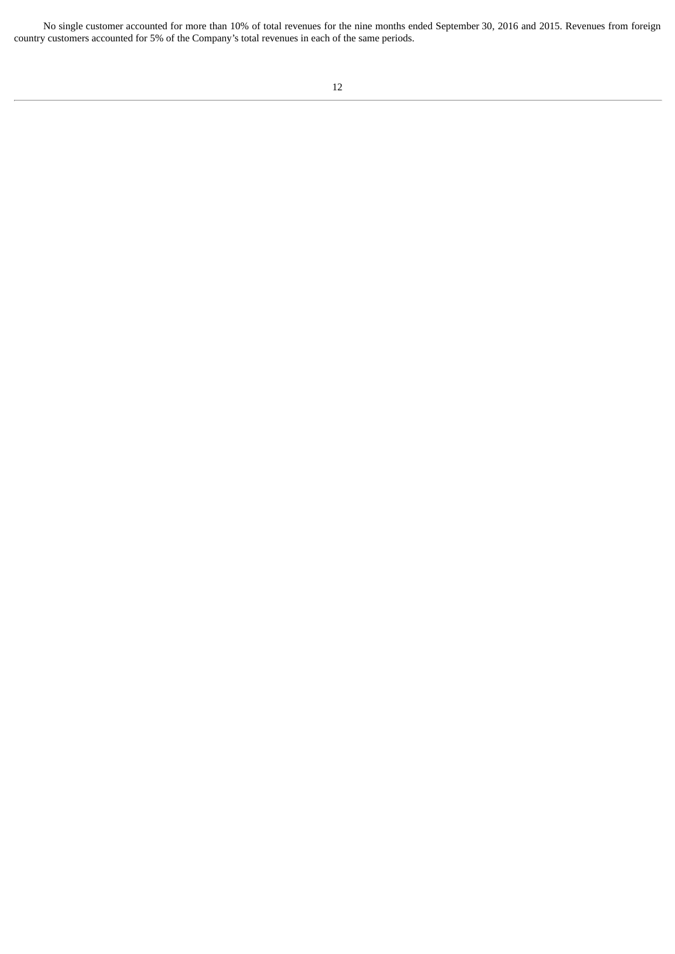No single customer accounted for more than 10% of total revenues for the nine months ended September 30, 2016 and 2015. Revenues from foreign country customers accounted for 5% of the Company's total revenues in each of the same periods.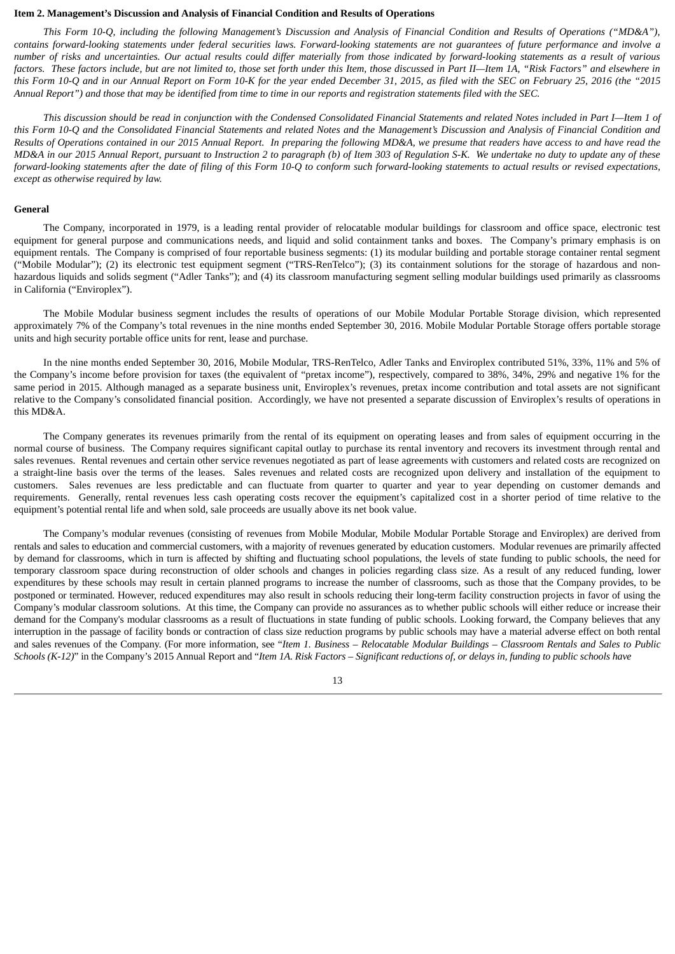#### **Item 2. Management's Discussion and Analysis of Financial Condition and Results of Operations**

This Form 10-Q, including the following Management's Discussion and Analysis of Financial Condition and Results of Operations ("MD&A"), contains forward-looking statements under federal securities laws. Forward-looking statements are not guarantees of future performance and involve a number of risks and uncertainties. Our actual results could differ materially from those indicated by forward-looking statements as a result of various factors. These factors include, but are not limited to, those set forth under this Item, those discussed in Part II-Item 1A, "Risk Factors" and elsewhere in this Form 10-Q and in our Annual Report on Form 10-K for the year ended December 31, 2015, as filed with the SEC on February 25, 2016 (the "2015 Annual Report") and those that may be identified from time to time in our reports and registration statements filed with the SEC.

This discussion should be read in conjunction with the Condensed Consolidated Financial Statements and related Notes included in Part I—Item 1 of this Form 10-Q and the Consolidated Financial Statements and related Notes and the Management's Discussion and Analysis of Financial Condition and Results of Operations contained in our 2015 Annual Report. In preparing the following MD&A, we presume that readers have access to and have read the MD&A in our 2015 Annual Report, pursuant to Instruction 2 to paragraph (b) of Item 303 of Regulation S-K. We undertake no duty to update any of these forward-looking statements after the date of filing of this Form 10-Q to conform such forward-looking statements to actual results or revised expectations, *except as otherwise required by law.*

#### **General**

The Company, incorporated in 1979, is a leading rental provider of relocatable modular buildings for classroom and office space, electronic test equipment for general purpose and communications needs, and liquid and solid containment tanks and boxes. The Company's primary emphasis is on equipment rentals. The Company is comprised of four reportable business segments: (1) its modular building and portable storage container rental segment ("Mobile Modular"); (2) its electronic test equipment segment ("TRS-RenTelco"); (3) its containment solutions for the storage of hazardous and nonhazardous liquids and solids segment ("Adler Tanks"); and (4) its classroom manufacturing segment selling modular buildings used primarily as classrooms in California ("Enviroplex").

The Mobile Modular business segment includes the results of operations of our Mobile Modular Portable Storage division, which represented approximately 7% of the Company's total revenues in the nine months ended September 30, 2016. Mobile Modular Portable Storage offers portable storage units and high security portable office units for rent, lease and purchase.

In the nine months ended September 30, 2016, Mobile Modular, TRS-RenTelco, Adler Tanks and Enviroplex contributed 51%, 33%, 11% and 5% of the Company's income before provision for taxes (the equivalent of "pretax income"), respectively, compared to 38%, 34%, 29% and negative 1% for the same period in 2015. Although managed as a separate business unit, Enviroplex's revenues, pretax income contribution and total assets are not significant relative to the Company's consolidated financial position. Accordingly, we have not presented a separate discussion of Enviroplex's results of operations in this MD&A.

The Company generates its revenues primarily from the rental of its equipment on operating leases and from sales of equipment occurring in the normal course of business. The Company requires significant capital outlay to purchase its rental inventory and recovers its investment through rental and sales revenues. Rental revenues and certain other service revenues negotiated as part of lease agreements with customers and related costs are recognized on a straight-line basis over the terms of the leases. Sales revenues and related costs are recognized upon delivery and installation of the equipment to customers. Sales revenues are less predictable and can fluctuate from quarter to quarter and year to year depending on customer demands and requirements. Generally, rental revenues less cash operating costs recover the equipment's capitalized cost in a shorter period of time relative to the equipment's potential rental life and when sold, sale proceeds are usually above its net book value.

The Company's modular revenues (consisting of revenues from Mobile Modular, Mobile Modular Portable Storage and Enviroplex) are derived from rentals and sales to education and commercial customers, with a majority of revenues generated by education customers. Modular revenues are primarily affected by demand for classrooms, which in turn is affected by shifting and fluctuating school populations, the levels of state funding to public schools, the need for temporary classroom space during reconstruction of older schools and changes in policies regarding class size. As a result of any reduced funding, lower expenditures by these schools may result in certain planned programs to increase the number of classrooms, such as those that the Company provides, to be postponed or terminated. However, reduced expenditures may also result in schools reducing their long-term facility construction projects in favor of using the Company's modular classroom solutions. At this time, the Company can provide no assurances as to whether public schools will either reduce or increase their demand for the Company's modular classrooms as a result of fluctuations in state funding of public schools. Looking forward, the Company believes that any interruption in the passage of facility bonds or contraction of class size reduction programs by public schools may have a material adverse effect on both rental and sales revenues of the Company. (For more information, see "Item 1. Business - Relocatable Modular Buildings - Classroom Rentals and Sales to Public Schools (K-12)" in the Company's 2015 Annual Report and "Item 1A. Risk Factors – Significant reductions of, or delays in, funding to public schools have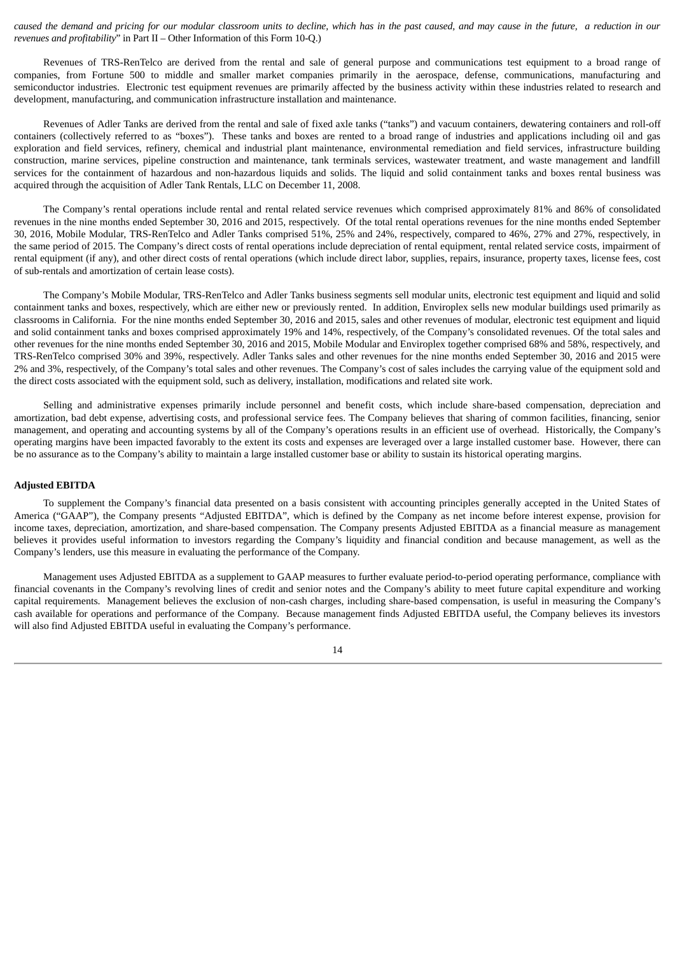caused the demand and pricing for our modular classroom units to decline, which has in the past caused, and may cause in the future, a reduction in our *revenues and profitability*" in Part II – Other Information of this Form 10-Q.)

Revenues of TRS-RenTelco are derived from the rental and sale of general purpose and communications test equipment to a broad range of companies, from Fortune 500 to middle and smaller market companies primarily in the aerospace, defense, communications, manufacturing and semiconductor industries. Electronic test equipment revenues are primarily affected by the business activity within these industries related to research and development, manufacturing, and communication infrastructure installation and maintenance.

Revenues of Adler Tanks are derived from the rental and sale of fixed axle tanks ("tanks") and vacuum containers, dewatering containers and roll-off containers (collectively referred to as "boxes"). These tanks and boxes are rented to a broad range of industries and applications including oil and gas exploration and field services, refinery, chemical and industrial plant maintenance, environmental remediation and field services, infrastructure building construction, marine services, pipeline construction and maintenance, tank terminals services, wastewater treatment, and waste management and landfill services for the containment of hazardous and non-hazardous liquids and solids. The liquid and solid containment tanks and boxes rental business was acquired through the acquisition of Adler Tank Rentals, LLC on December 11, 2008.

The Company's rental operations include rental and rental related service revenues which comprised approximately 81% and 86% of consolidated revenues in the nine months ended September 30, 2016 and 2015, respectively. Of the total rental operations revenues for the nine months ended September 30, 2016, Mobile Modular, TRS-RenTelco and Adler Tanks comprised 51%, 25% and 24%, respectively, compared to 46%, 27% and 27%, respectively, in the same period of 2015. The Company's direct costs of rental operations include depreciation of rental equipment, rental related service costs, impairment of rental equipment (if any), and other direct costs of rental operations (which include direct labor, supplies, repairs, insurance, property taxes, license fees, cost of sub-rentals and amortization of certain lease costs).

The Company's Mobile Modular, TRS-RenTelco and Adler Tanks business segments sell modular units, electronic test equipment and liquid and solid containment tanks and boxes, respectively, which are either new or previously rented. In addition, Enviroplex sells new modular buildings used primarily as classrooms in California. For the nine months ended September 30, 2016 and 2015, sales and other revenues of modular, electronic test equipment and liquid and solid containment tanks and boxes comprised approximately 19% and 14%, respectively, of the Company's consolidated revenues. Of the total sales and other revenues for the nine months ended September 30, 2016 and 2015, Mobile Modular and Enviroplex together comprised 68% and 58%, respectively, and TRS-RenTelco comprised 30% and 39%, respectively. Adler Tanks sales and other revenues for the nine months ended September 30, 2016 and 2015 were 2% and 3%, respectively, of the Company's total sales and other revenues. The Company's cost of sales includes the carrying value of the equipment sold and the direct costs associated with the equipment sold, such as delivery, installation, modifications and related site work.

Selling and administrative expenses primarily include personnel and benefit costs, which include share-based compensation, depreciation and amortization, bad debt expense, advertising costs, and professional service fees. The Company believes that sharing of common facilities, financing, senior management, and operating and accounting systems by all of the Company's operations results in an efficient use of overhead. Historically, the Company's operating margins have been impacted favorably to the extent its costs and expenses are leveraged over a large installed customer base. However, there can be no assurance as to the Company's ability to maintain a large installed customer base or ability to sustain its historical operating margins.

#### **Adjusted EBITDA**

To supplement the Company's financial data presented on a basis consistent with accounting principles generally accepted in the United States of America ("GAAP"), the Company presents "Adjusted EBITDA", which is defined by the Company as net income before interest expense, provision for income taxes, depreciation, amortization, and share-based compensation. The Company presents Adjusted EBITDA as a financial measure as management believes it provides useful information to investors regarding the Company's liquidity and financial condition and because management, as well as the Company's lenders, use this measure in evaluating the performance of the Company.

Management uses Adjusted EBITDA as a supplement to GAAP measures to further evaluate period-to-period operating performance, compliance with financial covenants in the Company's revolving lines of credit and senior notes and the Company's ability to meet future capital expenditure and working capital requirements. Management believes the exclusion of non-cash charges, including share-based compensation, is useful in measuring the Company's cash available for operations and performance of the Company. Because management finds Adjusted EBITDA useful, the Company believes its investors will also find Adjusted EBITDA useful in evaluating the Company's performance.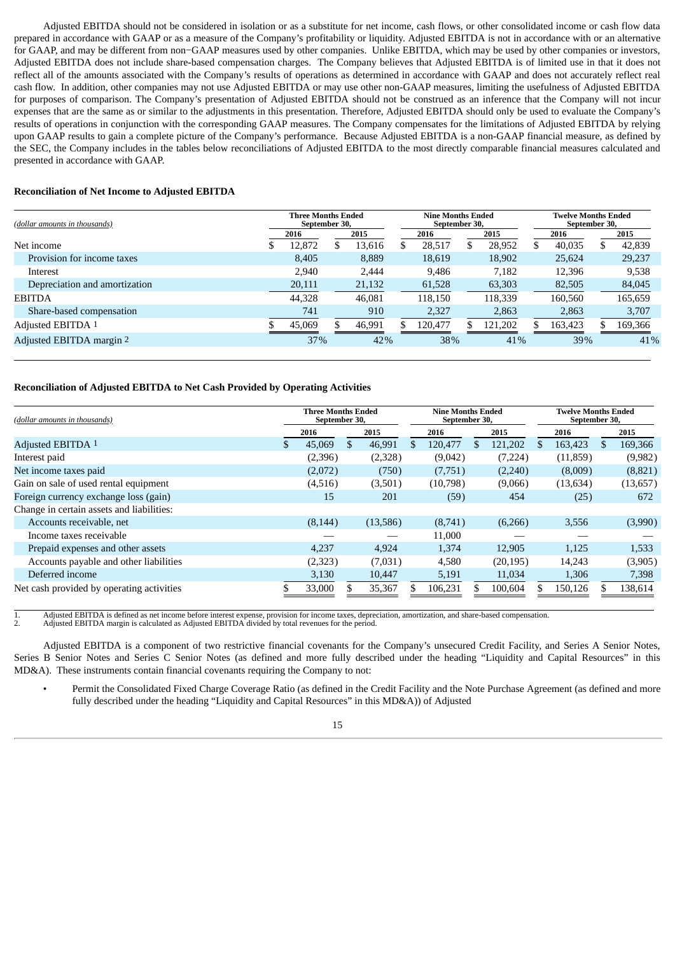Adjusted EBITDA should not be considered in isolation or as a substitute for net income, cash flows, or other consolidated income or cash flow data prepared in accordance with GAAP or as a measure of the Company's profitability or liquidity. Adjusted EBITDA is not in accordance with or an alternative for GAAP, and may be different from non−GAAP measures used by other companies. Unlike EBITDA, which may be used by other companies or investors, Adjusted EBITDA does not include share-based compensation charges. The Company believes that Adjusted EBITDA is of limited use in that it does not reflect all of the amounts associated with the Company's results of operations as determined in accordance with GAAP and does not accurately reflect real cash flow. In addition, other companies may not use Adjusted EBITDA or may use other non-GAAP measures, limiting the usefulness of Adjusted EBITDA for purposes of comparison. The Company's presentation of Adjusted EBITDA should not be construed as an inference that the Company will not incur expenses that are the same as or similar to the adjustments in this presentation. Therefore, Adjusted EBITDA should only be used to evaluate the Company's results of operations in conjunction with the corresponding GAAP measures. The Company compensates for the limitations of Adjusted EBITDA by relying upon GAAP results to gain a complete picture of the Company's performance. Because Adjusted EBITDA is a non-GAAP financial measure, as defined by the SEC, the Company includes in the tables below reconciliations of Adjusted EBITDA to the most directly comparable financial measures calculated and presented in accordance with GAAP.

# **Reconciliation of Net Income to Adjusted EBITDA**

| (dollar amounts in thousands) | <b>Three Months Ended</b><br>September 30, |   | <b>Nine Months Ended</b><br>September 30. |      |         |      | <b>Twelve Months Ended</b><br>September 30, |    |         |  |         |  |
|-------------------------------|--------------------------------------------|---|-------------------------------------------|------|---------|------|---------------------------------------------|----|---------|--|---------|--|
|                               | 2016                                       |   | 2015                                      | 2016 |         | 2015 |                                             |    | 2016    |  | 2015    |  |
| Net income                    | 12,872                                     | ъ | 13,616                                    |      | 28,517  | S    | 28,952                                      | S. | 40,035  |  | 42,839  |  |
| Provision for income taxes    | 8,405                                      |   | 8,889                                     |      | 18,619  |      | 18,902                                      |    | 25,624  |  | 29,237  |  |
| Interest                      | 2,940                                      |   | 2,444                                     |      | 9,486   |      | 7,182                                       |    | 12,396  |  | 9,538   |  |
| Depreciation and amortization | 20,111                                     |   | 21,132                                    |      | 61,528  |      | 63,303                                      |    | 82,505  |  | 84,045  |  |
| <b>EBITDA</b>                 | 44,328                                     |   | 46,081                                    |      | 118,150 |      | 118,339                                     |    | 160,560 |  | 165,659 |  |
| Share-based compensation      | 741                                        |   | 910                                       |      | 2,327   |      | 2,863                                       |    | 2,863   |  | 3,707   |  |
| Adjusted EBITDA 1             | 45,069                                     |   | 46,991                                    |      | 120.477 |      | 121.202                                     |    | 163,423 |  | 169,366 |  |
| Adjusted EBITDA margin 2      | 37%                                        |   | 42%                                       |      | 38%     |      | 41%                                         |    | 39%     |  | 41%     |  |

# **Reconciliation of Adjusted EBITDA to Net Cash Provided by Operating Activities**

| (dollar amounts in thousands)             | Three Months Ended<br>September 30, |          |  |          |    | <b>Nine Months Ended</b><br>September 30, |  | <b>Twelve Months Ended</b><br>September 30, |      |           |  |           |
|-------------------------------------------|-------------------------------------|----------|--|----------|----|-------------------------------------------|--|---------------------------------------------|------|-----------|--|-----------|
|                                           |                                     | 2016     |  | 2015     |    | 2016                                      |  | 2015                                        | 2016 |           |  | 2015      |
| <b>Adjusted EBITDA 1</b>                  |                                     | 45,069   |  | 46,991   | \$ | 120,477                                   |  | 121,202                                     |      | 163,423   |  | 169,366   |
| Interest paid                             |                                     | (2,396)  |  | (2,328)  |    | (9,042)                                   |  | (7,224)                                     |      | (11, 859) |  | (9,982)   |
| Net income taxes paid                     |                                     | (2,072)  |  | (750)    |    | (7,751)                                   |  | (2,240)                                     |      | (8,009)   |  | (8,821)   |
| Gain on sale of used rental equipment     |                                     | (4,516)  |  | (3,501)  |    | (10,798)                                  |  | (9,066)                                     |      | (13, 634) |  | (13, 657) |
| Foreign currency exchange loss (gain)     |                                     | 15       |  | 201      |    | (59)                                      |  | 454                                         |      | (25)      |  | 672       |
| Change in certain assets and liabilities: |                                     |          |  |          |    |                                           |  |                                             |      |           |  |           |
| Accounts receivable, net                  |                                     | (8, 144) |  | (13,586) |    | (8,741)                                   |  | (6,266)                                     |      | 3,556     |  | (3,990)   |
| Income taxes receivable                   |                                     |          |  |          |    | 11,000                                    |  |                                             |      |           |  |           |
| Prepaid expenses and other assets         |                                     | 4,237    |  | 4,924    |    | 1,374                                     |  | 12,905                                      |      | 1,125     |  | 1,533     |
| Accounts payable and other liabilities    |                                     | (2,323)  |  | (7,031)  |    | 4,580                                     |  | (20, 195)                                   |      | 14,243    |  | (3,905)   |
| Deferred income                           |                                     | 3,130    |  | 10,447   |    | 5,191                                     |  | 11,034                                      |      | 1,306     |  | 7,398     |
| Net cash provided by operating activities |                                     | 33,000   |  | 35,367   |    | 106,231                                   |  | 100,604                                     |      | 150,126   |  | 138,614   |

1. Adjusted EBITDA is defined as net income before interest expense, provision for income taxes, depreciation, amortization, and share-based compensation.

2. Adjusted EBITDA margin is calculated as Adjusted EBITDA divided by total revenues for the period.

Adjusted EBITDA is a component of two restrictive financial covenants for the Company's unsecured Credit Facility, and Series A Senior Notes, Series B Senior Notes and Series C Senior Notes (as defined and more fully described under the heading "Liquidity and Capital Resources" in this MD&A). These instruments contain financial covenants requiring the Company to not:

• Permit the Consolidated Fixed Charge Coverage Ratio (as defined in the Credit Facility and the Note Purchase Agreement (as defined and more fully described under the heading "Liquidity and Capital Resources" in this MD&A)) of Adjusted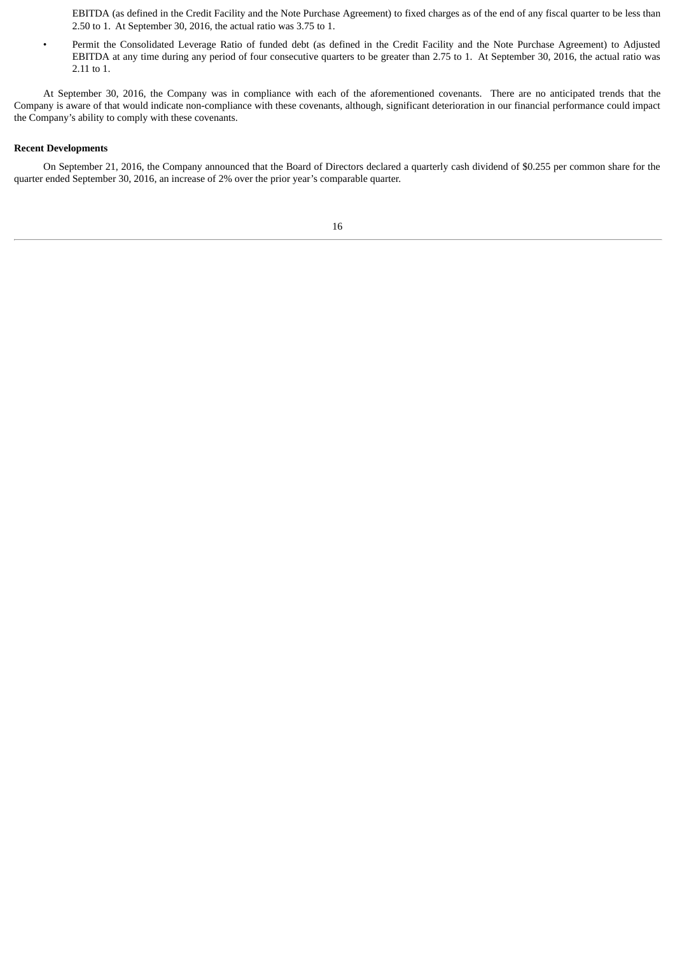EBITDA (as defined in the Credit Facility and the Note Purchase Agreement) to fixed charges as of the end of any fiscal quarter to be less than 2.50 to 1. At September 30, 2016, the actual ratio was 3.75 to 1.

• Permit the Consolidated Leverage Ratio of funded debt (as defined in the Credit Facility and the Note Purchase Agreement) to Adjusted EBITDA at any time during any period of four consecutive quarters to be greater than 2.75 to 1. At September 30, 2016, the actual ratio was 2.11 to 1.

At September 30, 2016, the Company was in compliance with each of the aforementioned covenants. There are no anticipated trends that the Company is aware of that would indicate non-compliance with these covenants, although, significant deterioration in our financial performance could impact the Company's ability to comply with these covenants.

### **Recent Developments**

On September 21, 2016, the Company announced that the Board of Directors declared a quarterly cash dividend of \$0.255 per common share for the quarter ended September 30, 2016, an increase of 2% over the prior year's comparable quarter.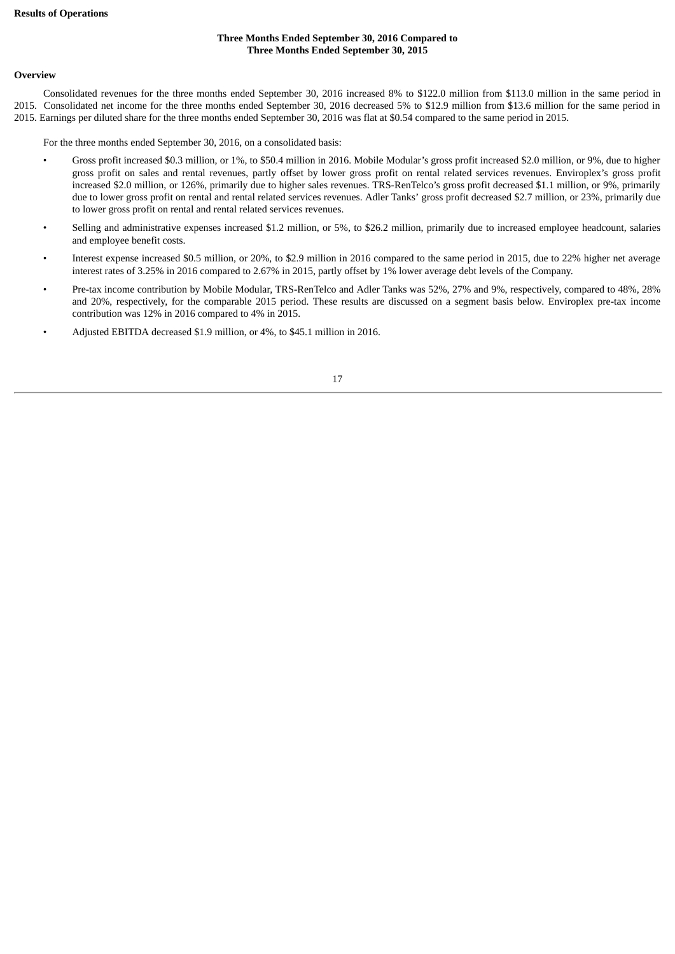# **Three Months Ended September 30, 2016 Compared to Three Months Ended September 30, 2015**

# **Overview**

Consolidated revenues for the three months ended September 30, 2016 increased 8% to \$122.0 million from \$113.0 million in the same period in 2015. Consolidated net income for the three months ended September 30, 2016 decreased 5% to \$12.9 million from \$13.6 million for the same period in 2015. Earnings per diluted share for the three months ended September 30, 2016 was flat at \$0.54 compared to the same period in 2015.

For the three months ended September 30, 2016, on a consolidated basis:

- Gross profit increased \$0.3 million, or 1%, to \$50.4 million in 2016. Mobile Modular's gross profit increased \$2.0 million, or 9%, due to higher gross profit on sales and rental revenues, partly offset by lower gross profit on rental related services revenues. Enviroplex's gross profit increased \$2.0 million, or 126%, primarily due to higher sales revenues. TRS-RenTelco's gross profit decreased \$1.1 million, or 9%, primarily due to lower gross profit on rental and rental related services revenues. Adler Tanks' gross profit decreased \$2.7 million, or 23%, primarily due to lower gross profit on rental and rental related services revenues.
- Selling and administrative expenses increased \$1.2 million, or 5%, to \$26.2 million, primarily due to increased employee headcount, salaries and employee benefit costs.
- Interest expense increased \$0.5 million, or 20%, to \$2.9 million in 2016 compared to the same period in 2015, due to 22% higher net average interest rates of 3.25% in 2016 compared to 2.67% in 2015, partly offset by 1% lower average debt levels of the Company.
- Pre-tax income contribution by Mobile Modular, TRS-RenTelco and Adler Tanks was 52%, 27% and 9%, respectively, compared to 48%, 28% and 20%, respectively, for the comparable 2015 period. These results are discussed on a segment basis below. Enviroplex pre-tax income contribution was 12% in 2016 compared to 4% in 2015.
- Adjusted EBITDA decreased \$1.9 million, or 4%, to \$45.1 million in 2016.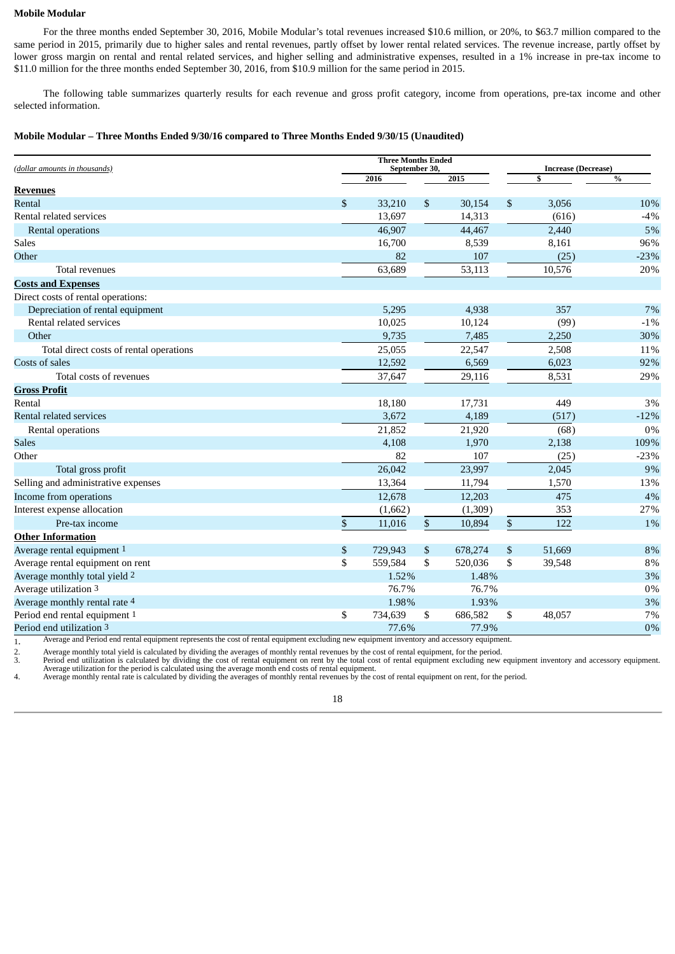# **Mobile Modular**

For the three months ended September 30, 2016, Mobile Modular's total revenues increased \$10.6 million, or 20%, to \$63.7 million compared to the same period in 2015, primarily due to higher sales and rental revenues, partly offset by lower rental related services. The revenue increase, partly offset by lower gross margin on rental and rental related services, and higher selling and administrative expenses, resulted in a 1% increase in pre-tax income to \$11.0 million for the three months ended September 30, 2016, from \$10.9 million for the same period in 2015.

The following table summarizes quarterly results for each revenue and gross profit category, income from operations, pre-tax income and other selected information.

#### **Mobile Modular – Three Months Ended 9/30/16 compared to Three Months Ended 9/30/15 (Unaudited)**

| (dollar amounts in thousands)           |               |         | <b>Three Months Ended</b><br>September 30, | <b>Increase (Decrease)</b> |              |               |  |  |
|-----------------------------------------|---------------|---------|--------------------------------------------|----------------------------|--------------|---------------|--|--|
|                                         | 2016          |         |                                            | 2015                       | \$           | $\frac{0}{0}$ |  |  |
| <b>Revenues</b>                         |               |         |                                            |                            |              |               |  |  |
| Rental                                  | \$            | 33,210  | \$                                         | 30,154                     | \$<br>3,056  | 10%           |  |  |
| Rental related services                 | 13,697        |         |                                            | 14,313                     | (616)        | $-4%$         |  |  |
| Rental operations                       |               | 46,907  |                                            | 44,467                     | 2,440        | 5%            |  |  |
| Sales                                   | 16,700        |         |                                            | 8,539                      | 8,161        | 96%           |  |  |
| Other                                   |               | 82      |                                            | 107                        | (25)         | $-23%$        |  |  |
| Total revenues                          | 63,689        |         |                                            | 53,113                     | 10,576       | 20%           |  |  |
| <b>Costs and Expenses</b>               |               |         |                                            |                            |              |               |  |  |
| Direct costs of rental operations:      |               |         |                                            |                            |              |               |  |  |
| Depreciation of rental equipment        |               | 5,295   |                                            | 4,938                      | 357          | 7%            |  |  |
| Rental related services                 | 10,025        |         |                                            | 10,124                     | (99)         | $-1\%$        |  |  |
| Other                                   |               | 9,735   |                                            | 7,485                      | 2,250        | 30%           |  |  |
| Total direct costs of rental operations |               | 25,055  |                                            | 22,547                     | 2,508        | 11%           |  |  |
| Costs of sales                          | 12,592        |         |                                            | 6,569                      | 6,023        | 92%           |  |  |
| Total costs of revenues                 | 37,647        |         |                                            | 29,116                     | 8,531        | 29%           |  |  |
| <b>Gross Profit</b>                     |               |         |                                            |                            |              |               |  |  |
| Rental                                  |               | 18,180  |                                            | 17,731                     | 449          | 3%            |  |  |
| Rental related services                 |               | 3,672   |                                            | 4,189                      | (517)        | $-12%$        |  |  |
| Rental operations                       |               | 21,852  |                                            | 21,920                     | (68)         | 0%            |  |  |
| <b>Sales</b>                            |               | 4,108   |                                            | 1,970                      | 2,138        | 109%          |  |  |
| Other                                   |               | 82      |                                            | 107                        | (25)         | $-23%$        |  |  |
| Total gross profit                      |               | 26,042  |                                            | 23,997                     | 2,045        | 9%            |  |  |
| Selling and administrative expenses     | 13,364        |         |                                            | 11,794                     | 1,570        | 13%           |  |  |
| Income from operations                  |               | 12,678  |                                            | 12,203                     | 475          | 4%            |  |  |
| Interest expense allocation             |               | (1,662) |                                            | (1,309)                    | 353          | 27%           |  |  |
| Pre-tax income                          | \$            | 11,016  | \$                                         | 10,894                     | \$<br>122    | 1%            |  |  |
| <b>Other Information</b>                |               |         |                                            |                            |              |               |  |  |
| Average rental equipment 1              | \$<br>729,943 |         | \$                                         | 678,274                    | \$<br>51,669 | 8%            |  |  |
| Average rental equipment on rent        | \$<br>559,584 |         | \$                                         | 520,036                    | \$<br>39,548 | 8%            |  |  |
| Average monthly total yield 2           |               | 1.52%   |                                            | 1.48%                      |              | 3%            |  |  |
| Average utilization 3                   |               | 76.7%   |                                            | 76.7%                      |              | 0%            |  |  |
| Average monthly rental rate 4           |               | 1.98%   |                                            | 1.93%                      |              | 3%            |  |  |
| Period end rental equipment 1           | \$<br>734,639 |         | \$                                         | 686,582                    | \$<br>48,057 | 7%            |  |  |
| Period end utilization 3                |               | 77.6%   |                                            | 77.9%                      |              | 0%            |  |  |

2. Average monthly total yield is calculated by dividing the averages of monthly rental revenues by the cost of rental equipment, for the period.

1. Average and Period end rental equipment represents the cost of rental equipment excluding new equipment inventory and accessory equipment.<br>
2. Average monthly total yield is calculated by dividing the averages of monthl 3. Period end utilization is calculated by dividing the cost of rental equipment on rent by the total cost of rental equipment excluding new equipment inventory and accessory equipment.<br>Average utilization for the period i

4. Average monthly rental rate is calculated by dividing the averages of monthly rental revenues by the cost of rental equipment on rent, for the period.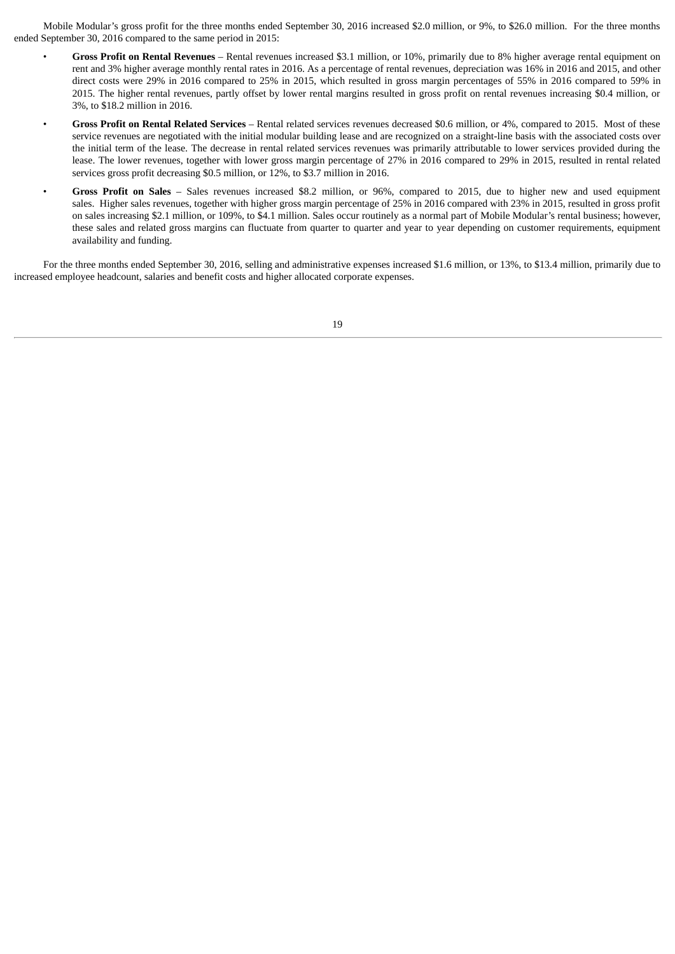Mobile Modular's gross profit for the three months ended September 30, 2016 increased \$2.0 million, or 9%, to \$26.0 million. For the three months ended September 30, 2016 compared to the same period in 2015:

- **Gross Profit on Rental Revenues** Rental revenues increased \$3.1 million, or 10%, primarily due to 8% higher average rental equipment on rent and 3% higher average monthly rental rates in 2016. As a percentage of rental revenues, depreciation was 16% in 2016 and 2015, and other direct costs were 29% in 2016 compared to 25% in 2015, which resulted in gross margin percentages of 55% in 2016 compared to 59% in 2015. The higher rental revenues, partly offset by lower rental margins resulted in gross profit on rental revenues increasing \$0.4 million, or 3%, to \$18.2 million in 2016.
- **Gross Profit on Rental Related Services** Rental related services revenues decreased \$0.6 million, or 4%, compared to 2015. Most of these service revenues are negotiated with the initial modular building lease and are recognized on a straight-line basis with the associated costs over the initial term of the lease. The decrease in rental related services revenues was primarily attributable to lower services provided during the lease. The lower revenues, together with lower gross margin percentage of 27% in 2016 compared to 29% in 2015, resulted in rental related services gross profit decreasing \$0.5 million, or 12%, to \$3.7 million in 2016.
- **Gross Profit on Sales** Sales revenues increased \$8.2 million, or 96%, compared to 2015, due to higher new and used equipment sales. Higher sales revenues, together with higher gross margin percentage of 25% in 2016 compared with 23% in 2015, resulted in gross profit on sales increasing \$2.1 million, or 109%, to \$4.1 million. Sales occur routinely as a normal part of Mobile Modular's rental business; however, these sales and related gross margins can fluctuate from quarter to quarter and year to year depending on customer requirements, equipment availability and funding.

For the three months ended September 30, 2016, selling and administrative expenses increased \$1.6 million, or 13%, to \$13.4 million, primarily due to increased employee headcount, salaries and benefit costs and higher allocated corporate expenses.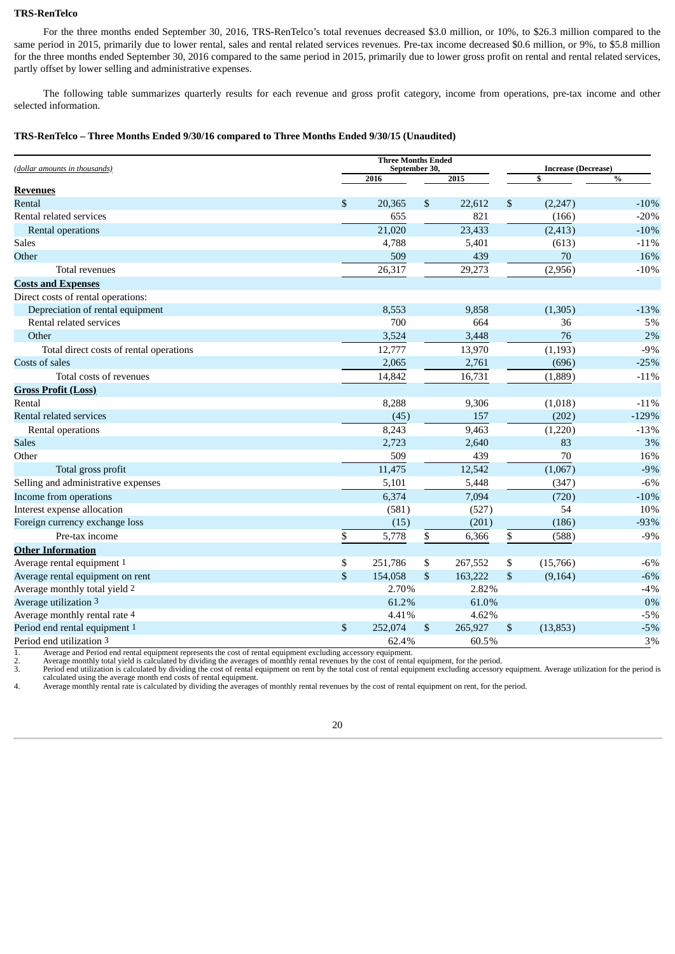#### **TRS-RenTelco**

For the three months ended September 30, 2016, TRS-RenTelco's total revenues decreased \$3.0 million, or 10%, to \$26.3 million compared to the same period in 2015, primarily due to lower rental, sales and rental related services revenues. Pre-tax income decreased \$0.6 million, or 9%, to \$5.8 million for the three months ended September 30, 2016 compared to the same period in 2015, primarily due to lower gross profit on rental and rental related services, partly offset by lower selling and administrative expenses.

The following table summarizes quarterly results for each revenue and gross profit category, income from operations, pre-tax income and other selected information.

#### **TRS-RenTelco – Three Months Ended 9/30/16 compared to Three Months Ended 9/30/15 (Unaudited)**

| (dollar amounts in thousands)           | <b>Three Months Ended</b><br>September 30, |         |    |         |    |           | <b>Increase (Decrease)</b> |  |  |
|-----------------------------------------|--------------------------------------------|---------|----|---------|----|-----------|----------------------------|--|--|
|                                         |                                            | 2016    |    | 2015    |    | \$        | $\%$                       |  |  |
| <b>Revenues</b>                         |                                            |         |    |         |    |           |                            |  |  |
| Rental                                  | \$                                         | 20,365  | \$ | 22,612  | \$ | (2,247)   | $-10%$                     |  |  |
| Rental related services                 |                                            | 655     |    | 821     |    | (166)     | $-20%$                     |  |  |
| Rental operations                       |                                            | 21,020  |    | 23,433  |    | (2, 413)  | $-10%$                     |  |  |
| Sales                                   |                                            | 4,788   |    | 5,401   |    | (613)     | $-11%$                     |  |  |
| Other                                   |                                            | 509     |    | 439     |    | 70        | 16%                        |  |  |
| <b>Total revenues</b>                   |                                            | 26,317  |    | 29,273  |    | (2,956)   | $-10%$                     |  |  |
| <b>Costs and Expenses</b>               |                                            |         |    |         |    |           |                            |  |  |
| Direct costs of rental operations:      |                                            |         |    |         |    |           |                            |  |  |
| Depreciation of rental equipment        |                                            | 8,553   |    | 9,858   |    | (1,305)   | $-13%$                     |  |  |
| Rental related services                 |                                            | 700     |    | 664     |    | 36        | 5%                         |  |  |
| Other                                   |                                            | 3,524   |    | 3,448   |    | 76        | 2%                         |  |  |
| Total direct costs of rental operations |                                            | 12,777  |    | 13,970  |    | (1, 193)  | $-9%$                      |  |  |
| Costs of sales                          |                                            | 2,065   |    | 2,761   |    | (696)     | $-25%$                     |  |  |
| Total costs of revenues                 |                                            | 14,842  |    | 16,731  |    | (1,889)   | $-11%$                     |  |  |
| <b>Gross Profit (Loss)</b>              |                                            |         |    |         |    |           |                            |  |  |
| Rental                                  |                                            | 8,288   |    | 9,306   |    | (1,018)   | $-11%$                     |  |  |
| Rental related services                 |                                            | (45)    |    | 157     |    | (202)     | $-129%$                    |  |  |
| Rental operations                       |                                            | 8,243   |    | 9,463   |    | (1,220)   | $-13%$                     |  |  |
| <b>Sales</b>                            |                                            | 2,723   |    | 2,640   |    | 83        | 3%                         |  |  |
| Other                                   |                                            | 509     |    | 439     |    | 70        | 16%                        |  |  |
| Total gross profit                      |                                            | 11,475  |    | 12,542  |    | (1,067)   | $-9%$                      |  |  |
| Selling and administrative expenses     |                                            | 5,101   |    | 5,448   |    | (347)     | $-6%$                      |  |  |
| Income from operations                  |                                            | 6,374   |    | 7,094   |    | (720)     | $-10%$                     |  |  |
| Interest expense allocation             |                                            | (581)   |    | (527)   |    | 54        | 10%                        |  |  |
| Foreign currency exchange loss          |                                            | (15)    |    | (201)   |    | (186)     | $-93%$                     |  |  |
| Pre-tax income                          | \$                                         | 5,778   | \$ | 6,366   | \$ | (588)     | $-9%$                      |  |  |
| <b>Other Information</b>                |                                            |         |    |         |    |           |                            |  |  |
| Average rental equipment 1              | \$                                         | 251,786 | \$ | 267,552 | \$ | (15,766)  | $-6%$                      |  |  |
| Average rental equipment on rent        | \$                                         | 154,058 | \$ | 163,222 | \$ | (9,164)   | $-6%$                      |  |  |
| Average monthly total yield 2           |                                            | 2.70%   |    | 2.82%   |    |           | $-4%$                      |  |  |
| Average utilization 3                   |                                            | 61.2%   |    | 61.0%   |    |           | 0%                         |  |  |
| Average monthly rental rate 4           |                                            | 4.41%   |    | 4.62%   |    |           | $-5%$                      |  |  |
| Period end rental equipment 1           | \$                                         | 252,074 | \$ | 265,927 | \$ | (13, 853) | $-5%$                      |  |  |
| Period end utilization 3                |                                            | 62.4%   |    | 60.5%   |    |           | 3%                         |  |  |

1. Average and Period end rental equipment represents the cost of rental equipment excluding accessory equipment.<br>
2. Average monthly total yield is calculated by dividing the averages of monthly rental revenues by the cos

2. Average monthly total yield is calculated by dividing the averages of monthly rental revenues by the cost of rental equipment, for the period.

3. Period end utilization is calculated by dividing the cost of rental equipment on rent by the total cost of rental equipment excluding accessory equipment. Average utilization for the period is<br>calculated using the avera

4. Average monthly rental rate is calculated by dividing the averages of monthly rental revenues by the cost of rental equipment on rent, for the period.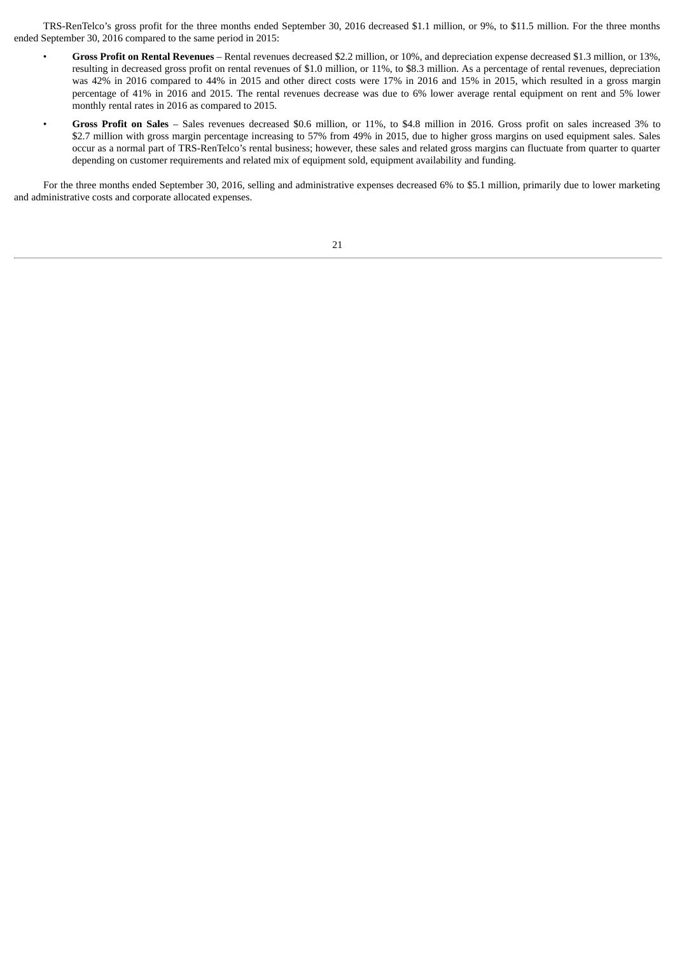TRS-RenTelco's gross profit for the three months ended September 30, 2016 decreased \$1.1 million, or 9%, to \$11.5 million. For the three months ended September 30, 2016 compared to the same period in 2015:

- **Gross Profit on Rental Revenues** Rental revenues decreased \$2.2 million, or 10%, and depreciation expense decreased \$1.3 million, or 13%, resulting in decreased gross profit on rental revenues of \$1.0 million, or 11%, to \$8.3 million. As a percentage of rental revenues, depreciation was 42% in 2016 compared to 44% in 2015 and other direct costs were 17% in 2016 and 15% in 2015, which resulted in a gross margin percentage of 41% in 2016 and 2015. The rental revenues decrease was due to 6% lower average rental equipment on rent and 5% lower monthly rental rates in 2016 as compared to 2015.
- **Gross Profit on Sales** Sales revenues decreased \$0.6 million, or 11%, to \$4.8 million in 2016. Gross profit on sales increased 3% to \$2.7 million with gross margin percentage increasing to 57% from 49% in 2015, due to higher gross margins on used equipment sales. Sales occur as a normal part of TRS-RenTelco's rental business; however, these sales and related gross margins can fluctuate from quarter to quarter depending on customer requirements and related mix of equipment sold, equipment availability and funding.

For the three months ended September 30, 2016, selling and administrative expenses decreased 6% to \$5.1 million, primarily due to lower marketing and administrative costs and corporate allocated expenses.

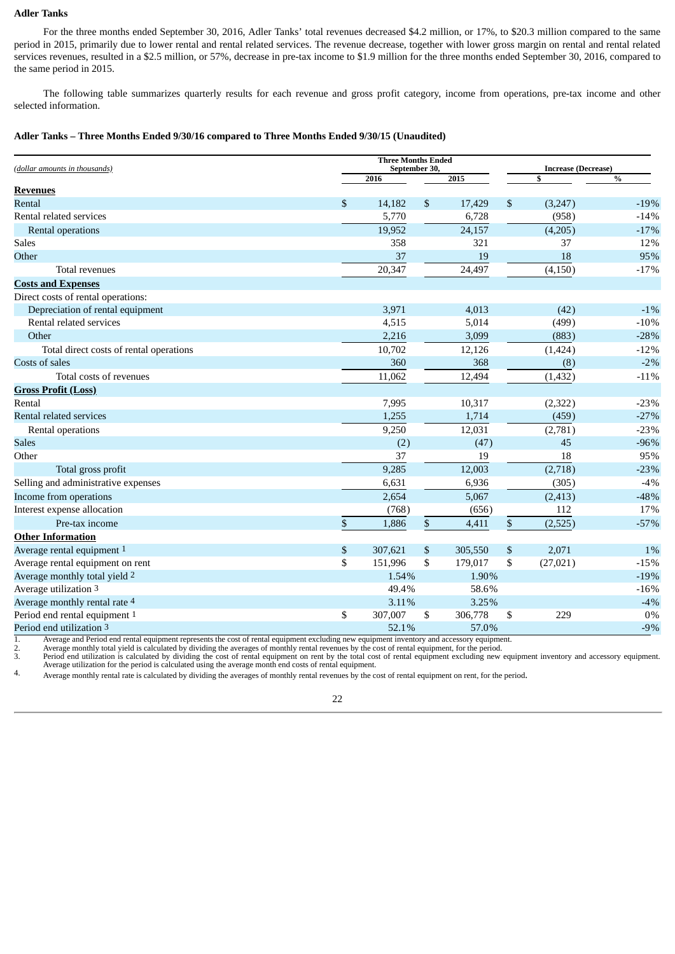# **Adler Tanks**

For the three months ended September 30, 2016, Adler Tanks' total revenues decreased \$4.2 million, or 17%, to \$20.3 million compared to the same period in 2015, primarily due to lower rental and rental related services. The revenue decrease, together with lower gross margin on rental and rental related services revenues, resulted in a \$2.5 million, or 57%, decrease in pre-tax income to \$1.9 million for the three months ended September 30, 2016, compared to the same period in 2015.

The following table summarizes quarterly results for each revenue and gross profit category, income from operations, pre-tax income and other selected information.

#### **Adler Tanks – Three Months Ended 9/30/16 compared to Three Months Ended 9/30/15 (Unaudited)**

| (dollar amounts in thousands)           | <b>Three Months Ended</b><br>September 30, |    | <b>Increase (Decrease)</b> |    |           |               |
|-----------------------------------------|--------------------------------------------|----|----------------------------|----|-----------|---------------|
|                                         | 2016                                       |    | 2015                       |    | \$        | $\frac{0}{0}$ |
| <b>Revenues</b>                         |                                            |    |                            |    |           |               |
| Rental                                  | \$<br>14,182                               | \$ | 17,429                     | \$ | (3,247)   | $-19%$        |
| Rental related services                 | 5,770                                      |    | 6,728                      |    | (958)     | $-14%$        |
| Rental operations                       | 19,952                                     |    | 24,157                     |    | (4,205)   | $-17%$        |
| Sales                                   | 358                                        |    | 321                        |    | 37        | 12%           |
| Other                                   | 37                                         |    | 19                         |    | 18        | 95%           |
| Total revenues                          | 20,347                                     |    | 24,497                     |    | (4, 150)  | $-17%$        |
| <b>Costs and Expenses</b>               |                                            |    |                            |    |           |               |
| Direct costs of rental operations:      |                                            |    |                            |    |           |               |
| Depreciation of rental equipment        | 3,971                                      |    | 4,013                      |    | (42)      | $-1%$         |
| Rental related services                 | 4,515                                      |    | 5,014                      |    | (499)     | $-10%$        |
| Other                                   | 2,216                                      |    | 3,099                      |    | (883)     | $-28%$        |
| Total direct costs of rental operations | 10,702                                     |    | 12,126                     |    | (1, 424)  | $-12%$        |
| Costs of sales                          | 360                                        |    | 368                        |    | (8)       | $-2%$         |
| Total costs of revenues                 | 11,062                                     |    | 12,494                     |    | (1, 432)  | $-11%$        |
| <b>Gross Profit (Loss)</b>              |                                            |    |                            |    |           |               |
| Rental                                  | 7,995                                      |    | 10,317                     |    | (2, 322)  | $-23%$        |
| Rental related services                 | 1,255                                      |    | 1,714                      |    | (459)     | $-27%$        |
| Rental operations                       | 9,250                                      |    | 12,031                     |    | (2,781)   | $-23%$        |
| <b>Sales</b>                            | (2)                                        |    | (47)                       |    | 45        | $-96%$        |
| Other                                   | 37                                         |    | 19                         |    | 18        | 95%           |
| Total gross profit                      | 9,285                                      |    | 12,003                     |    | (2,718)   | $-23%$        |
| Selling and administrative expenses     | 6,631                                      |    | 6,936                      |    | (305)     | $-4%$         |
| Income from operations                  | 2,654                                      |    | 5,067                      |    | (2, 413)  | $-48%$        |
| Interest expense allocation             | (768)                                      |    | (656)                      |    | 112       | 17%           |
| Pre-tax income                          | \$<br>1,886                                | \$ | 4,411                      | \$ | (2,525)   | $-57%$        |
| <b>Other Information</b>                |                                            |    |                            |    |           |               |
| Average rental equipment 1              | \$<br>307,621                              | \$ | 305,550                    | \$ | 2,071     | 1%            |
| Average rental equipment on rent        | \$<br>151,996                              | \$ | 179,017                    | \$ | (27, 021) | $-15%$        |
| Average monthly total yield 2           | 1.54%                                      |    | 1.90%                      |    |           | $-19%$        |
| Average utilization 3                   | 49.4%                                      |    | 58.6%                      |    |           | $-16%$        |
| Average monthly rental rate 4           | 3.11%                                      |    | 3.25%                      |    |           | $-4%$         |
| Period end rental equipment 1           | \$<br>307,007                              | \$ | 306,778                    | \$ | 229       | 0%            |
| Period end utilization 3                | 52.1%                                      |    | 57.0%                      |    |           | $-9%$         |

2. Average monthly total yield is calculated by dividing the averages of monthly rental revenues by the cost of rental equipment, for the period.

1. Average and Period end rental equipment represents the cost of rental equipment excluding new equipment inventory and accessory equipment.<br>
2. Average monthly total yield is calculated by dividing the averages of monthl 3. Period end utilization is calculated by dividing the cost of rental equipment on rent by the total cost of rental equipment excluding new equipment inventory and accessory equipment.<br>Average utilization for the period i

4. Average monthly rental rate is calculated by dividing the averages of monthly rental revenues by the cost of rental equipment on rent, for the period.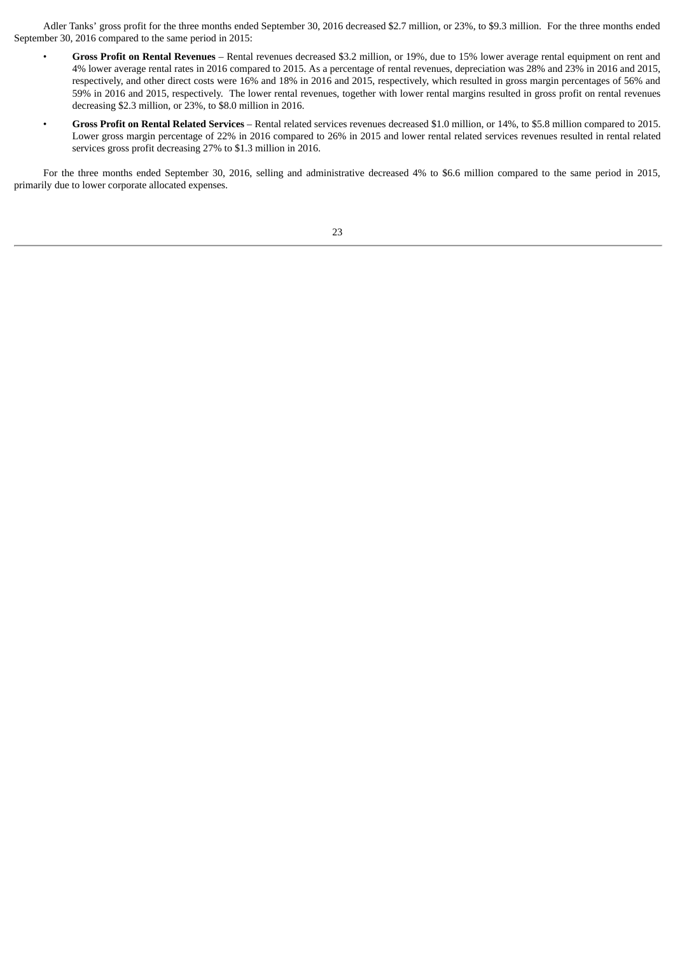Adler Tanks' gross profit for the three months ended September 30, 2016 decreased \$2.7 million, or 23%, to \$9.3 million. For the three months ended September 30, 2016 compared to the same period in 2015:

- **Gross Profit on Rental Revenues** Rental revenues decreased \$3.2 million, or 19%, due to 15% lower average rental equipment on rent and 4% lower average rental rates in 2016 compared to 2015. As a percentage of rental revenues, depreciation was 28% and 23% in 2016 and 2015, respectively, and other direct costs were 16% and 18% in 2016 and 2015, respectively, which resulted in gross margin percentages of 56% and 59% in 2016 and 2015, respectively. The lower rental revenues, together with lower rental margins resulted in gross profit on rental revenues decreasing \$2.3 million, or 23%, to \$8.0 million in 2016.
- **Gross Profit on Rental Related Services** Rental related services revenues decreased \$1.0 million, or 14%, to \$5.8 million compared to 2015. Lower gross margin percentage of 22% in 2016 compared to 26% in 2015 and lower rental related services revenues resulted in rental related services gross profit decreasing 27% to \$1.3 million in 2016.

For the three months ended September 30, 2016, selling and administrative decreased 4% to \$6.6 million compared to the same period in 2015, primarily due to lower corporate allocated expenses.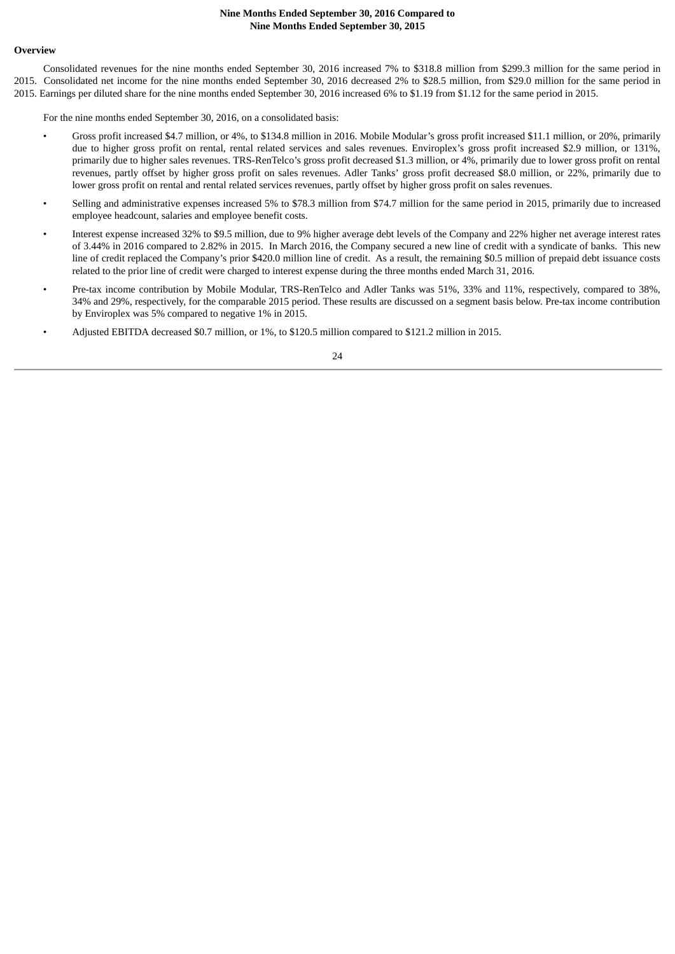# **Nine Months Ended September 30, 2016 Compared to Nine Months Ended September 30, 2015**

#### **Overview**

Consolidated revenues for the nine months ended September 30, 2016 increased 7% to \$318.8 million from \$299.3 million for the same period in 2015. Consolidated net income for the nine months ended September 30, 2016 decreased 2% to \$28.5 million, from \$29.0 million for the same period in 2015. Earnings per diluted share for the nine months ended September 30, 2016 increased 6% to \$1.19 from \$1.12 for the same period in 2015.

For the nine months ended September 30, 2016, on a consolidated basis:

- Gross profit increased \$4.7 million, or 4%, to \$134.8 million in 2016. Mobile Modular's gross profit increased \$11.1 million, or 20%, primarily due to higher gross profit on rental, rental related services and sales revenues. Enviroplex's gross profit increased \$2.9 million, or 131%, primarily due to higher sales revenues. TRS-RenTelco's gross profit decreased \$1.3 million, or 4%, primarily due to lower gross profit on rental revenues, partly offset by higher gross profit on sales revenues. Adler Tanks' gross profit decreased \$8.0 million, or 22%, primarily due to lower gross profit on rental and rental related services revenues, partly offset by higher gross profit on sales revenues.
- Selling and administrative expenses increased 5% to \$78.3 million from \$74.7 million for the same period in 2015, primarily due to increased employee headcount, salaries and employee benefit costs.
- Interest expense increased 32% to \$9.5 million, due to 9% higher average debt levels of the Company and 22% higher net average interest rates of 3.44% in 2016 compared to 2.82% in 2015. In March 2016, the Company secured a new line of credit with a syndicate of banks. This new line of credit replaced the Company's prior \$420.0 million line of credit. As a result, the remaining \$0.5 million of prepaid debt issuance costs related to the prior line of credit were charged to interest expense during the three months ended March 31, 2016.
- Pre-tax income contribution by Mobile Modular, TRS-RenTelco and Adler Tanks was 51%, 33% and 11%, respectively, compared to 38%, 34% and 29%, respectively, for the comparable 2015 period. These results are discussed on a segment basis below. Pre-tax income contribution by Enviroplex was 5% compared to negative 1% in 2015.
- Adjusted EBITDA decreased \$0.7 million, or 1%, to \$120.5 million compared to \$121.2 million in 2015.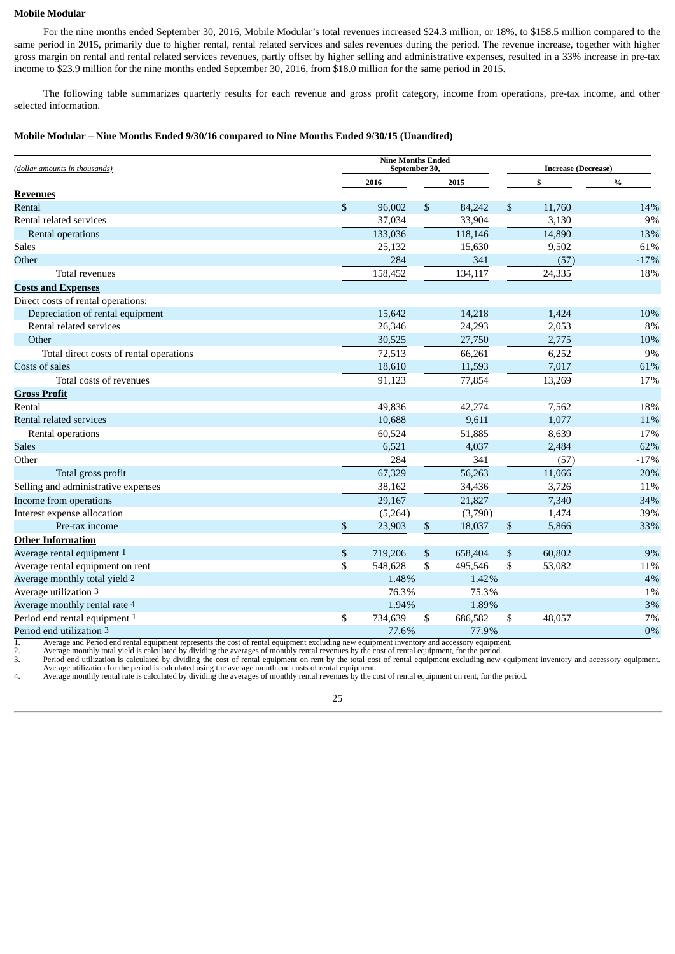# **Mobile Modular**

For the nine months ended September 30, 2016, Mobile Modular's total revenues increased \$24.3 million, or 18%, to \$158.5 million compared to the same period in 2015, primarily due to higher rental, rental related services and sales revenues during the period. The revenue increase, together with higher gross margin on rental and rental related services revenues, partly offset by higher selling and administrative expenses, resulted in a 33% increase in pre-tax income to \$23.9 million for the nine months ended September 30, 2016, from \$18.0 million for the same period in 2015.

The following table summarizes quarterly results for each revenue and gross profit category, income from operations, pre-tax income, and other selected information.

#### **Mobile Modular – Nine Months Ended 9/30/16 compared to Nine Months Ended 9/30/15 (Unaudited)**

| (dollar amounts in thousands)           | <b>Nine Months Ended</b><br>September 30, | <b>Increase (Decrease)</b> |         |       |        |               |
|-----------------------------------------|-------------------------------------------|----------------------------|---------|-------|--------|---------------|
|                                         | 2016                                      |                            | 2015    |       | \$     | $\frac{0}{0}$ |
| <b>Revenues</b>                         |                                           |                            |         |       |        |               |
| Rental                                  | \$<br>96,002                              | $\mathfrak{S}$             | 84,242  | \$    | 11,760 | 14%           |
| Rental related services                 | 37,034                                    |                            | 33,904  |       | 3,130  | 9%            |
| Rental operations                       | 133,036                                   |                            | 118,146 |       | 14,890 | 13%           |
| <b>Sales</b>                            | 25,132                                    |                            | 15,630  |       | 9,502  | 61%           |
| Other                                   | 284                                       |                            | 341     |       | (57)   | $-17%$        |
| <b>Total revenues</b>                   | 158,452                                   |                            | 134,117 |       | 24,335 | 18%           |
| <b>Costs and Expenses</b>               |                                           |                            |         |       |        |               |
| Direct costs of rental operations:      |                                           |                            |         |       |        |               |
| Depreciation of rental equipment        | 15,642                                    |                            | 14,218  |       | 1,424  | 10%           |
| Rental related services                 | 26,346                                    |                            | 24,293  |       | 2,053  | 8%            |
| Other                                   | 30,525                                    |                            | 27,750  |       | 2,775  | 10%           |
| Total direct costs of rental operations | 72,513                                    |                            | 66,261  |       | 6,252  | 9%            |
| Costs of sales                          | 18,610                                    |                            | 11,593  |       | 7,017  | 61%           |
| Total costs of revenues                 | 91,123                                    |                            | 77,854  |       | 13,269 | 17%           |
| <b>Gross Profit</b>                     |                                           |                            |         |       |        |               |
| Rental                                  | 49,836                                    |                            | 42,274  |       | 7,562  | 18%           |
| Rental related services                 | 10,688                                    |                            | 9,611   |       | 1,077  | 11%           |
| Rental operations                       | 60,524                                    |                            | 51,885  |       | 8,639  | 17%           |
| <b>Sales</b>                            | 6,521                                     |                            | 4,037   |       | 2,484  | 62%           |
| Other                                   | 284                                       |                            | 341     |       | (57)   | $-17%$        |
| Total gross profit                      | 67,329                                    |                            | 56,263  |       | 11,066 | 20%           |
| Selling and administrative expenses     | 38,162                                    |                            | 34,436  |       | 3,726  | 11%           |
| Income from operations                  | 29,167                                    |                            | 21,827  |       | 7,340  | 34%           |
| Interest expense allocation             | (5,264)                                   |                            | (3,790) |       | 1,474  | 39%           |
| Pre-tax income                          | \$<br>23,903                              | \$                         | 18,037  | \$    | 5,866  | 33%           |
| <b>Other Information</b>                |                                           |                            |         |       |        |               |
| Average rental equipment 1              | \$<br>719,206                             | \$                         | 658,404 | \$    | 60,802 | 9%            |
| Average rental equipment on rent        | \$<br>548,628                             | \$                         | 495,546 | \$    | 53,082 | 11%           |
| Average monthly total yield 2           | 1.48%                                     |                            | 1.42%   |       |        | 4%            |
| Average utilization 3                   |                                           | 76.3%                      |         | 75.3% |        | 1%            |
| Average monthly rental rate 4           | 1.94%                                     |                            | 1.89%   |       |        | 3%            |
| Period end rental equipment 1           | \$<br>734,639                             | \$                         | 686,582 | \$    | 48,057 | 7%            |
| Period end utilization 3                | 77.6%                                     |                            | 77.9%   |       |        | 0%            |

1. Average and Period end rental equipment represents the cost of rental equipment excluding new equipment inventory and accessory equipment.<br>
2. Average monthly total yield is calculated by dividing the averages of monthl 2. Average monthly total yield is calculated by dividing the averages of monthly rental revenues by the cost of rental equipment, for the period.<br>3. Period end utilization is calculated by dividing the cost of rental equip

Average monthly rental rate is calculated by dividing the averages of monthly rental revenues by the cost of rental equipment on rent, for the period.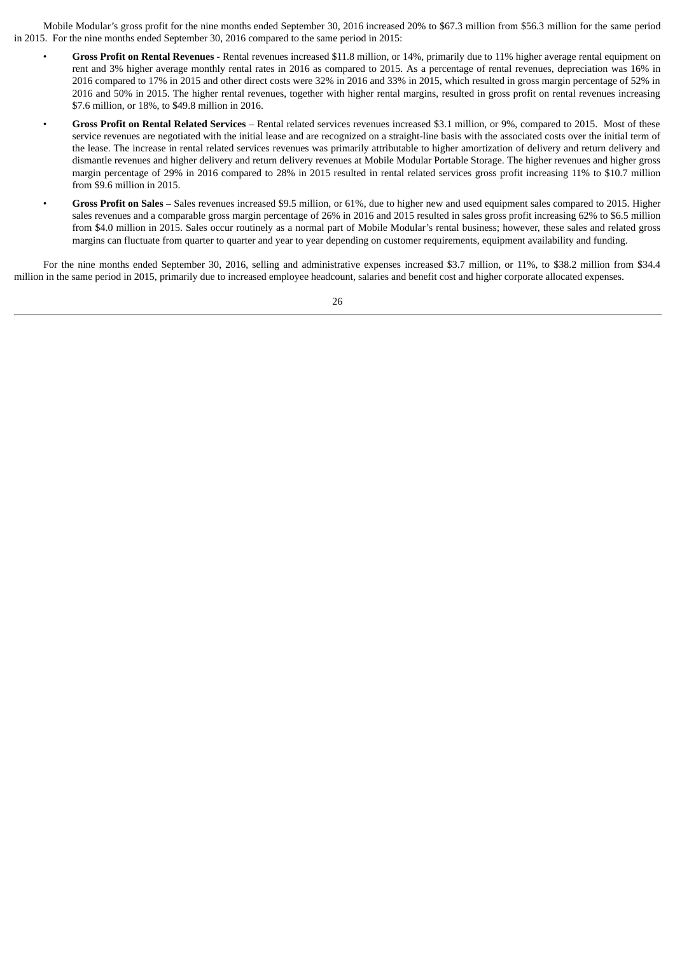Mobile Modular's gross profit for the nine months ended September 30, 2016 increased 20% to \$67.3 million from \$56.3 million for the same period in 2015. For the nine months ended September 30, 2016 compared to the same period in 2015:

- **Gross Profit on Rental Revenues** Rental revenues increased \$11.8 million, or 14%, primarily due to 11% higher average rental equipment on rent and 3% higher average monthly rental rates in 2016 as compared to 2015. As a percentage of rental revenues, depreciation was 16% in 2016 compared to 17% in 2015 and other direct costs were 32% in 2016 and 33% in 2015, which resulted in gross margin percentage of 52% in 2016 and 50% in 2015. The higher rental revenues, together with higher rental margins, resulted in gross profit on rental revenues increasing \$7.6 million, or 18%, to \$49.8 million in 2016.
- **Gross Profit on Rental Related Services** Rental related services revenues increased \$3.1 million, or 9%, compared to 2015. Most of these service revenues are negotiated with the initial lease and are recognized on a straight-line basis with the associated costs over the initial term of the lease. The increase in rental related services revenues was primarily attributable to higher amortization of delivery and return delivery and dismantle revenues and higher delivery and return delivery revenues at Mobile Modular Portable Storage. The higher revenues and higher gross margin percentage of 29% in 2016 compared to 28% in 2015 resulted in rental related services gross profit increasing 11% to \$10.7 million from \$9.6 million in 2015.
- **Gross Profit on Sales** Sales revenues increased \$9.5 million, or 61%, due to higher new and used equipment sales compared to 2015. Higher sales revenues and a comparable gross margin percentage of 26% in 2016 and 2015 resulted in sales gross profit increasing 62% to \$6.5 million from \$4.0 million in 2015. Sales occur routinely as a normal part of Mobile Modular's rental business; however, these sales and related gross margins can fluctuate from quarter to quarter and year to year depending on customer requirements, equipment availability and funding.

For the nine months ended September 30, 2016, selling and administrative expenses increased \$3.7 million, or 11%, to \$38.2 million from \$34.4 million in the same period in 2015, primarily due to increased employee headcount, salaries and benefit cost and higher corporate allocated expenses.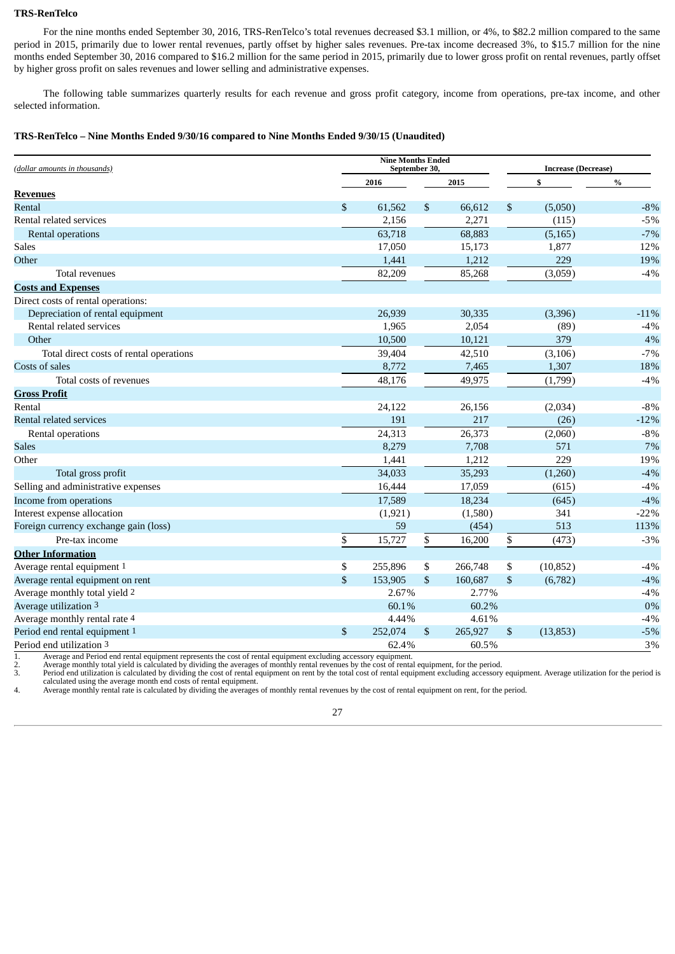# **TRS-RenTelco**

For the nine months ended September 30, 2016, TRS-RenTelco's total revenues decreased \$3.1 million, or 4%, to \$82.2 million compared to the same period in 2015, primarily due to lower rental revenues, partly offset by higher sales revenues. Pre-tax income decreased 3%, to \$15.7 million for the nine months ended September 30, 2016 compared to \$16.2 million for the same period in 2015, primarily due to lower gross profit on rental revenues, partly offset by higher gross profit on sales revenues and lower selling and administrative expenses.

The following table summarizes quarterly results for each revenue and gross profit category, income from operations, pre-tax income, and other selected information.

#### **TRS-RenTelco – Nine Months Ended 9/30/16 compared to Nine Months Ended 9/30/15 (Unaudited)**

| (dollar amounts in thousands)           | <b>Nine Months Ended</b><br>September 30, | <b>Increase (Decrease)</b> |         |                 |        |
|-----------------------------------------|-------------------------------------------|----------------------------|---------|-----------------|--------|
|                                         | 2016                                      |                            | 2015    | \$              | $\%$   |
| <b>Revenues</b>                         |                                           |                            |         |                 |        |
| Rental                                  | \$<br>61,562                              | \$                         | 66,612  | \$<br>(5,050)   | $-8%$  |
| Rental related services                 | 2,156                                     |                            | 2,271   | (115)           | $-5%$  |
| Rental operations                       | 63,718                                    |                            | 68,883  | (5, 165)        | $-7%$  |
| <b>Sales</b>                            | 17,050                                    |                            | 15,173  | 1,877           | 12%    |
| Other                                   | 1,441                                     |                            | 1,212   | 229             | 19%    |
| Total revenues                          | 82,209                                    |                            | 85,268  | (3,059)         | $-4%$  |
| <b>Costs and Expenses</b>               |                                           |                            |         |                 |        |
| Direct costs of rental operations:      |                                           |                            |         |                 |        |
| Depreciation of rental equipment        | 26,939                                    |                            | 30,335  | (3,396)         | $-11%$ |
| Rental related services                 | 1,965                                     |                            | 2,054   | (89)            | $-4%$  |
| Other                                   | 10,500                                    |                            | 10,121  | 379             | 4%     |
| Total direct costs of rental operations | 39,404                                    |                            | 42,510  | (3, 106)        | $-7%$  |
| Costs of sales                          | 8,772                                     |                            | 7,465   | 1,307           | 18%    |
| Total costs of revenues                 | 48,176                                    |                            | 49,975  | (1,799)         | $-4%$  |
| <b>Gross Profit</b>                     |                                           |                            |         |                 |        |
| Rental                                  | 24,122                                    |                            | 26,156  | (2,034)         | $-8%$  |
| Rental related services                 | 191                                       |                            | 217     | (26)            | $-12%$ |
| Rental operations                       | 24,313                                    |                            | 26,373  | (2,060)         | $-8%$  |
| <b>Sales</b>                            | 8,279                                     |                            | 7,708   | 571             | 7%     |
| Other                                   | 1,441                                     |                            | 1,212   | 229             | 19%    |
| Total gross profit                      | 34,033                                    |                            | 35,293  | (1,260)         | $-4%$  |
| Selling and administrative expenses     | 16,444                                    |                            | 17,059  | (615)           | $-4%$  |
| Income from operations                  | 17,589                                    |                            | 18,234  | (645)           | $-4%$  |
| Interest expense allocation             | (1, 921)                                  |                            | (1,580) | 341             | $-22%$ |
| Foreign currency exchange gain (loss)   | 59                                        |                            | (454)   | 513             | 113%   |
| Pre-tax income                          | \$<br>15,727                              | \$                         | 16,200  | \$<br>(473)     | $-3%$  |
| <b>Other Information</b>                |                                           |                            |         |                 |        |
| Average rental equipment 1              | \$<br>255,896                             | \$                         | 266,748 | \$<br>(10, 852) | $-4%$  |
| Average rental equipment on rent        | \$<br>153,905                             | \$                         | 160,687 | \$<br>(6,782)   | $-4%$  |
| Average monthly total yield 2           | 2.67%                                     |                            | 2.77%   |                 | $-4%$  |
| Average utilization 3                   | 60.1%                                     |                            | 60.2%   |                 | 0%     |
| Average monthly rental rate 4           | 4.44%                                     |                            | 4.61%   |                 | $-4%$  |
| Period end rental equipment 1           | \$<br>252,074                             | \$                         | 265,927 | \$<br>(13, 853) | $-5%$  |
| Period end utilization 3                | 62.4%                                     |                            | 60.5%   |                 | 3%     |

1. Average and Period end rental equipment represents the cost of rental equipment excluding accessory equipment.<br>2. Average monthly total yield is calculated by dividing the averages of monthly rental revenues by the cost

3. Average and Period end rental equipment represents the cost of rental equipment excluding accessory equipment.<br>2. Average monthly total yield is calculated by dividing the averages of monthly rental revenues by the cost

calculated using the average month end costs of rental equipment. 4. Average monthly rental rate is calculated by dividing the averages of monthly rental revenues by the cost of rental equipment on rent, for the period.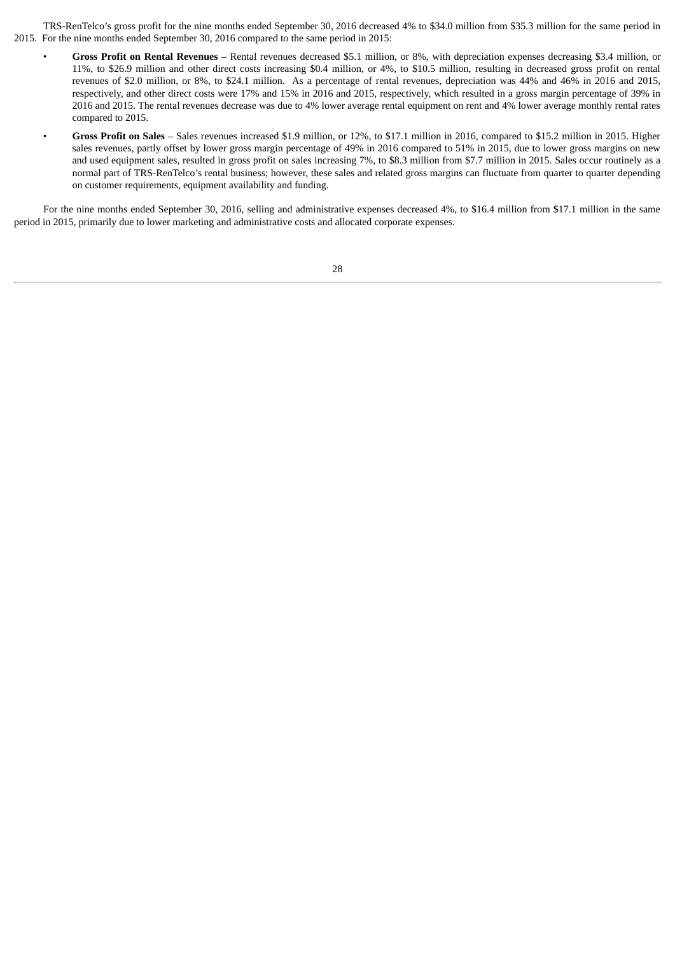TRS-RenTelco's gross profit for the nine months ended September 30, 2016 decreased 4% to \$34.0 million from \$35.3 million for the same period in 2015. For the nine months ended September 30, 2016 compared to the same period in 2015:

- **Gross Profit on Rental Revenues** Rental revenues decreased \$5.1 million, or 8%, with depreciation expenses decreasing \$3.4 million, or 11%, to \$26.9 million and other direct costs increasing \$0.4 million, or 4%, to \$10.5 million, resulting in decreased gross profit on rental revenues of \$2.0 million, or 8%, to \$24.1 million. As a percentage of rental revenues, depreciation was 44% and 46% in 2016 and 2015, respectively, and other direct costs were 17% and 15% in 2016 and 2015, respectively, which resulted in a gross margin percentage of 39% in 2016 and 2015. The rental revenues decrease was due to 4% lower average rental equipment on rent and 4% lower average monthly rental rates compared to 2015.
- **Gross Profit on Sales** Sales revenues increased \$1.9 million, or 12%, to \$17.1 million in 2016, compared to \$15.2 million in 2015. Higher sales revenues, partly offset by lower gross margin percentage of 49% in 2016 compared to 51% in 2015, due to lower gross margins on new and used equipment sales, resulted in gross profit on sales increasing 7%, to \$8.3 million from \$7.7 million in 2015. Sales occur routinely as a normal part of TRS-RenTelco's rental business; however, these sales and related gross margins can fluctuate from quarter to quarter depending on customer requirements, equipment availability and funding.

For the nine months ended September 30, 2016, selling and administrative expenses decreased 4%, to \$16.4 million from \$17.1 million in the same period in 2015, primarily due to lower marketing and administrative costs and allocated corporate expenses.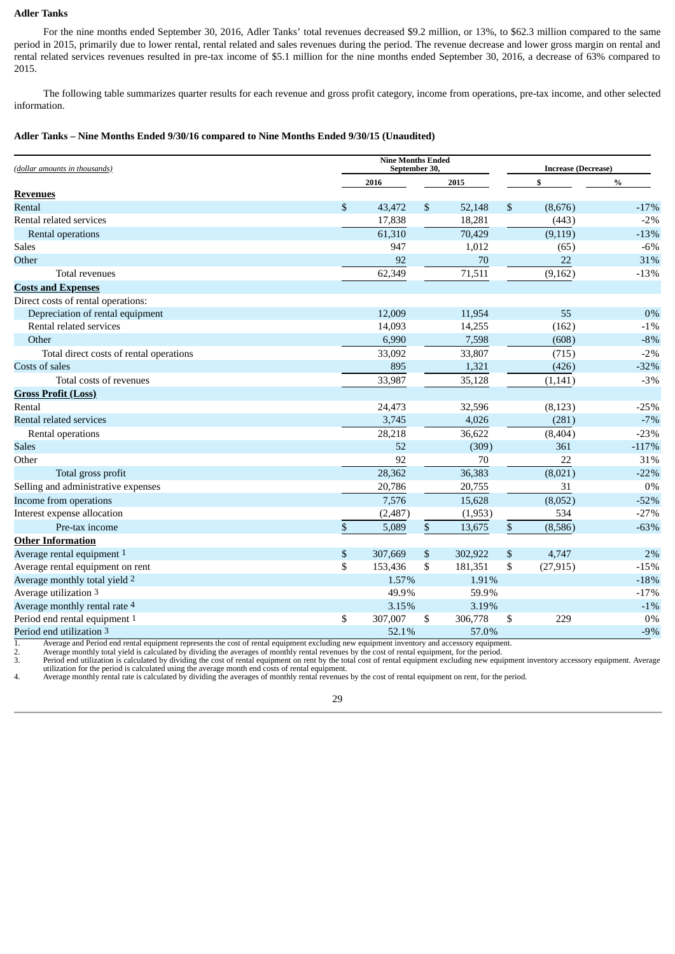# **Adler Tanks**

For the nine months ended September 30, 2016, Adler Tanks' total revenues decreased \$9.2 million, or 13%, to \$62.3 million compared to the same period in 2015, primarily due to lower rental, rental related and sales revenues during the period. The revenue decrease and lower gross margin on rental and rental related services revenues resulted in pre-tax income of \$5.1 million for the nine months ended September 30, 2016, a decrease of 63% compared to 2015.

The following table summarizes quarter results for each revenue and gross profit category, income from operations, pre-tax income, and other selected information.

# **Adler Tanks – Nine Months Ended 9/30/16 compared to Nine Months Ended 9/30/15 (Unaudited)**

| (dollar amounts in thousands)           | <b>Nine Months Ended</b><br>September 30, |         |                |         |    | <b>Increase (Decrease)</b> |         |  |
|-----------------------------------------|-------------------------------------------|---------|----------------|---------|----|----------------------------|---------|--|
|                                         |                                           | 2016    |                | 2015    |    | \$                         | $\%$    |  |
| <b>Revenues</b>                         |                                           |         |                |         |    |                            |         |  |
| Rental                                  | $\mathbb{S}$                              | 43,472  | $\mathfrak{S}$ | 52,148  | \$ | (8,676)                    | $-17%$  |  |
| Rental related services                 |                                           | 17,838  |                | 18,281  |    | (443)                      | $-2%$   |  |
| Rental operations                       |                                           | 61,310  |                | 70,429  |    | (9, 119)                   | $-13%$  |  |
| <b>Sales</b>                            |                                           | 947     |                | 1,012   |    | (65)                       | $-6%$   |  |
| Other                                   |                                           | 92      |                | 70      |    | 22                         | 31%     |  |
| Total revenues                          |                                           | 62,349  |                | 71,511  |    | (9, 162)                   | $-13%$  |  |
| <b>Costs and Expenses</b>               |                                           |         |                |         |    |                            |         |  |
| Direct costs of rental operations:      |                                           |         |                |         |    |                            |         |  |
| Depreciation of rental equipment        |                                           | 12,009  |                | 11,954  |    | 55                         | 0%      |  |
| Rental related services                 |                                           | 14,093  |                | 14,255  |    | (162)                      | $-1%$   |  |
| Other                                   |                                           | 6,990   |                | 7,598   |    | (608)                      | $-8%$   |  |
| Total direct costs of rental operations |                                           | 33,092  |                | 33,807  |    | (715)                      | $-2%$   |  |
| Costs of sales                          |                                           | 895     |                | 1,321   |    | (426)                      | $-32%$  |  |
| Total costs of revenues                 |                                           | 33,987  |                | 35,128  |    | (1, 141)                   | $-3%$   |  |
| <b>Gross Profit (Loss)</b>              |                                           |         |                |         |    |                            |         |  |
| Rental                                  |                                           | 24,473  |                | 32,596  |    | (8, 123)                   | $-25%$  |  |
| Rental related services                 |                                           | 3,745   |                | 4,026   |    | (281)                      | $-7%$   |  |
| Rental operations                       |                                           | 28,218  |                | 36,622  |    | (8, 404)                   | $-23%$  |  |
| <b>Sales</b>                            |                                           | 52      |                | (309)   |    | 361                        | $-117%$ |  |
| Other                                   |                                           | 92      |                | 70      |    | 22                         | 31%     |  |
| Total gross profit                      |                                           | 28,362  |                | 36,383  |    | (8,021)                    | $-22%$  |  |
| Selling and administrative expenses     |                                           | 20,786  |                | 20,755  |    | 31                         | 0%      |  |
| Income from operations                  |                                           | 7,576   |                | 15,628  |    | (8,052)                    | $-52%$  |  |
| Interest expense allocation             |                                           | (2,487) |                | (1,953) |    | 534                        | $-27%$  |  |
| Pre-tax income                          | \$                                        | 5,089   | \$             | 13,675  | \$ | (8,586)                    | $-63%$  |  |
| <b>Other Information</b>                |                                           |         |                |         |    |                            |         |  |
| Average rental equipment 1              | \$                                        | 307,669 | \$             | 302,922 | \$ | 4,747                      | 2%      |  |
| Average rental equipment on rent        | \$                                        | 153,436 | \$             | 181,351 | \$ | (27, 915)                  | $-15%$  |  |
| Average monthly total yield 2           |                                           | 1.57%   |                | 1.91%   |    |                            | $-18%$  |  |
| Average utilization 3                   |                                           | 49.9%   |                | 59.9%   |    |                            | $-17%$  |  |
| Average monthly rental rate 4           |                                           | 3.15%   |                | 3.19%   |    |                            | $-1%$   |  |
| Period end rental equipment 1           | \$                                        | 307,007 | \$             | 306,778 | \$ | 229                        | 0%      |  |
| Period end utilization 3                |                                           | 52.1%   |                | 57.0%   |    |                            | $-9%$   |  |

1. Average and Period end rental equipment represents the cost of rental equipment excluding new equipment inventory and accessory equipment.<br>2. Average monthly total yield is calculated by dividing the averages of monthly

3. Period end utilization is calculated by dividing the cost of rental equipment on rent by the total cost of rental equipment excluding new equipment inventory accessory equipment. Average<br>utilization for the period is ca

4. Average monthly rental rate is calculated by dividing the averages of monthly rental revenues by the cost of rental equipment on rent, for the period.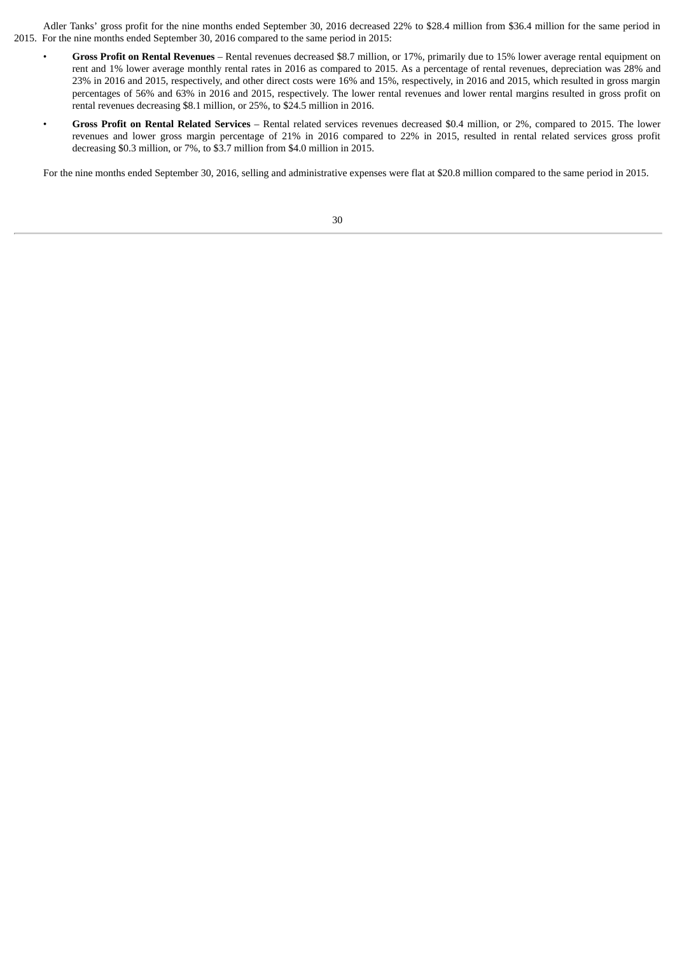Adler Tanks' gross profit for the nine months ended September 30, 2016 decreased 22% to \$28.4 million from \$36.4 million for the same period in 2015. For the nine months ended September 30, 2016 compared to the same period in 2015:

- **Gross Profit on Rental Revenues** Rental revenues decreased \$8.7 million, or 17%, primarily due to 15% lower average rental equipment on rent and 1% lower average monthly rental rates in 2016 as compared to 2015. As a percentage of rental revenues, depreciation was 28% and 23% in 2016 and 2015, respectively, and other direct costs were 16% and 15%, respectively, in 2016 and 2015, which resulted in gross margin percentages of 56% and 63% in 2016 and 2015, respectively. The lower rental revenues and lower rental margins resulted in gross profit on rental revenues decreasing \$8.1 million, or 25%, to \$24.5 million in 2016.
- **Gross Profit on Rental Related Services** Rental related services revenues decreased \$0.4 million, or 2%, compared to 2015. The lower revenues and lower gross margin percentage of 21% in 2016 compared to 22% in 2015, resulted in rental related services gross profit decreasing \$0.3 million, or 7%, to \$3.7 million from \$4.0 million in 2015.

For the nine months ended September 30, 2016, selling and administrative expenses were flat at \$20.8 million compared to the same period in 2015.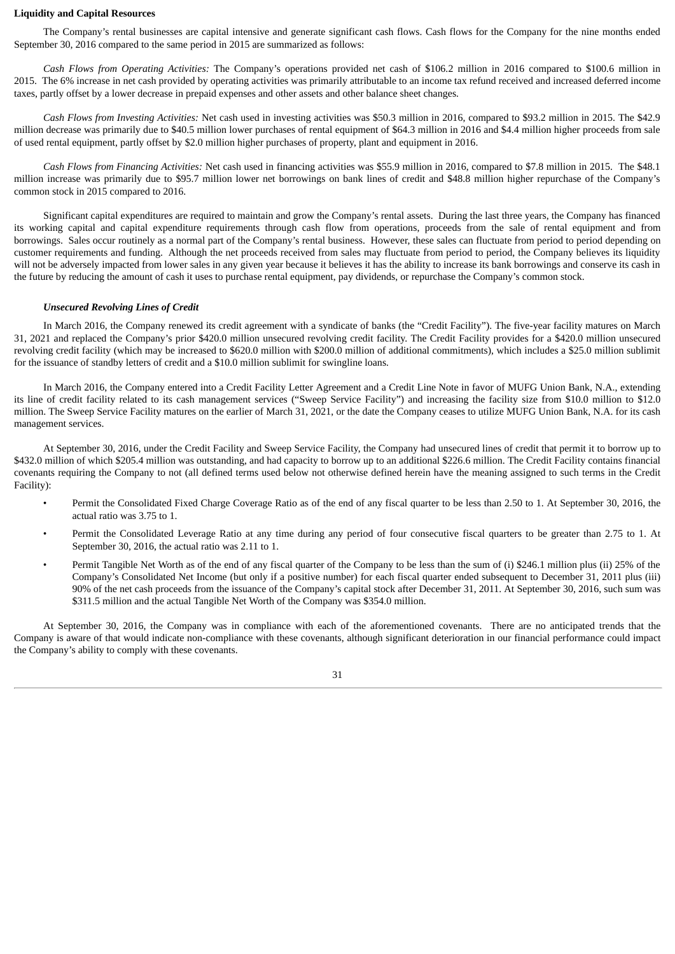# **Liquidity and Capital Resources**

The Company's rental businesses are capital intensive and generate significant cash flows. Cash flows for the Company for the nine months ended September 30, 2016 compared to the same period in 2015 are summarized as follows:

*Cash Flows from Operating Activities:* The Company's operations provided net cash of \$106.2 million in 2016 compared to \$100.6 million in 2015. The 6% increase in net cash provided by operating activities was primarily attributable to an income tax refund received and increased deferred income taxes, partly offset by a lower decrease in prepaid expenses and other assets and other balance sheet changes.

*Cash Flows from Investing Activities:* Net cash used in investing activities was \$50.3 million in 2016, compared to \$93.2 million in 2015. The \$42.9 million decrease was primarily due to \$40.5 million lower purchases of rental equipment of \$64.3 million in 2016 and \$4.4 million higher proceeds from sale of used rental equipment, partly offset by \$2.0 million higher purchases of property, plant and equipment in 2016.

*Cash Flows from Financing Activities:* Net cash used in financing activities was \$55.9 million in 2016, compared to \$7.8 million in 2015. The \$48.1 million increase was primarily due to \$95.7 million lower net borrowings on bank lines of credit and \$48.8 million higher repurchase of the Company's common stock in 2015 compared to 2016.

Significant capital expenditures are required to maintain and grow the Company's rental assets. During the last three years, the Company has financed its working capital and capital expenditure requirements through cash flow from operations, proceeds from the sale of rental equipment and from borrowings. Sales occur routinely as a normal part of the Company's rental business. However, these sales can fluctuate from period to period depending on customer requirements and funding. Although the net proceeds received from sales may fluctuate from period to period, the Company believes its liquidity will not be adversely impacted from lower sales in any given year because it believes it has the ability to increase its bank borrowings and conserve its cash in the future by reducing the amount of cash it uses to purchase rental equipment, pay dividends, or repurchase the Company's common stock.

#### *Unsecured Revolving Lines of Credit*

In March 2016, the Company renewed its credit agreement with a syndicate of banks (the "Credit Facility"). The five-year facility matures on March 31, 2021 and replaced the Company's prior \$420.0 million unsecured revolving credit facility. The Credit Facility provides for a \$420.0 million unsecured revolving credit facility (which may be increased to \$620.0 million with \$200.0 million of additional commitments), which includes a \$25.0 million sublimit for the issuance of standby letters of credit and a \$10.0 million sublimit for swingline loans.

In March 2016, the Company entered into a Credit Facility Letter Agreement and a Credit Line Note in favor of MUFG Union Bank, N.A., extending its line of credit facility related to its cash management services ("Sweep Service Facility") and increasing the facility size from \$10.0 million to \$12.0 million. The Sweep Service Facility matures on the earlier of March 31, 2021, or the date the Company ceases to utilize MUFG Union Bank, N.A. for its cash management services.

At September 30, 2016, under the Credit Facility and Sweep Service Facility, the Company had unsecured lines of credit that permit it to borrow up to \$432.0 million of which \$205.4 million was outstanding, and had capacity to borrow up to an additional \$226.6 million. The Credit Facility contains financial covenants requiring the Company to not (all defined terms used below not otherwise defined herein have the meaning assigned to such terms in the Credit Facility):

- Permit the Consolidated Fixed Charge Coverage Ratio as of the end of any fiscal quarter to be less than 2.50 to 1. At September 30, 2016, the actual ratio was 3.75 to 1.
- Permit the Consolidated Leverage Ratio at any time during any period of four consecutive fiscal quarters to be greater than 2.75 to 1. At September 30, 2016, the actual ratio was 2.11 to 1.
- Permit Tangible Net Worth as of the end of any fiscal quarter of the Company to be less than the sum of (i) \$246.1 million plus (ii) 25% of the Company's Consolidated Net Income (but only if a positive number) for each fiscal quarter ended subsequent to December 31, 2011 plus (iii) 90% of the net cash proceeds from the issuance of the Company's capital stock after December 31, 2011. At September 30, 2016, such sum was \$311.5 million and the actual Tangible Net Worth of the Company was \$354.0 million.

At September 30, 2016, the Company was in compliance with each of the aforementioned covenants. There are no anticipated trends that the Company is aware of that would indicate non-compliance with these covenants, although significant deterioration in our financial performance could impact the Company's ability to comply with these covenants.

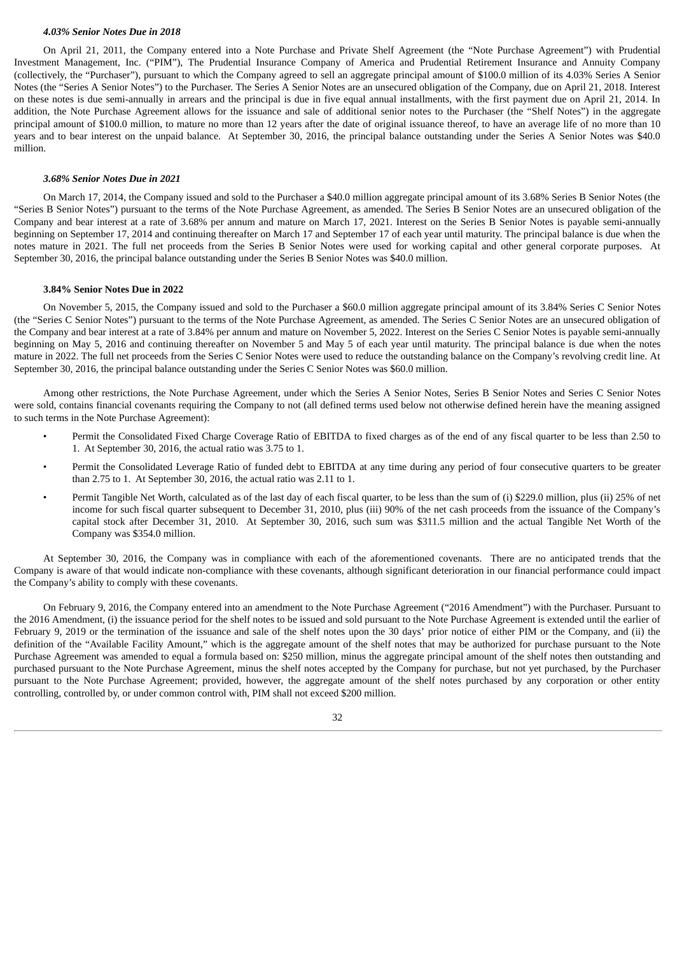#### *4.03% Senior Notes Due in 2018*

On April 21, 2011, the Company entered into a Note Purchase and Private Shelf Agreement (the "Note Purchase Agreement") with Prudential Investment Management, Inc. ("PIM"), The Prudential Insurance Company of America and Prudential Retirement Insurance and Annuity Company (collectively, the "Purchaser"), pursuant to which the Company agreed to sell an aggregate principal amount of \$100.0 million of its 4.03% Series A Senior Notes (the "Series A Senior Notes") to the Purchaser. The Series A Senior Notes are an unsecured obligation of the Company, due on April 21, 2018. Interest on these notes is due semi-annually in arrears and the principal is due in five equal annual installments, with the first payment due on April 21, 2014. In addition, the Note Purchase Agreement allows for the issuance and sale of additional senior notes to the Purchaser (the "Shelf Notes") in the aggregate principal amount of \$100.0 million, to mature no more than 12 years after the date of original issuance thereof, to have an average life of no more than 10 years and to bear interest on the unpaid balance. At September 30, 2016, the principal balance outstanding under the Series A Senior Notes was \$40.0 million.

#### *3.68% Senior Notes Due in 2021*

On March 17, 2014, the Company issued and sold to the Purchaser a \$40.0 million aggregate principal amount of its 3.68% Series B Senior Notes (the "Series B Senior Notes") pursuant to the terms of the Note Purchase Agreement, as amended. The Series B Senior Notes are an unsecured obligation of the Company and bear interest at a rate of 3.68% per annum and mature on March 17, 2021. Interest on the Series B Senior Notes is payable semi-annually beginning on September 17, 2014 and continuing thereafter on March 17 and September 17 of each year until maturity. The principal balance is due when the notes mature in 2021. The full net proceeds from the Series B Senior Notes were used for working capital and other general corporate purposes. At September 30, 2016, the principal balance outstanding under the Series B Senior Notes was \$40.0 million.

#### **3.84% Senior Notes Due in 2022**

On November 5, 2015, the Company issued and sold to the Purchaser a \$60.0 million aggregate principal amount of its 3.84% Series C Senior Notes (the "Series C Senior Notes") pursuant to the terms of the Note Purchase Agreement, as amended. The Series C Senior Notes are an unsecured obligation of the Company and bear interest at a rate of 3.84% per annum and mature on November 5, 2022. Interest on the Series C Senior Notes is payable semi-annually beginning on May 5, 2016 and continuing thereafter on November 5 and May 5 of each year until maturity. The principal balance is due when the notes mature in 2022. The full net proceeds from the Series C Senior Notes were used to reduce the outstanding balance on the Company's revolving credit line. At September 30, 2016, the principal balance outstanding under the Series C Senior Notes was \$60.0 million.

Among other restrictions, the Note Purchase Agreement, under which the Series A Senior Notes, Series B Senior Notes and Series C Senior Notes were sold, contains financial covenants requiring the Company to not (all defined terms used below not otherwise defined herein have the meaning assigned to such terms in the Note Purchase Agreement):

- Permit the Consolidated Fixed Charge Coverage Ratio of EBITDA to fixed charges as of the end of any fiscal quarter to be less than 2.50 to 1. At September 30, 2016, the actual ratio was 3.75 to 1.
- Permit the Consolidated Leverage Ratio of funded debt to EBITDA at any time during any period of four consecutive quarters to be greater than 2.75 to 1. At September 30, 2016, the actual ratio was 2.11 to 1.
- Permit Tangible Net Worth, calculated as of the last day of each fiscal quarter, to be less than the sum of (i) \$229.0 million, plus (ii) 25% of net income for such fiscal quarter subsequent to December 31, 2010, plus (iii) 90% of the net cash proceeds from the issuance of the Company's capital stock after December 31, 2010. At September 30, 2016, such sum was \$311.5 million and the actual Tangible Net Worth of the Company was \$354.0 million.

At September 30, 2016, the Company was in compliance with each of the aforementioned covenants. There are no anticipated trends that the Company is aware of that would indicate non-compliance with these covenants, although significant deterioration in our financial performance could impact the Company's ability to comply with these covenants.

On February 9, 2016, the Company entered into an amendment to the Note Purchase Agreement ("2016 Amendment") with the Purchaser. Pursuant to the 2016 Amendment, (i) the issuance period for the shelf notes to be issued and sold pursuant to the Note Purchase Agreement is extended until the earlier of February 9, 2019 or the termination of the issuance and sale of the shelf notes upon the 30 days' prior notice of either PIM or the Company, and (ii) the definition of the "Available Facility Amount," which is the aggregate amount of the shelf notes that may be authorized for purchase pursuant to the Note Purchase Agreement was amended to equal a formula based on: \$250 million, minus the aggregate principal amount of the shelf notes then outstanding and purchased pursuant to the Note Purchase Agreement, minus the shelf notes accepted by the Company for purchase, but not yet purchased, by the Purchaser pursuant to the Note Purchase Agreement; provided, however, the aggregate amount of the shelf notes purchased by any corporation or other entity controlling, controlled by, or under common control with, PIM shall not exceed \$200 million.

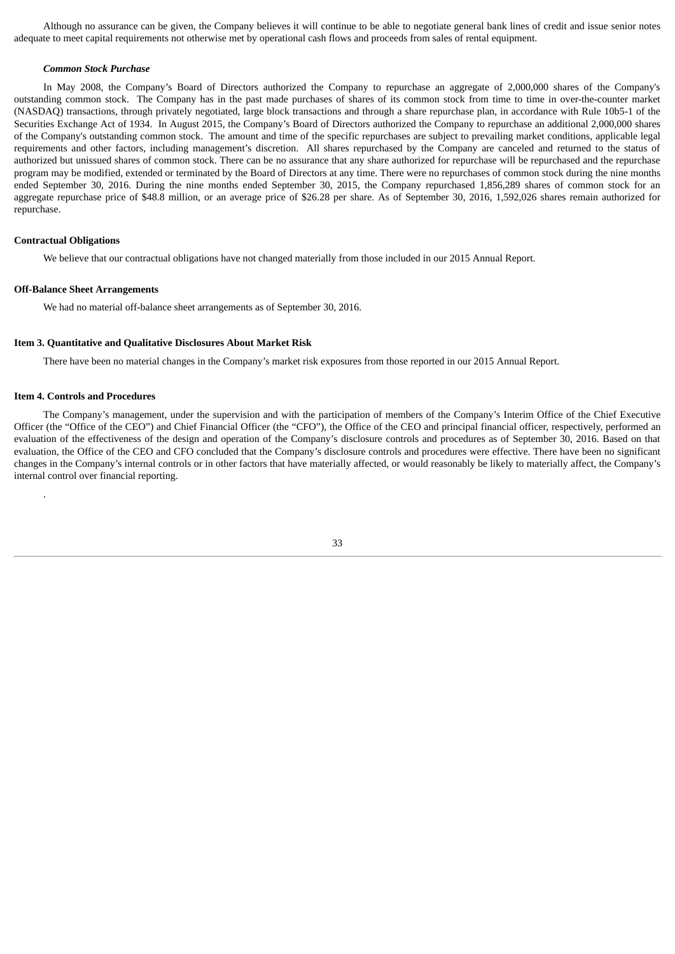Although no assurance can be given, the Company believes it will continue to be able to negotiate general bank lines of credit and issue senior notes adequate to meet capital requirements not otherwise met by operational cash flows and proceeds from sales of rental equipment.

#### *Common Stock Purchase*

In May 2008, the Company's Board of Directors authorized the Company to repurchase an aggregate of 2,000,000 shares of the Company's outstanding common stock. The Company has in the past made purchases of shares of its common stock from time to time in over-the-counter market (NASDAQ) transactions, through privately negotiated, large block transactions and through a share repurchase plan, in accordance with Rule 10b5-1 of the Securities Exchange Act of 1934. In August 2015, the Company's Board of Directors authorized the Company to repurchase an additional 2,000,000 shares of the Company's outstanding common stock. The amount and time of the specific repurchases are subject to prevailing market conditions, applicable legal requirements and other factors, including management's discretion. All shares repurchased by the Company are canceled and returned to the status of authorized but unissued shares of common stock. There can be no assurance that any share authorized for repurchase will be repurchased and the repurchase program may be modified, extended or terminated by the Board of Directors at any time. There were no repurchases of common stock during the nine months ended September 30, 2016. During the nine months ended September 30, 2015, the Company repurchased 1,856,289 shares of common stock for an aggregate repurchase price of \$48.8 million, or an average price of \$26.28 per share. As of September 30, 2016, 1,592,026 shares remain authorized for repurchase.

# **Contractual Obligations**

We believe that our contractual obligations have not changed materially from those included in our 2015 Annual Report.

#### **Off-Balance Sheet Arrangements**

We had no material off-balance sheet arrangements as of September 30, 2016.

#### **Item 3. Quantitative and Qualitative Disclosures About Market Risk**

There have been no material changes in the Company's market risk exposures from those reported in our 2015 Annual Report.

#### **Item 4. Controls and Procedures**

.

The Company's management, under the supervision and with the participation of members of the Company's Interim Office of the Chief Executive Officer (the "Office of the CEO") and Chief Financial Officer (the "CFO"), the Office of the CEO and principal financial officer, respectively, performed an evaluation of the effectiveness of the design and operation of the Company's disclosure controls and procedures as of September 30, 2016. Based on that evaluation, the Office of the CEO and CFO concluded that the Company's disclosure controls and procedures were effective. There have been no significant changes in the Company's internal controls or in other factors that have materially affected, or would reasonably be likely to materially affect, the Company's internal control over financial reporting.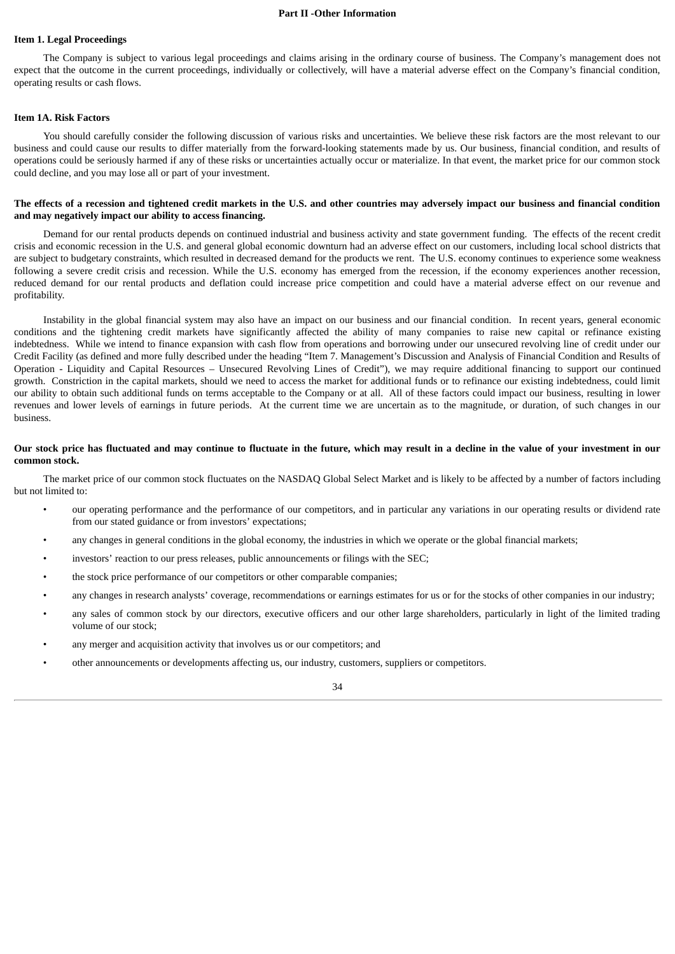#### **Part II -Other Information**

#### **Item 1. Legal Proceedings**

The Company is subject to various legal proceedings and claims arising in the ordinary course of business. The Company's management does not expect that the outcome in the current proceedings, individually or collectively, will have a material adverse effect on the Company's financial condition, operating results or cash flows.

# **Item 1A. Risk Factors**

You should carefully consider the following discussion of various risks and uncertainties. We believe these risk factors are the most relevant to our business and could cause our results to differ materially from the forward-looking statements made by us. Our business, financial condition, and results of operations could be seriously harmed if any of these risks or uncertainties actually occur or materialize. In that event, the market price for our common stock could decline, and you may lose all or part of your investment.

# The effects of a recession and tightened credit markets in the U.S. and other countries may adversely impact our business and financial condition **and may negatively impact our ability to access financing.**

Demand for our rental products depends on continued industrial and business activity and state government funding. The effects of the recent credit crisis and economic recession in the U.S. and general global economic downturn had an adverse effect on our customers, including local school districts that are subject to budgetary constraints, which resulted in decreased demand for the products we rent. The U.S. economy continues to experience some weakness following a severe credit crisis and recession. While the U.S. economy has emerged from the recession, if the economy experiences another recession, reduced demand for our rental products and deflation could increase price competition and could have a material adverse effect on our revenue and profitability.

Instability in the global financial system may also have an impact on our business and our financial condition. In recent years, general economic conditions and the tightening credit markets have significantly affected the ability of many companies to raise new capital or refinance existing indebtedness. While we intend to finance expansion with cash flow from operations and borrowing under our unsecured revolving line of credit under our Credit Facility (as defined and more fully described under the heading "Item 7. Management's Discussion and Analysis of Financial Condition and Results of Operation - Liquidity and Capital Resources – Unsecured Revolving Lines of Credit"), we may require additional financing to support our continued growth. Constriction in the capital markets, should we need to access the market for additional funds or to refinance our existing indebtedness, could limit our ability to obtain such additional funds on terms acceptable to the Company or at all. All of these factors could impact our business, resulting in lower revenues and lower levels of earnings in future periods. At the current time we are uncertain as to the magnitude, or duration, of such changes in our business.

# Our stock price has fluctuated and may continue to fluctuate in the future, which may result in a decline in the value of your investment in our **common stock.**

The market price of our common stock fluctuates on the NASDAQ Global Select Market and is likely to be affected by a number of factors including but not limited to:

- our operating performance and the performance of our competitors, and in particular any variations in our operating results or dividend rate from our stated guidance or from investors' expectations;
- any changes in general conditions in the global economy, the industries in which we operate or the global financial markets;
- investors' reaction to our press releases, public announcements or filings with the SEC;
- the stock price performance of our competitors or other comparable companies;
- any changes in research analysts' coverage, recommendations or earnings estimates for us or for the stocks of other companies in our industry;
- any sales of common stock by our directors, executive officers and our other large shareholders, particularly in light of the limited trading volume of our stock;
- any merger and acquisition activity that involves us or our competitors; and
- other announcements or developments affecting us, our industry, customers, suppliers or competitors.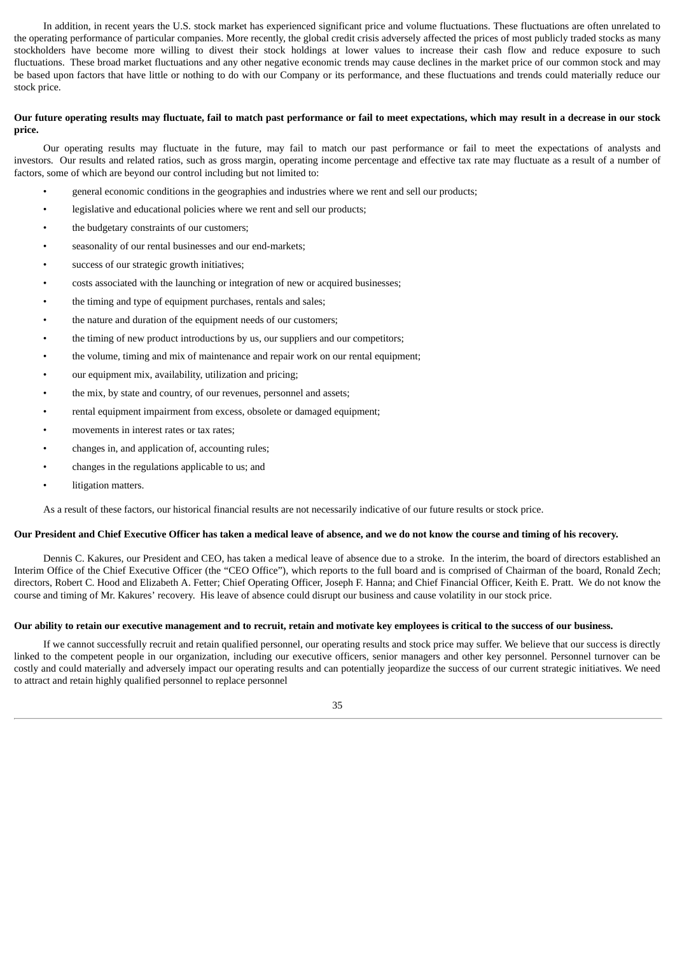In addition, in recent years the U.S. stock market has experienced significant price and volume fluctuations. These fluctuations are often unrelated to the operating performance of particular companies. More recently, the global credit crisis adversely affected the prices of most publicly traded stocks as many stockholders have become more willing to divest their stock holdings at lower values to increase their cash flow and reduce exposure to such fluctuations. These broad market fluctuations and any other negative economic trends may cause declines in the market price of our common stock and may be based upon factors that have little or nothing to do with our Company or its performance, and these fluctuations and trends could materially reduce our stock price.

# Our future operating results may fluctuate, fail to match past performance or fail to meet expectations, which may result in a decrease in our stock **price.**

Our operating results may fluctuate in the future, may fail to match our past performance or fail to meet the expectations of analysts and investors. Our results and related ratios, such as gross margin, operating income percentage and effective tax rate may fluctuate as a result of a number of factors, some of which are beyond our control including but not limited to:

- general economic conditions in the geographies and industries where we rent and sell our products;
- legislative and educational policies where we rent and sell our products;
- the budgetary constraints of our customers;
- seasonality of our rental businesses and our end-markets;
- success of our strategic growth initiatives;
- costs associated with the launching or integration of new or acquired businesses;
- the timing and type of equipment purchases, rentals and sales;
- the nature and duration of the equipment needs of our customers;
- the timing of new product introductions by us, our suppliers and our competitors;
- the volume, timing and mix of maintenance and repair work on our rental equipment;
- our equipment mix, availability, utilization and pricing;
- the mix, by state and country, of our revenues, personnel and assets;
- rental equipment impairment from excess, obsolete or damaged equipment;
- movements in interest rates or tax rates;
- changes in, and application of, accounting rules;
- changes in the regulations applicable to us; and
- litigation matters.

As a result of these factors, our historical financial results are not necessarily indicative of our future results or stock price.

# Our President and Chief Executive Officer has taken a medical leave of absence, and we do not know the course and timing of his recovery.

Dennis C. Kakures, our President and CEO, has taken a medical leave of absence due to a stroke. In the interim, the board of directors established an Interim Office of the Chief Executive Officer (the "CEO Office"), which reports to the full board and is comprised of Chairman of the board, Ronald Zech; directors, Robert C. Hood and Elizabeth A. Fetter; Chief Operating Officer, Joseph F. Hanna; and Chief Financial Officer, Keith E. Pratt. We do not know the course and timing of Mr. Kakures' recovery. His leave of absence could disrupt our business and cause volatility in our stock price.

# Our ability to retain our executive management and to recruit, retain and motivate key employees is critical to the success of our business.

If we cannot successfully recruit and retain qualified personnel, our operating results and stock price may suffer. We believe that our success is directly linked to the competent people in our organization, including our executive officers, senior managers and other key personnel. Personnel turnover can be costly and could materially and adversely impact our operating results and can potentially jeopardize the success of our current strategic initiatives. We need to attract and retain highly qualified personnel to replace personnel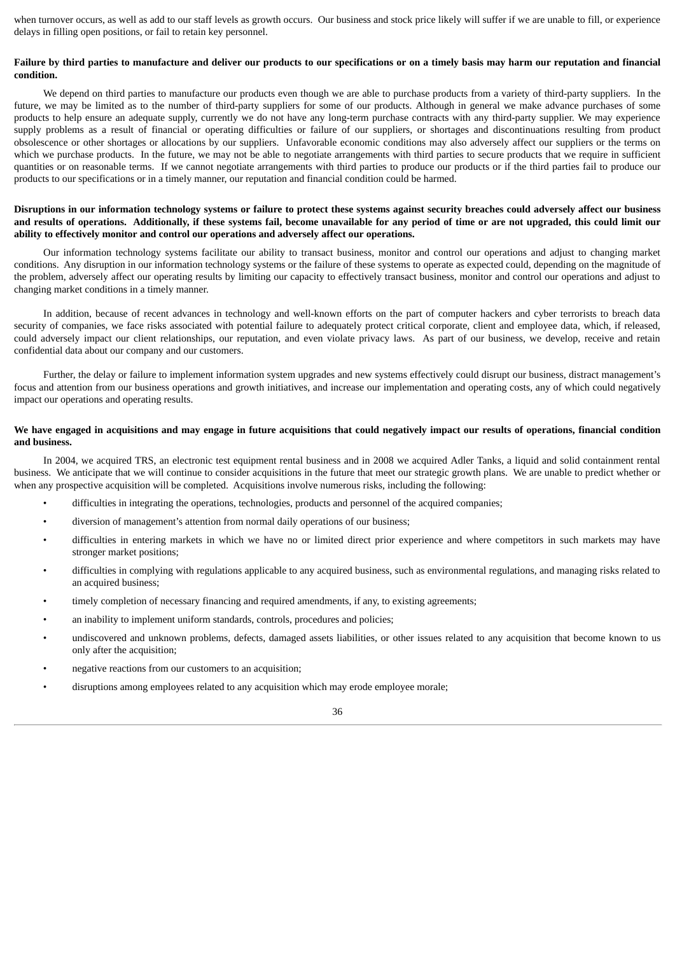when turnover occurs, as well as add to our staff levels as growth occurs. Our business and stock price likely will suffer if we are unable to fill, or experience delays in filling open positions, or fail to retain key personnel.

#### Failure by third parties to manufacture and deliver our products to our specifications or on a timely basis may harm our reputation and financial **condition.**

We depend on third parties to manufacture our products even though we are able to purchase products from a variety of third-party suppliers. In the future, we may be limited as to the number of third-party suppliers for some of our products. Although in general we make advance purchases of some products to help ensure an adequate supply, currently we do not have any long-term purchase contracts with any third-party supplier. We may experience supply problems as a result of financial or operating difficulties or failure of our suppliers, or shortages and discontinuations resulting from product obsolescence or other shortages or allocations by our suppliers. Unfavorable economic conditions may also adversely affect our suppliers or the terms on which we purchase products. In the future, we may not be able to negotiate arrangements with third parties to secure products that we require in sufficient quantities or on reasonable terms. If we cannot negotiate arrangements with third parties to produce our products or if the third parties fail to produce our products to our specifications or in a timely manner, our reputation and financial condition could be harmed.

# Disruptions in our information technology systems or failure to protect these systems against security breaches could adversely affect our business and results of operations. Additionally, if these systems fail, become unavailable for any period of time or are not upgraded, this could limit our **ability to effectively monitor and control our operations and adversely affect our operations.**

Our information technology systems facilitate our ability to transact business, monitor and control our operations and adjust to changing market conditions. Any disruption in our information technology systems or the failure of these systems to operate as expected could, depending on the magnitude of the problem, adversely affect our operating results by limiting our capacity to effectively transact business, monitor and control our operations and adjust to changing market conditions in a timely manner.

In addition, because of recent advances in technology and well-known efforts on the part of computer hackers and cyber terrorists to breach data security of companies, we face risks associated with potential failure to adequately protect critical corporate, client and employee data, which, if released, could adversely impact our client relationships, our reputation, and even violate privacy laws. As part of our business, we develop, receive and retain confidential data about our company and our customers.

Further, the delay or failure to implement information system upgrades and new systems effectively could disrupt our business, distract management's focus and attention from our business operations and growth initiatives, and increase our implementation and operating costs, any of which could negatively impact our operations and operating results.

# We have engaged in acquisitions and may engage in future acquisitions that could negatively impact our results of operations, financial condition **and business.**

In 2004, we acquired TRS, an electronic test equipment rental business and in 2008 we acquired Adler Tanks, a liquid and solid containment rental business. We anticipate that we will continue to consider acquisitions in the future that meet our strategic growth plans. We are unable to predict whether or when any prospective acquisition will be completed. Acquisitions involve numerous risks, including the following:

- difficulties in integrating the operations, technologies, products and personnel of the acquired companies;
- diversion of management's attention from normal daily operations of our business;
- difficulties in entering markets in which we have no or limited direct prior experience and where competitors in such markets may have stronger market positions;
- difficulties in complying with regulations applicable to any acquired business, such as environmental regulations, and managing risks related to an acquired business;
- timely completion of necessary financing and required amendments, if any, to existing agreements;
- an inability to implement uniform standards, controls, procedures and policies;
- undiscovered and unknown problems, defects, damaged assets liabilities, or other issues related to any acquisition that become known to us only after the acquisition;
- negative reactions from our customers to an acquisition;
- disruptions among employees related to any acquisition which may erode employee morale;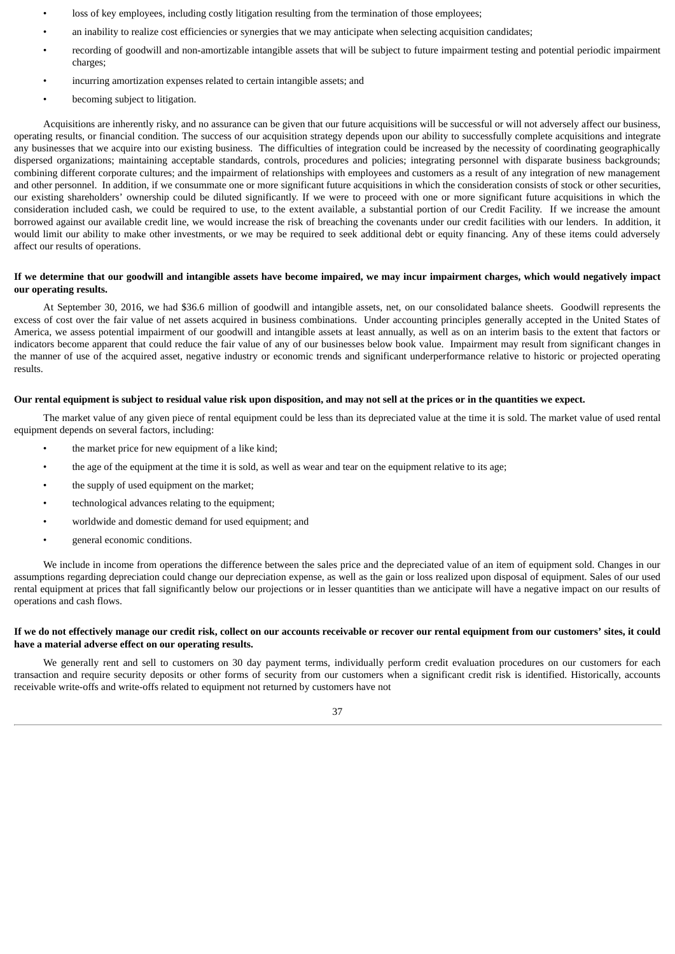- loss of key employees, including costly litigation resulting from the termination of those employees;
- an inability to realize cost efficiencies or synergies that we may anticipate when selecting acquisition candidates;
- recording of goodwill and non-amortizable intangible assets that will be subject to future impairment testing and potential periodic impairment charges;
- incurring amortization expenses related to certain intangible assets; and
- becoming subject to litigation.

Acquisitions are inherently risky, and no assurance can be given that our future acquisitions will be successful or will not adversely affect our business, operating results, or financial condition. The success of our acquisition strategy depends upon our ability to successfully complete acquisitions and integrate any businesses that we acquire into our existing business. The difficulties of integration could be increased by the necessity of coordinating geographically dispersed organizations; maintaining acceptable standards, controls, procedures and policies; integrating personnel with disparate business backgrounds; combining different corporate cultures; and the impairment of relationships with employees and customers as a result of any integration of new management and other personnel. In addition, if we consummate one or more significant future acquisitions in which the consideration consists of stock or other securities, our existing shareholders' ownership could be diluted significantly. If we were to proceed with one or more significant future acquisitions in which the consideration included cash, we could be required to use, to the extent available, a substantial portion of our Credit Facility. If we increase the amount borrowed against our available credit line, we would increase the risk of breaching the covenants under our credit facilities with our lenders. In addition, it would limit our ability to make other investments, or we may be required to seek additional debt or equity financing. Any of these items could adversely affect our results of operations.

# If we determine that our goodwill and intangible assets have become impaired, we may incur impairment charges, which would negatively impact **our operating results.**

At September 30, 2016, we had \$36.6 million of goodwill and intangible assets, net, on our consolidated balance sheets. Goodwill represents the excess of cost over the fair value of net assets acquired in business combinations. Under accounting principles generally accepted in the United States of America, we assess potential impairment of our goodwill and intangible assets at least annually, as well as on an interim basis to the extent that factors or indicators become apparent that could reduce the fair value of any of our businesses below book value. Impairment may result from significant changes in the manner of use of the acquired asset, negative industry or economic trends and significant underperformance relative to historic or projected operating results.

#### Our rental equipment is subject to residual value risk upon disposition, and may not sell at the prices or in the quantities we expect.

The market value of any given piece of rental equipment could be less than its depreciated value at the time it is sold. The market value of used rental equipment depends on several factors, including:

- the market price for new equipment of a like kind;
- the age of the equipment at the time it is sold, as well as wear and tear on the equipment relative to its age;
- the supply of used equipment on the market;
- technological advances relating to the equipment;
- worldwide and domestic demand for used equipment; and
- general economic conditions.

We include in income from operations the difference between the sales price and the depreciated value of an item of equipment sold. Changes in our assumptions regarding depreciation could change our depreciation expense, as well as the gain or loss realized upon disposal of equipment. Sales of our used rental equipment at prices that fall significantly below our projections or in lesser quantities than we anticipate will have a negative impact on our results of operations and cash flows.

# If we do not effectively manage our credit risk, collect on our accounts receivable or recover our rental equipment from our customers' sites, it could **have a material adverse effect on our operating results.**

We generally rent and sell to customers on 30 day payment terms, individually perform credit evaluation procedures on our customers for each transaction and require security deposits or other forms of security from our customers when a significant credit risk is identified. Historically, accounts receivable write-offs and write-offs related to equipment not returned by customers have not

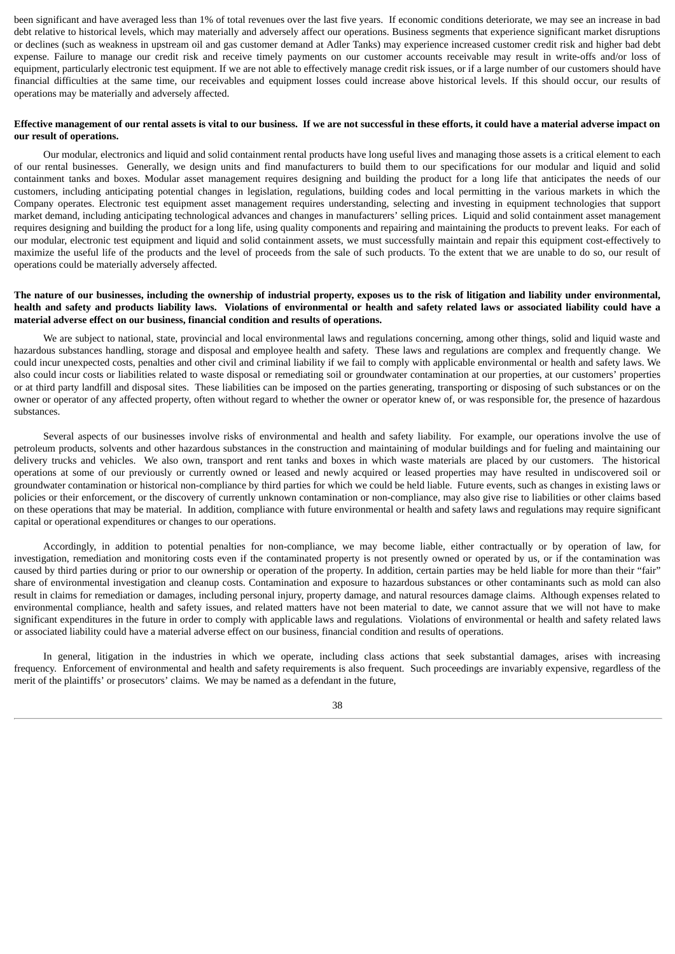been significant and have averaged less than 1% of total revenues over the last five years. If economic conditions deteriorate, we may see an increase in bad debt relative to historical levels, which may materially and adversely affect our operations. Business segments that experience significant market disruptions or declines (such as weakness in upstream oil and gas customer demand at Adler Tanks) may experience increased customer credit risk and higher bad debt expense. Failure to manage our credit risk and receive timely payments on our customer accounts receivable may result in write-offs and/or loss of equipment, particularly electronic test equipment. If we are not able to effectively manage credit risk issues, or if a large number of our customers should have financial difficulties at the same time, our receivables and equipment losses could increase above historical levels. If this should occur, our results of operations may be materially and adversely affected.

#### Effective management of our rental assets is vital to our business. If we are not successful in these efforts, it could have a material adverse impact on **our result of operations.**

Our modular, electronics and liquid and solid containment rental products have long useful lives and managing those assets is a critical element to each of our rental businesses. Generally, we design units and find manufacturers to build them to our specifications for our modular and liquid and solid containment tanks and boxes. Modular asset management requires designing and building the product for a long life that anticipates the needs of our customers, including anticipating potential changes in legislation, regulations, building codes and local permitting in the various markets in which the Company operates. Electronic test equipment asset management requires understanding, selecting and investing in equipment technologies that support market demand, including anticipating technological advances and changes in manufacturers' selling prices. Liquid and solid containment asset management requires designing and building the product for a long life, using quality components and repairing and maintaining the products to prevent leaks. For each of our modular, electronic test equipment and liquid and solid containment assets, we must successfully maintain and repair this equipment cost-effectively to maximize the useful life of the products and the level of proceeds from the sale of such products. To the extent that we are unable to do so, our result of operations could be materially adversely affected.

# The nature of our businesses, including the ownership of industrial property, exposes us to the risk of litigation and liability under environmental, health and safety and products liability laws. Violations of environmental or health and safety related laws or associated liability could have a **material adverse effect on our business, financial condition and results of operations.**

We are subject to national, state, provincial and local environmental laws and regulations concerning, among other things, solid and liquid waste and hazardous substances handling, storage and disposal and employee health and safety. These laws and regulations are complex and frequently change. We could incur unexpected costs, penalties and other civil and criminal liability if we fail to comply with applicable environmental or health and safety laws. We also could incur costs or liabilities related to waste disposal or remediating soil or groundwater contamination at our properties, at our customers' properties or at third party landfill and disposal sites. These liabilities can be imposed on the parties generating, transporting or disposing of such substances or on the owner or operator of any affected property, often without regard to whether the owner or operator knew of, or was responsible for, the presence of hazardous substances.

Several aspects of our businesses involve risks of environmental and health and safety liability. For example, our operations involve the use of petroleum products, solvents and other hazardous substances in the construction and maintaining of modular buildings and for fueling and maintaining our delivery trucks and vehicles. We also own, transport and rent tanks and boxes in which waste materials are placed by our customers. The historical operations at some of our previously or currently owned or leased and newly acquired or leased properties may have resulted in undiscovered soil or groundwater contamination or historical non-compliance by third parties for which we could be held liable. Future events, such as changes in existing laws or policies or their enforcement, or the discovery of currently unknown contamination or non-compliance, may also give rise to liabilities or other claims based on these operations that may be material. In addition, compliance with future environmental or health and safety laws and regulations may require significant capital or operational expenditures or changes to our operations.

Accordingly, in addition to potential penalties for non-compliance, we may become liable, either contractually or by operation of law, for investigation, remediation and monitoring costs even if the contaminated property is not presently owned or operated by us, or if the contamination was caused by third parties during or prior to our ownership or operation of the property. In addition, certain parties may be held liable for more than their "fair" share of environmental investigation and cleanup costs. Contamination and exposure to hazardous substances or other contaminants such as mold can also result in claims for remediation or damages, including personal injury, property damage, and natural resources damage claims. Although expenses related to environmental compliance, health and safety issues, and related matters have not been material to date, we cannot assure that we will not have to make significant expenditures in the future in order to comply with applicable laws and regulations. Violations of environmental or health and safety related laws or associated liability could have a material adverse effect on our business, financial condition and results of operations.

In general, litigation in the industries in which we operate, including class actions that seek substantial damages, arises with increasing frequency. Enforcement of environmental and health and safety requirements is also frequent. Such proceedings are invariably expensive, regardless of the merit of the plaintiffs' or prosecutors' claims. We may be named as a defendant in the future,

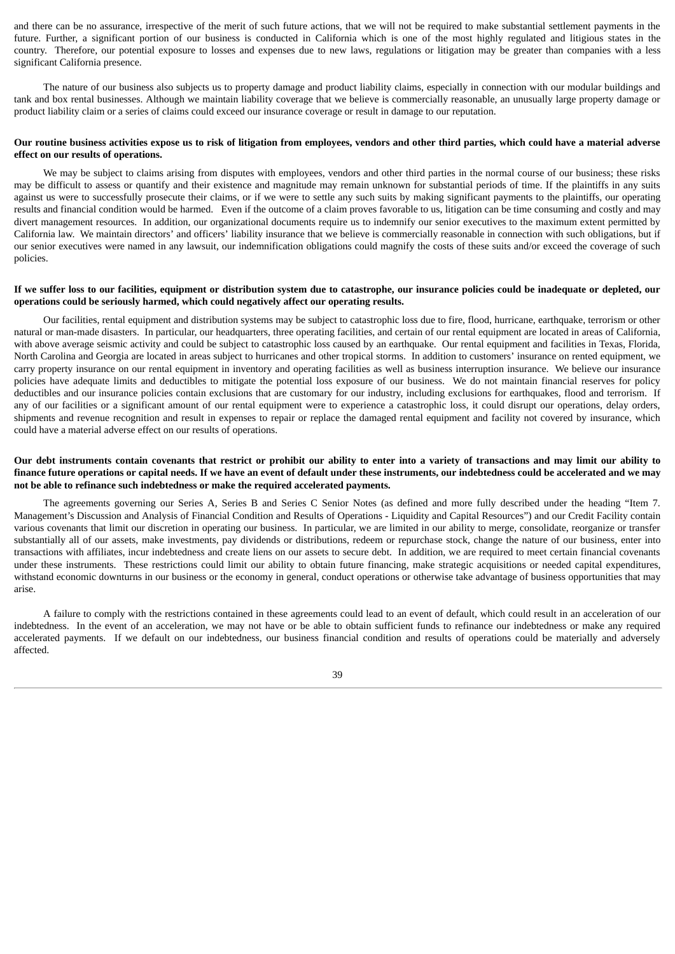and there can be no assurance, irrespective of the merit of such future actions, that we will not be required to make substantial settlement payments in the future. Further, a significant portion of our business is conducted in California which is one of the most highly regulated and litigious states in the country. Therefore, our potential exposure to losses and expenses due to new laws, regulations or litigation may be greater than companies with a less significant California presence.

The nature of our business also subjects us to property damage and product liability claims, especially in connection with our modular buildings and tank and box rental businesses. Although we maintain liability coverage that we believe is commercially reasonable, an unusually large property damage or product liability claim or a series of claims could exceed our insurance coverage or result in damage to our reputation.

# Our routine business activities expose us to risk of litigation from employees, vendors and other third parties, which could have a material adverse **effect on our results of operations.**

We may be subject to claims arising from disputes with employees, vendors and other third parties in the normal course of our business; these risks may be difficult to assess or quantify and their existence and magnitude may remain unknown for substantial periods of time. If the plaintiffs in any suits against us were to successfully prosecute their claims, or if we were to settle any such suits by making significant payments to the plaintiffs, our operating results and financial condition would be harmed. Even if the outcome of a claim proves favorable to us, litigation can be time consuming and costly and may divert management resources. In addition, our organizational documents require us to indemnify our senior executives to the maximum extent permitted by California law. We maintain directors' and officers' liability insurance that we believe is commercially reasonable in connection with such obligations, but if our senior executives were named in any lawsuit, our indemnification obligations could magnify the costs of these suits and/or exceed the coverage of such policies.

# If we suffer loss to our facilities, equipment or distribution system due to catastrophe, our insurance policies could be inadequate or depleted, our **operations could be seriously harmed, which could negatively affect our operating results.**

Our facilities, rental equipment and distribution systems may be subject to catastrophic loss due to fire, flood, hurricane, earthquake, terrorism or other natural or man-made disasters. In particular, our headquarters, three operating facilities, and certain of our rental equipment are located in areas of California, with above average seismic activity and could be subject to catastrophic loss caused by an earthquake. Our rental equipment and facilities in Texas, Florida, North Carolina and Georgia are located in areas subject to hurricanes and other tropical storms. In addition to customers' insurance on rented equipment, we carry property insurance on our rental equipment in inventory and operating facilities as well as business interruption insurance. We believe our insurance policies have adequate limits and deductibles to mitigate the potential loss exposure of our business. We do not maintain financial reserves for policy deductibles and our insurance policies contain exclusions that are customary for our industry, including exclusions for earthquakes, flood and terrorism. If any of our facilities or a significant amount of our rental equipment were to experience a catastrophic loss, it could disrupt our operations, delay orders, shipments and revenue recognition and result in expenses to repair or replace the damaged rental equipment and facility not covered by insurance, which could have a material adverse effect on our results of operations.

# Our debt instruments contain covenants that restrict or prohibit our ability to enter into a variety of transactions and may limit our ability to finance future operations or capital needs. If we have an event of default under these instruments, our indebtedness could be accelerated and we may **not be able to refinance such indebtedness or make the required accelerated payments.**

The agreements governing our Series A, Series B and Series C Senior Notes (as defined and more fully described under the heading "Item 7. Management's Discussion and Analysis of Financial Condition and Results of Operations - Liquidity and Capital Resources") and our Credit Facility contain various covenants that limit our discretion in operating our business. In particular, we are limited in our ability to merge, consolidate, reorganize or transfer substantially all of our assets, make investments, pay dividends or distributions, redeem or repurchase stock, change the nature of our business, enter into transactions with affiliates, incur indebtedness and create liens on our assets to secure debt. In addition, we are required to meet certain financial covenants under these instruments. These restrictions could limit our ability to obtain future financing, make strategic acquisitions or needed capital expenditures, withstand economic downturns in our business or the economy in general, conduct operations or otherwise take advantage of business opportunities that may arise.

A failure to comply with the restrictions contained in these agreements could lead to an event of default, which could result in an acceleration of our indebtedness. In the event of an acceleration, we may not have or be able to obtain sufficient funds to refinance our indebtedness or make any required accelerated payments. If we default on our indebtedness, our business financial condition and results of operations could be materially and adversely affected.

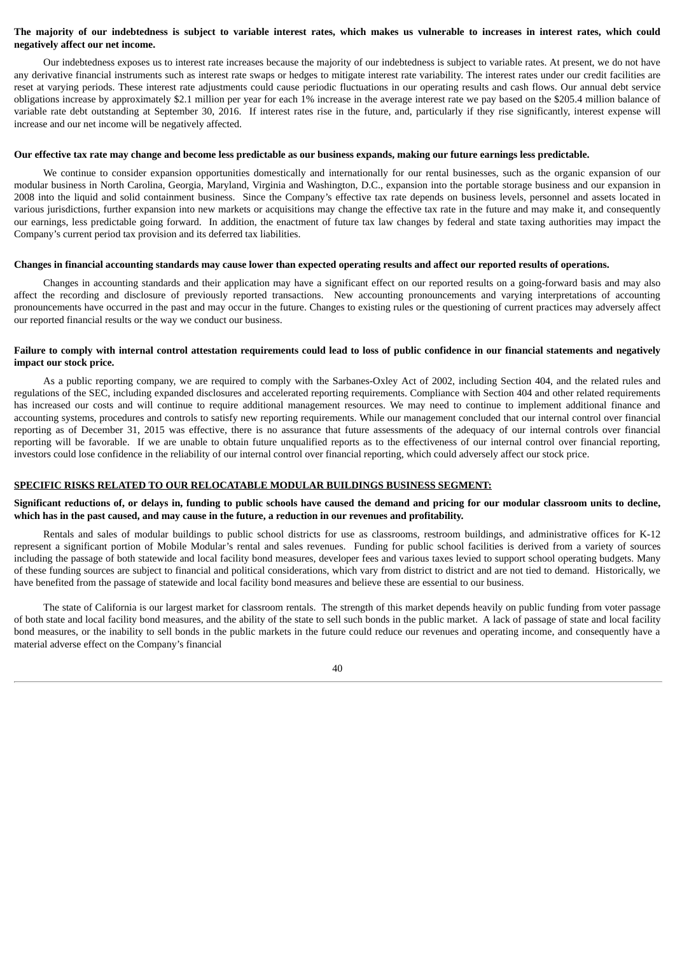# The majority of our indebtedness is subject to variable interest rates, which makes us vulnerable to increases in interest rates, which could **negatively affect our net income.**

Our indebtedness exposes us to interest rate increases because the majority of our indebtedness is subject to variable rates. At present, we do not have any derivative financial instruments such as interest rate swaps or hedges to mitigate interest rate variability. The interest rates under our credit facilities are reset at varying periods. These interest rate adjustments could cause periodic fluctuations in our operating results and cash flows. Our annual debt service obligations increase by approximately \$2.1 million per year for each 1% increase in the average interest rate we pay based on the \$205.4 million balance of variable rate debt outstanding at September 30, 2016. If interest rates rise in the future, and, particularly if they rise significantly, interest expense will increase and our net income will be negatively affected.

#### Our effective tax rate may change and become less predictable as our business expands, making our future earnings less predictable.

We continue to consider expansion opportunities domestically and internationally for our rental businesses, such as the organic expansion of our modular business in North Carolina, Georgia, Maryland, Virginia and Washington, D.C., expansion into the portable storage business and our expansion in 2008 into the liquid and solid containment business. Since the Company's effective tax rate depends on business levels, personnel and assets located in various jurisdictions, further expansion into new markets or acquisitions may change the effective tax rate in the future and may make it, and consequently our earnings, less predictable going forward. In addition, the enactment of future tax law changes by federal and state taxing authorities may impact the Company's current period tax provision and its deferred tax liabilities.

#### Changes in financial accounting standards may cause lower than expected operating results and affect our reported results of operations.

Changes in accounting standards and their application may have a significant effect on our reported results on a going-forward basis and may also affect the recording and disclosure of previously reported transactions. New accounting pronouncements and varying interpretations of accounting pronouncements have occurred in the past and may occur in the future. Changes to existing rules or the questioning of current practices may adversely affect our reported financial results or the way we conduct our business.

# Failure to comply with internal control attestation requirements could lead to loss of public confidence in our financial statements and negatively **impact our stock price.**

As a public reporting company, we are required to comply with the Sarbanes-Oxley Act of 2002, including Section 404, and the related rules and regulations of the SEC, including expanded disclosures and accelerated reporting requirements. Compliance with Section 404 and other related requirements has increased our costs and will continue to require additional management resources. We may need to continue to implement additional finance and accounting systems, procedures and controls to satisfy new reporting requirements. While our management concluded that our internal control over financial reporting as of December 31, 2015 was effective, there is no assurance that future assessments of the adequacy of our internal controls over financial reporting will be favorable. If we are unable to obtain future unqualified reports as to the effectiveness of our internal control over financial reporting, investors could lose confidence in the reliability of our internal control over financial reporting, which could adversely affect our stock price.

#### **SPECIFIC RISKS RELATED TO OUR RELOCATABLE MODULAR BUILDINGS BUSINESS SEGMENT:**

# Significant reductions of, or delays in, funding to public schools have caused the demand and pricing for our modular classroom units to decline, which has in the past caused, and may cause in the future, a reduction in our revenues and profitability.

Rentals and sales of modular buildings to public school districts for use as classrooms, restroom buildings, and administrative offices for K-12 represent a significant portion of Mobile Modular's rental and sales revenues. Funding for public school facilities is derived from a variety of sources including the passage of both statewide and local facility bond measures, developer fees and various taxes levied to support school operating budgets. Many of these funding sources are subject to financial and political considerations, which vary from district to district and are not tied to demand. Historically, we have benefited from the passage of statewide and local facility bond measures and believe these are essential to our business.

The state of California is our largest market for classroom rentals. The strength of this market depends heavily on public funding from voter passage of both state and local facility bond measures, and the ability of the state to sell such bonds in the public market. A lack of passage of state and local facility bond measures, or the inability to sell bonds in the public markets in the future could reduce our revenues and operating income, and consequently have a material adverse effect on the Company's financial

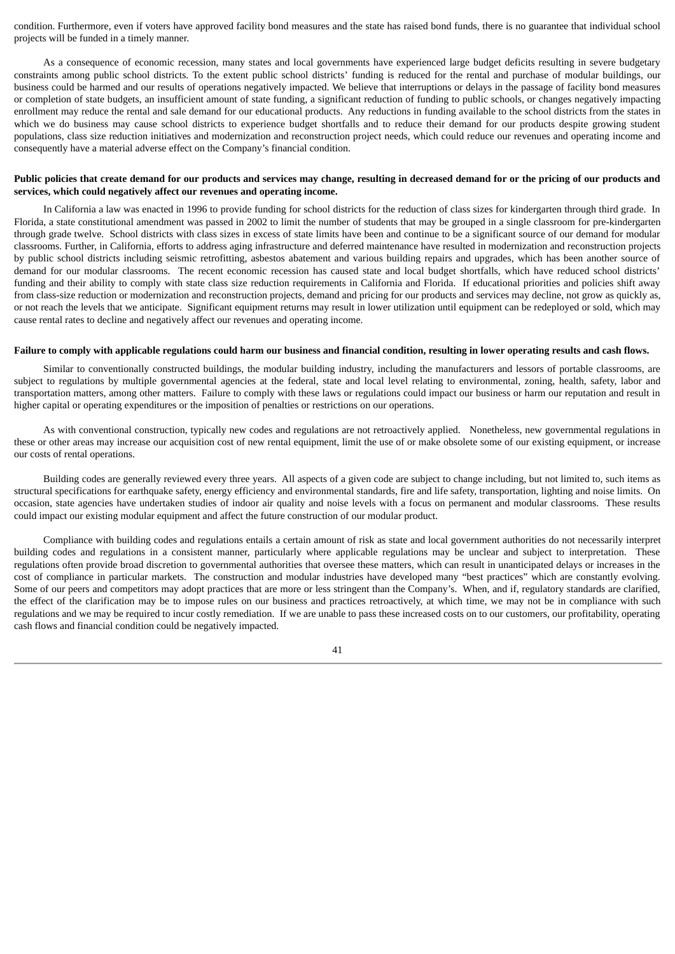condition. Furthermore, even if voters have approved facility bond measures and the state has raised bond funds, there is no guarantee that individual school projects will be funded in a timely manner.

As a consequence of economic recession, many states and local governments have experienced large budget deficits resulting in severe budgetary constraints among public school districts. To the extent public school districts' funding is reduced for the rental and purchase of modular buildings, our business could be harmed and our results of operations negatively impacted. We believe that interruptions or delays in the passage of facility bond measures or completion of state budgets, an insufficient amount of state funding, a significant reduction of funding to public schools, or changes negatively impacting enrollment may reduce the rental and sale demand for our educational products. Any reductions in funding available to the school districts from the states in which we do business may cause school districts to experience budget shortfalls and to reduce their demand for our products despite growing student populations, class size reduction initiatives and modernization and reconstruction project needs, which could reduce our revenues and operating income and consequently have a material adverse effect on the Company's financial condition.

# Public policies that create demand for our products and services may change, resulting in decreased demand for or the pricing of our products and **services, which could negatively affect our revenues and operating income.**

In California a law was enacted in 1996 to provide funding for school districts for the reduction of class sizes for kindergarten through third grade. In Florida, a state constitutional amendment was passed in 2002 to limit the number of students that may be grouped in a single classroom for pre-kindergarten through grade twelve. School districts with class sizes in excess of state limits have been and continue to be a significant source of our demand for modular classrooms. Further, in California, efforts to address aging infrastructure and deferred maintenance have resulted in modernization and reconstruction projects by public school districts including seismic retrofitting, asbestos abatement and various building repairs and upgrades, which has been another source of demand for our modular classrooms. The recent economic recession has caused state and local budget shortfalls, which have reduced school districts' funding and their ability to comply with state class size reduction requirements in California and Florida. If educational priorities and policies shift away from class-size reduction or modernization and reconstruction projects, demand and pricing for our products and services may decline, not grow as quickly as, or not reach the levels that we anticipate. Significant equipment returns may result in lower utilization until equipment can be redeployed or sold, which may cause rental rates to decline and negatively affect our revenues and operating income.

#### Failure to comply with applicable regulations could harm our business and financial condition, resulting in lower operating results and cash flows.

Similar to conventionally constructed buildings, the modular building industry, including the manufacturers and lessors of portable classrooms, are subject to regulations by multiple governmental agencies at the federal, state and local level relating to environmental, zoning, health, safety, labor and transportation matters, among other matters. Failure to comply with these laws or regulations could impact our business or harm our reputation and result in higher capital or operating expenditures or the imposition of penalties or restrictions on our operations.

As with conventional construction, typically new codes and regulations are not retroactively applied. Nonetheless, new governmental regulations in these or other areas may increase our acquisition cost of new rental equipment, limit the use of or make obsolete some of our existing equipment, or increase our costs of rental operations.

Building codes are generally reviewed every three years. All aspects of a given code are subject to change including, but not limited to, such items as structural specifications for earthquake safety, energy efficiency and environmental standards, fire and life safety, transportation, lighting and noise limits. On occasion, state agencies have undertaken studies of indoor air quality and noise levels with a focus on permanent and modular classrooms. These results could impact our existing modular equipment and affect the future construction of our modular product.

Compliance with building codes and regulations entails a certain amount of risk as state and local government authorities do not necessarily interpret building codes and regulations in a consistent manner, particularly where applicable regulations may be unclear and subject to interpretation. These regulations often provide broad discretion to governmental authorities that oversee these matters, which can result in unanticipated delays or increases in the cost of compliance in particular markets. The construction and modular industries have developed many "best practices" which are constantly evolving. Some of our peers and competitors may adopt practices that are more or less stringent than the Company's. When, and if, regulatory standards are clarified, the effect of the clarification may be to impose rules on our business and practices retroactively, at which time, we may not be in compliance with such regulations and we may be required to incur costly remediation. If we are unable to pass these increased costs on to our customers, our profitability, operating cash flows and financial condition could be negatively impacted.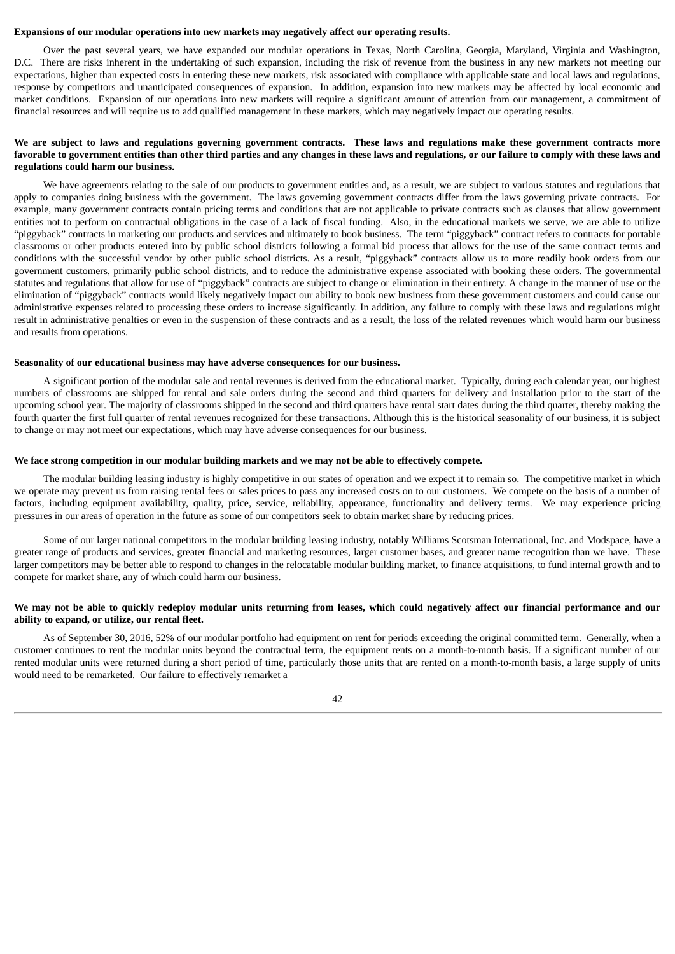#### **Expansions of our modular operations into new markets may negatively affect our operating results.**

Over the past several years, we have expanded our modular operations in Texas, North Carolina, Georgia, Maryland, Virginia and Washington, D.C. There are risks inherent in the undertaking of such expansion, including the risk of revenue from the business in any new markets not meeting our expectations, higher than expected costs in entering these new markets, risk associated with compliance with applicable state and local laws and regulations, response by competitors and unanticipated consequences of expansion. In addition, expansion into new markets may be affected by local economic and market conditions. Expansion of our operations into new markets will require a significant amount of attention from our management, a commitment of financial resources and will require us to add qualified management in these markets, which may negatively impact our operating results.

# We are subject to laws and regulations governing government contracts. These laws and regulations make these government contracts more favorable to government entities than other third parties and any changes in these laws and regulations, or our failure to comply with these laws and **regulations could harm our business.**

We have agreements relating to the sale of our products to government entities and, as a result, we are subject to various statutes and regulations that apply to companies doing business with the government. The laws governing government contracts differ from the laws governing private contracts. For example, many government contracts contain pricing terms and conditions that are not applicable to private contracts such as clauses that allow government entities not to perform on contractual obligations in the case of a lack of fiscal funding. Also, in the educational markets we serve, we are able to utilize "piggyback" contracts in marketing our products and services and ultimately to book business. The term "piggyback" contract refers to contracts for portable classrooms or other products entered into by public school districts following a formal bid process that allows for the use of the same contract terms and conditions with the successful vendor by other public school districts. As a result, "piggyback" contracts allow us to more readily book orders from our government customers, primarily public school districts, and to reduce the administrative expense associated with booking these orders. The governmental statutes and regulations that allow for use of "piggyback" contracts are subject to change or elimination in their entirety. A change in the manner of use or the elimination of "piggyback" contracts would likely negatively impact our ability to book new business from these government customers and could cause our administrative expenses related to processing these orders to increase significantly. In addition, any failure to comply with these laws and regulations might result in administrative penalties or even in the suspension of these contracts and as a result, the loss of the related revenues which would harm our business and results from operations.

#### **Seasonality of our educational business may have adverse consequences for our business.**

A significant portion of the modular sale and rental revenues is derived from the educational market. Typically, during each calendar year, our highest numbers of classrooms are shipped for rental and sale orders during the second and third quarters for delivery and installation prior to the start of the upcoming school year. The majority of classrooms shipped in the second and third quarters have rental start dates during the third quarter, thereby making the fourth quarter the first full quarter of rental revenues recognized for these transactions. Although this is the historical seasonality of our business, it is subject to change or may not meet our expectations, which may have adverse consequences for our business.

#### We face strong competition in our modular building markets and we may not be able to effectively compete.

The modular building leasing industry is highly competitive in our states of operation and we expect it to remain so. The competitive market in which we operate may prevent us from raising rental fees or sales prices to pass any increased costs on to our customers. We compete on the basis of a number of factors, including equipment availability, quality, price, service, reliability, appearance, functionality and delivery terms. We may experience pricing pressures in our areas of operation in the future as some of our competitors seek to obtain market share by reducing prices.

Some of our larger national competitors in the modular building leasing industry, notably Williams Scotsman International, Inc. and Modspace, have a greater range of products and services, greater financial and marketing resources, larger customer bases, and greater name recognition than we have. These larger competitors may be better able to respond to changes in the relocatable modular building market, to finance acquisitions, to fund internal growth and to compete for market share, any of which could harm our business.

# We may not be able to quickly redeploy modular units returning from leases, which could negatively affect our financial performance and our **ability to expand, or utilize, our rental fleet.**

As of September 30, 2016, 52% of our modular portfolio had equipment on rent for periods exceeding the original committed term. Generally, when a customer continues to rent the modular units beyond the contractual term, the equipment rents on a month-to-month basis. If a significant number of our rented modular units were returned during a short period of time, particularly those units that are rented on a month-to-month basis, a large supply of units would need to be remarketed. Our failure to effectively remarket a

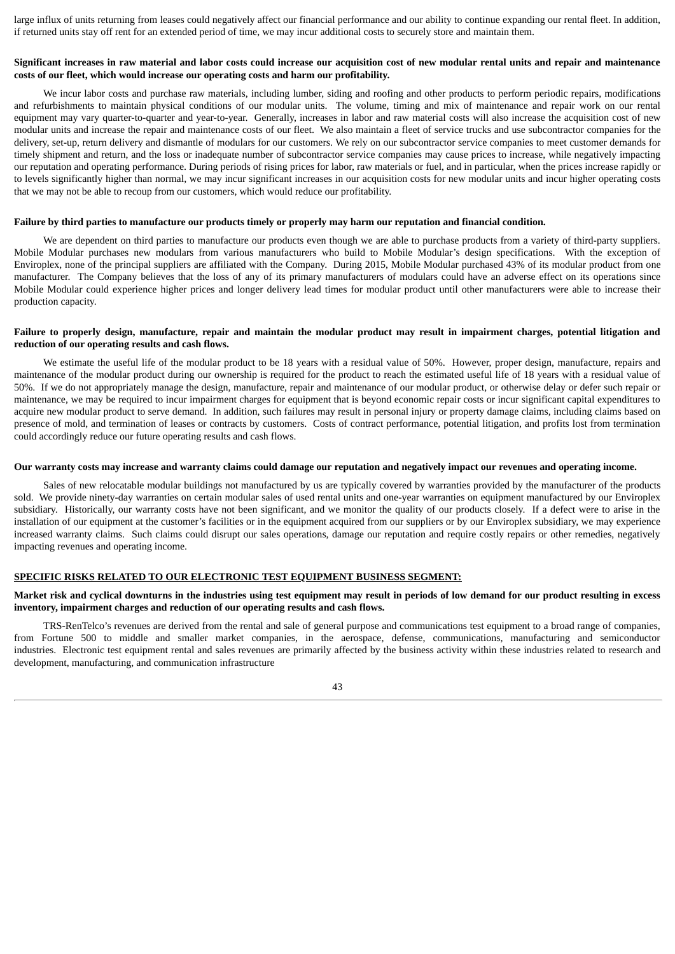large influx of units returning from leases could negatively affect our financial performance and our ability to continue expanding our rental fleet. In addition, if returned units stay off rent for an extended period of time, we may incur additional costs to securely store and maintain them.

#### Significant increases in raw material and labor costs could increase our acquisition cost of new modular rental units and repair and maintenance **costs of our fleet, which would increase our operating costs and harm our profitability.**

We incur labor costs and purchase raw materials, including lumber, siding and roofing and other products to perform periodic repairs, modifications and refurbishments to maintain physical conditions of our modular units. The volume, timing and mix of maintenance and repair work on our rental equipment may vary quarter-to-quarter and year-to-year. Generally, increases in labor and raw material costs will also increase the acquisition cost of new modular units and increase the repair and maintenance costs of our fleet. We also maintain a fleet of service trucks and use subcontractor companies for the delivery, set-up, return delivery and dismantle of modulars for our customers. We rely on our subcontractor service companies to meet customer demands for timely shipment and return, and the loss or inadequate number of subcontractor service companies may cause prices to increase, while negatively impacting our reputation and operating performance. During periods of rising prices for labor, raw materials or fuel, and in particular, when the prices increase rapidly or to levels significantly higher than normal, we may incur significant increases in our acquisition costs for new modular units and incur higher operating costs that we may not be able to recoup from our customers, which would reduce our profitability.

#### Failure by third parties to manufacture our products timely or properly may harm our reputation and financial condition.

We are dependent on third parties to manufacture our products even though we are able to purchase products from a variety of third-party suppliers. Mobile Modular purchases new modulars from various manufacturers who build to Mobile Modular's design specifications. With the exception of Enviroplex, none of the principal suppliers are affiliated with the Company. During 2015, Mobile Modular purchased 43% of its modular product from one manufacturer. The Company believes that the loss of any of its primary manufacturers of modulars could have an adverse effect on its operations since Mobile Modular could experience higher prices and longer delivery lead times for modular product until other manufacturers were able to increase their production capacity.

#### Failure to properly design, manufacture, repair and maintain the modular product may result in impairment charges, potential litigation and **reduction of our operating results and cash flows.**

We estimate the useful life of the modular product to be 18 years with a residual value of 50%. However, proper design, manufacture, repairs and maintenance of the modular product during our ownership is required for the product to reach the estimated useful life of 18 years with a residual value of 50%. If we do not appropriately manage the design, manufacture, repair and maintenance of our modular product, or otherwise delay or defer such repair or maintenance, we may be required to incur impairment charges for equipment that is beyond economic repair costs or incur significant capital expenditures to acquire new modular product to serve demand. In addition, such failures may result in personal injury or property damage claims, including claims based on presence of mold, and termination of leases or contracts by customers. Costs of contract performance, potential litigation, and profits lost from termination could accordingly reduce our future operating results and cash flows.

#### Our warranty costs may increase and warranty claims could damage our reputation and negatively impact our revenues and operating income.

Sales of new relocatable modular buildings not manufactured by us are typically covered by warranties provided by the manufacturer of the products sold. We provide ninety-day warranties on certain modular sales of used rental units and one-year warranties on equipment manufactured by our Enviroplex subsidiary. Historically, our warranty costs have not been significant, and we monitor the quality of our products closely. If a defect were to arise in the installation of our equipment at the customer's facilities or in the equipment acquired from our suppliers or by our Enviroplex subsidiary, we may experience increased warranty claims. Such claims could disrupt our sales operations, damage our reputation and require costly repairs or other remedies, negatively impacting revenues and operating income.

#### **SPECIFIC RISKS RELATED TO OUR ELECTRONIC TEST EQUIPMENT BUSINESS SEGMENT:**

#### Market risk and cyclical downturns in the industries using test equipment may result in periods of low demand for our product resulting in excess **inventory, impairment charges and reduction of our operating results and cash flows.**

TRS-RenTelco's revenues are derived from the rental and sale of general purpose and communications test equipment to a broad range of companies, from Fortune 500 to middle and smaller market companies, in the aerospace, defense, communications, manufacturing and semiconductor industries. Electronic test equipment rental and sales revenues are primarily affected by the business activity within these industries related to research and development, manufacturing, and communication infrastructure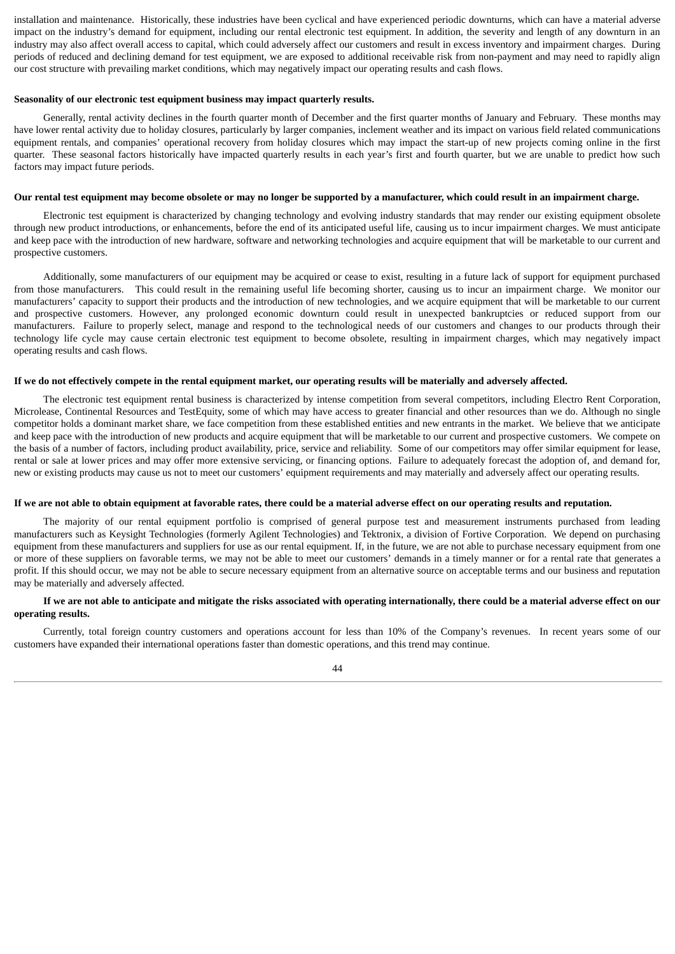installation and maintenance. Historically, these industries have been cyclical and have experienced periodic downturns, which can have a material adverse impact on the industry's demand for equipment, including our rental electronic test equipment. In addition, the severity and length of any downturn in an industry may also affect overall access to capital, which could adversely affect our customers and result in excess inventory and impairment charges. During periods of reduced and declining demand for test equipment, we are exposed to additional receivable risk from non-payment and may need to rapidly align our cost structure with prevailing market conditions, which may negatively impact our operating results and cash flows.

#### **Seasonality of our electronic test equipment business may impact quarterly results.**

Generally, rental activity declines in the fourth quarter month of December and the first quarter months of January and February. These months may have lower rental activity due to holiday closures, particularly by larger companies, inclement weather and its impact on various field related communications equipment rentals, and companies' operational recovery from holiday closures which may impact the start-up of new projects coming online in the first quarter. These seasonal factors historically have impacted quarterly results in each year's first and fourth quarter, but we are unable to predict how such factors may impact future periods.

#### Our rental test equipment may become obsolete or may no longer be supported by a manufacturer, which could result in an impairment charge.

Electronic test equipment is characterized by changing technology and evolving industry standards that may render our existing equipment obsolete through new product introductions, or enhancements, before the end of its anticipated useful life, causing us to incur impairment charges. We must anticipate and keep pace with the introduction of new hardware, software and networking technologies and acquire equipment that will be marketable to our current and prospective customers.

Additionally, some manufacturers of our equipment may be acquired or cease to exist, resulting in a future lack of support for equipment purchased from those manufacturers. This could result in the remaining useful life becoming shorter, causing us to incur an impairment charge. We monitor our manufacturers' capacity to support their products and the introduction of new technologies, and we acquire equipment that will be marketable to our current and prospective customers. However, any prolonged economic downturn could result in unexpected bankruptcies or reduced support from our manufacturers. Failure to properly select, manage and respond to the technological needs of our customers and changes to our products through their technology life cycle may cause certain electronic test equipment to become obsolete, resulting in impairment charges, which may negatively impact operating results and cash flows.

#### If we do not effectively compete in the rental equipment market, our operating results will be materially and adversely affected.

The electronic test equipment rental business is characterized by intense competition from several competitors, including Electro Rent Corporation, Microlease, Continental Resources and TestEquity, some of which may have access to greater financial and other resources than we do. Although no single competitor holds a dominant market share, we face competition from these established entities and new entrants in the market. We believe that we anticipate and keep pace with the introduction of new products and acquire equipment that will be marketable to our current and prospective customers. We compete on the basis of a number of factors, including product availability, price, service and reliability. Some of our competitors may offer similar equipment for lease, rental or sale at lower prices and may offer more extensive servicing, or financing options. Failure to adequately forecast the adoption of, and demand for, new or existing products may cause us not to meet our customers' equipment requirements and may materially and adversely affect our operating results.

#### If we are not able to obtain equipment at favorable rates, there could be a material adverse effect on our operating results and reputation.

The majority of our rental equipment portfolio is comprised of general purpose test and measurement instruments purchased from leading manufacturers such as Keysight Technologies (formerly Agilent Technologies) and Tektronix, a division of Fortive Corporation. We depend on purchasing equipment from these manufacturers and suppliers for use as our rental equipment. If, in the future, we are not able to purchase necessary equipment from one or more of these suppliers on favorable terms, we may not be able to meet our customers' demands in a timely manner or for a rental rate that generates a profit. If this should occur, we may not be able to secure necessary equipment from an alternative source on acceptable terms and our business and reputation may be materially and adversely affected.

# If we are not able to anticipate and mitigate the risks associated with operating internationally, there could be a material adverse effect on our **operating results.**

Currently, total foreign country customers and operations account for less than 10% of the Company's revenues. In recent years some of our customers have expanded their international operations faster than domestic operations, and this trend may continue.

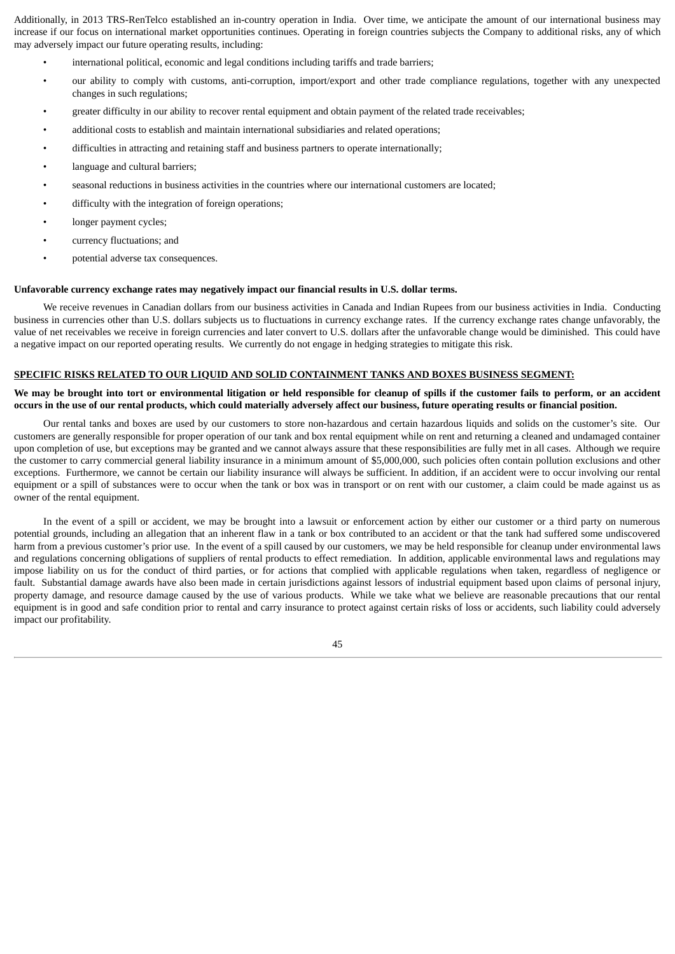Additionally, in 2013 TRS-RenTelco established an in-country operation in India. Over time, we anticipate the amount of our international business may increase if our focus on international market opportunities continues. Operating in foreign countries subjects the Company to additional risks, any of which may adversely impact our future operating results, including:

- international political, economic and legal conditions including tariffs and trade barriers;
- our ability to comply with customs, anti-corruption, import/export and other trade compliance regulations, together with any unexpected changes in such regulations;
- greater difficulty in our ability to recover rental equipment and obtain payment of the related trade receivables;
- additional costs to establish and maintain international subsidiaries and related operations;
- difficulties in attracting and retaining staff and business partners to operate internationally;
- language and cultural barriers;
- seasonal reductions in business activities in the countries where our international customers are located;
- difficulty with the integration of foreign operations;
- longer payment cycles;
- currency fluctuations; and
- potential adverse tax consequences.

#### **Unfavorable currency exchange rates may negatively impact our financial results in U.S. dollar terms.**

We receive revenues in Canadian dollars from our business activities in Canada and Indian Rupees from our business activities in India. Conducting business in currencies other than U.S. dollars subjects us to fluctuations in currency exchange rates. If the currency exchange rates change unfavorably, the value of net receivables we receive in foreign currencies and later convert to U.S. dollars after the unfavorable change would be diminished. This could have a negative impact on our reported operating results. We currently do not engage in hedging strategies to mitigate this risk.

#### **SPECIFIC RISKS RELATED TO OUR LIQUID AND SOLID CONTAINMENT TANKS AND BOXES BUSINESS SEGMENT:**

We may be brought into tort or environmental litigation or held responsible for cleanup of spills if the customer fails to perform, or an accident occurs in the use of our rental products, which could materially adversely affect our business, future operating results or financial position.

Our rental tanks and boxes are used by our customers to store non-hazardous and certain hazardous liquids and solids on the customer's site. Our customers are generally responsible for proper operation of our tank and box rental equipment while on rent and returning a cleaned and undamaged container upon completion of use, but exceptions may be granted and we cannot always assure that these responsibilities are fully met in all cases. Although we require the customer to carry commercial general liability insurance in a minimum amount of \$5,000,000, such policies often contain pollution exclusions and other exceptions. Furthermore, we cannot be certain our liability insurance will always be sufficient. In addition, if an accident were to occur involving our rental equipment or a spill of substances were to occur when the tank or box was in transport or on rent with our customer, a claim could be made against us as owner of the rental equipment.

In the event of a spill or accident, we may be brought into a lawsuit or enforcement action by either our customer or a third party on numerous potential grounds, including an allegation that an inherent flaw in a tank or box contributed to an accident or that the tank had suffered some undiscovered harm from a previous customer's prior use. In the event of a spill caused by our customers, we may be held responsible for cleanup under environmental laws and regulations concerning obligations of suppliers of rental products to effect remediation. In addition, applicable environmental laws and regulations may impose liability on us for the conduct of third parties, or for actions that complied with applicable regulations when taken, regardless of negligence or fault. Substantial damage awards have also been made in certain jurisdictions against lessors of industrial equipment based upon claims of personal injury, property damage, and resource damage caused by the use of various products. While we take what we believe are reasonable precautions that our rental equipment is in good and safe condition prior to rental and carry insurance to protect against certain risks of loss or accidents, such liability could adversely impact our profitability.

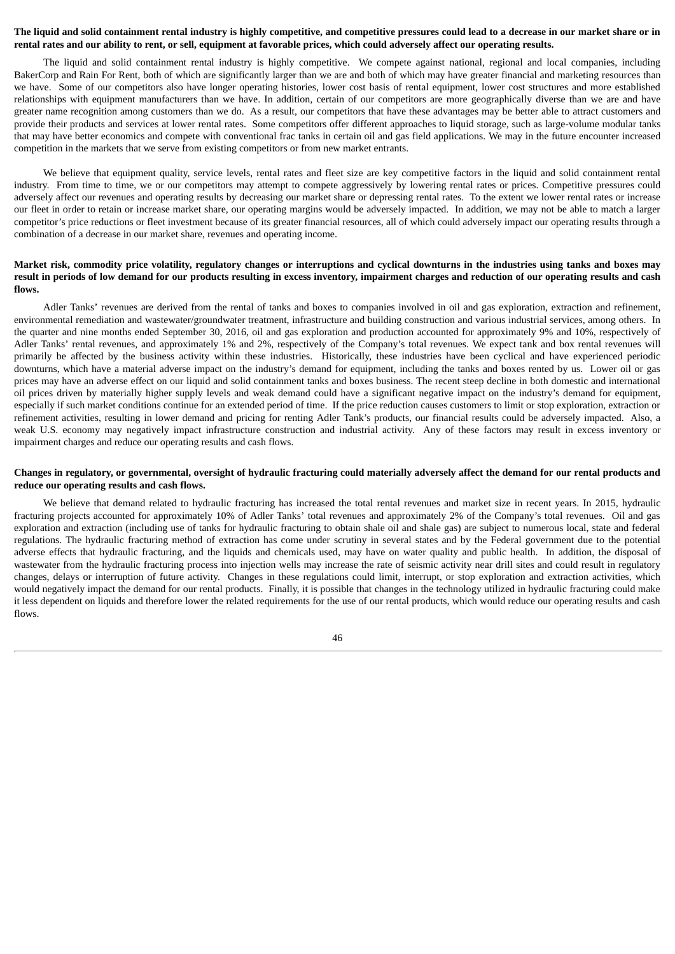# The liquid and solid containment rental industry is highly competitive, and competitive pressures could lead to a decrease in our market share or in rental rates and our ability to rent, or sell, equipment at favorable prices, which could adversely affect our operating results.

The liquid and solid containment rental industry is highly competitive. We compete against national, regional and local companies, including BakerCorp and Rain For Rent, both of which are significantly larger than we are and both of which may have greater financial and marketing resources than we have. Some of our competitors also have longer operating histories, lower cost basis of rental equipment, lower cost structures and more established relationships with equipment manufacturers than we have. In addition, certain of our competitors are more geographically diverse than we are and have greater name recognition among customers than we do. As a result, our competitors that have these advantages may be better able to attract customers and provide their products and services at lower rental rates. Some competitors offer different approaches to liquid storage, such as large-volume modular tanks that may have better economics and compete with conventional frac tanks in certain oil and gas field applications. We may in the future encounter increased competition in the markets that we serve from existing competitors or from new market entrants.

We believe that equipment quality, service levels, rental rates and fleet size are key competitive factors in the liquid and solid containment rental industry. From time to time, we or our competitors may attempt to compete aggressively by lowering rental rates or prices. Competitive pressures could adversely affect our revenues and operating results by decreasing our market share or depressing rental rates. To the extent we lower rental rates or increase our fleet in order to retain or increase market share, our operating margins would be adversely impacted. In addition, we may not be able to match a larger competitor's price reductions or fleet investment because of its greater financial resources, all of which could adversely impact our operating results through a combination of a decrease in our market share, revenues and operating income.

# Market risk, commodity price volatility, regulatory changes or interruptions and cyclical downturns in the industries using tanks and boxes may result in periods of low demand for our products resulting in excess inventory, impairment charges and reduction of our operating results and cash **flows.**

Adler Tanks' revenues are derived from the rental of tanks and boxes to companies involved in oil and gas exploration, extraction and refinement, environmental remediation and wastewater/groundwater treatment, infrastructure and building construction and various industrial services, among others. In the quarter and nine months ended September 30, 2016, oil and gas exploration and production accounted for approximately 9% and 10%, respectively of Adler Tanks' rental revenues, and approximately 1% and 2%, respectively of the Company's total revenues. We expect tank and box rental revenues will primarily be affected by the business activity within these industries. Historically, these industries have been cyclical and have experienced periodic downturns, which have a material adverse impact on the industry's demand for equipment, including the tanks and boxes rented by us. Lower oil or gas prices may have an adverse effect on our liquid and solid containment tanks and boxes business. The recent steep decline in both domestic and international oil prices driven by materially higher supply levels and weak demand could have a significant negative impact on the industry's demand for equipment, especially if such market conditions continue for an extended period of time. If the price reduction causes customers to limit or stop exploration, extraction or refinement activities, resulting in lower demand and pricing for renting Adler Tank's products, our financial results could be adversely impacted. Also, a weak U.S. economy may negatively impact infrastructure construction and industrial activity. Any of these factors may result in excess inventory or impairment charges and reduce our operating results and cash flows.

#### Changes in regulatory, or governmental, oversight of hydraulic fracturing could materially adversely affect the demand for our rental products and **reduce our operating results and cash flows.**

We believe that demand related to hydraulic fracturing has increased the total rental revenues and market size in recent years. In 2015, hydraulic fracturing projects accounted for approximately 10% of Adler Tanks' total revenues and approximately 2% of the Company's total revenues. Oil and gas exploration and extraction (including use of tanks for hydraulic fracturing to obtain shale oil and shale gas) are subject to numerous local, state and federal regulations. The hydraulic fracturing method of extraction has come under scrutiny in several states and by the Federal government due to the potential adverse effects that hydraulic fracturing, and the liquids and chemicals used, may have on water quality and public health. In addition, the disposal of wastewater from the hydraulic fracturing process into injection wells may increase the rate of seismic activity near drill sites and could result in regulatory changes, delays or interruption of future activity. Changes in these regulations could limit, interrupt, or stop exploration and extraction activities, which would negatively impact the demand for our rental products. Finally, it is possible that changes in the technology utilized in hydraulic fracturing could make it less dependent on liquids and therefore lower the related requirements for the use of our rental products, which would reduce our operating results and cash flows.

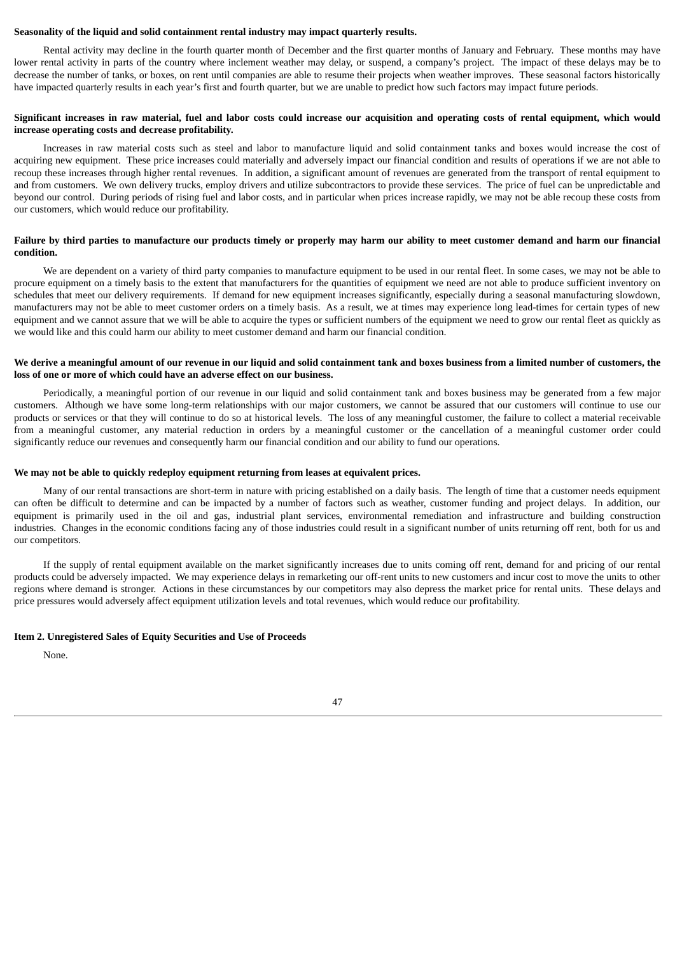#### **Seasonality of the liquid and solid containment rental industry may impact quarterly results.**

Rental activity may decline in the fourth quarter month of December and the first quarter months of January and February. These months may have lower rental activity in parts of the country where inclement weather may delay, or suspend, a company's project. The impact of these delays may be to decrease the number of tanks, or boxes, on rent until companies are able to resume their projects when weather improves. These seasonal factors historically have impacted quarterly results in each year's first and fourth quarter, but we are unable to predict how such factors may impact future periods.

# Significant increases in raw material, fuel and labor costs could increase our acquisition and operating costs of rental equipment, which would **increase operating costs and decrease profitability.**

Increases in raw material costs such as steel and labor to manufacture liquid and solid containment tanks and boxes would increase the cost of acquiring new equipment. These price increases could materially and adversely impact our financial condition and results of operations if we are not able to recoup these increases through higher rental revenues. In addition, a significant amount of revenues are generated from the transport of rental equipment to and from customers. We own delivery trucks, employ drivers and utilize subcontractors to provide these services. The price of fuel can be unpredictable and beyond our control. During periods of rising fuel and labor costs, and in particular when prices increase rapidly, we may not be able recoup these costs from our customers, which would reduce our profitability.

# Failure by third parties to manufacture our products timely or properly may harm our ability to meet customer demand and harm our financial **condition.**

We are dependent on a variety of third party companies to manufacture equipment to be used in our rental fleet. In some cases, we may not be able to procure equipment on a timely basis to the extent that manufacturers for the quantities of equipment we need are not able to produce sufficient inventory on schedules that meet our delivery requirements. If demand for new equipment increases significantly, especially during a seasonal manufacturing slowdown, manufacturers may not be able to meet customer orders on a timely basis. As a result, we at times may experience long lead-times for certain types of new equipment and we cannot assure that we will be able to acquire the types or sufficient numbers of the equipment we need to grow our rental fleet as quickly as we would like and this could harm our ability to meet customer demand and harm our financial condition.

### We derive a meaningful amount of our revenue in our liquid and solid containment tank and boxes business from a limited number of customers, the **loss of one or more of which could have an adverse effect on our business.**

Periodically, a meaningful portion of our revenue in our liquid and solid containment tank and boxes business may be generated from a few major customers. Although we have some long-term relationships with our major customers, we cannot be assured that our customers will continue to use our products or services or that they will continue to do so at historical levels. The loss of any meaningful customer, the failure to collect a material receivable from a meaningful customer, any material reduction in orders by a meaningful customer or the cancellation of a meaningful customer order could significantly reduce our revenues and consequently harm our financial condition and our ability to fund our operations.

#### **We may not be able to quickly redeploy equipment returning from leases at equivalent prices.**

Many of our rental transactions are short-term in nature with pricing established on a daily basis. The length of time that a customer needs equipment can often be difficult to determine and can be impacted by a number of factors such as weather, customer funding and project delays. In addition, our equipment is primarily used in the oil and gas, industrial plant services, environmental remediation and infrastructure and building construction industries. Changes in the economic conditions facing any of those industries could result in a significant number of units returning off rent, both for us and our competitors.

If the supply of rental equipment available on the market significantly increases due to units coming off rent, demand for and pricing of our rental products could be adversely impacted. We may experience delays in remarketing our off-rent units to new customers and incur cost to move the units to other regions where demand is stronger. Actions in these circumstances by our competitors may also depress the market price for rental units. These delays and price pressures would adversely affect equipment utilization levels and total revenues, which would reduce our profitability.

#### **Item 2. Unregistered Sales of Equity Securities and Use of Proceeds**

None.

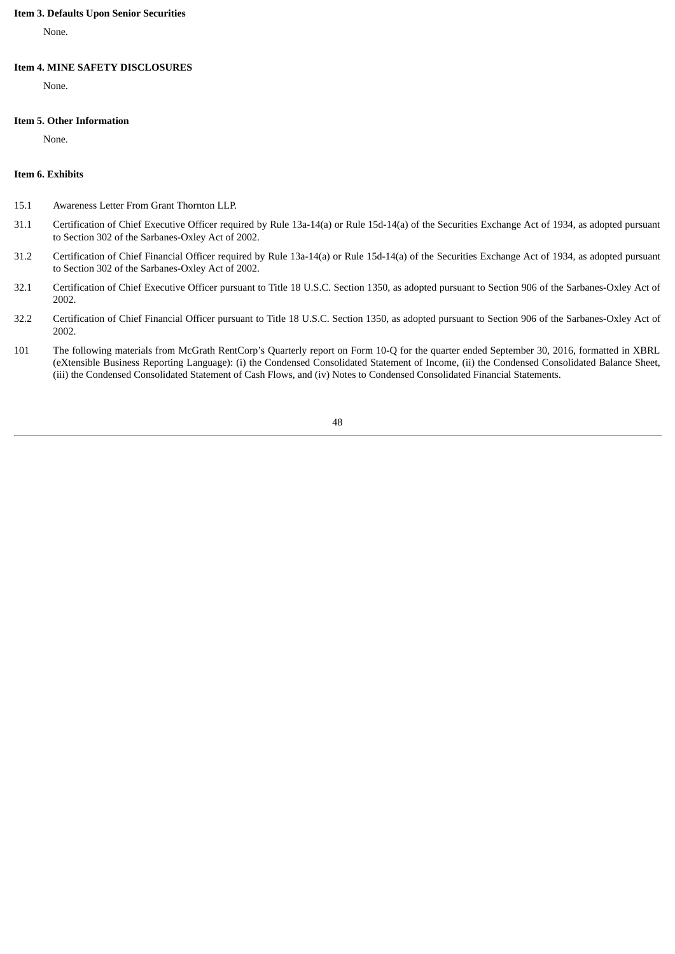# **Item 3. Defaults Upon Senior Securities**

None.

# **Item 4. MINE SAFETY DISCLOSURES**

None.

# **Item 5. Other Information**

None.

# **Item 6. Exhibits**

- 15.1 Awareness Letter From Grant Thornton LLP.
- 31.1 Certification of Chief Executive Officer required by Rule 13a-14(a) or Rule 15d-14(a) of the Securities Exchange Act of 1934, as adopted pursuant to Section 302 of the Sarbanes-Oxley Act of 2002.
- 31.2 Certification of Chief Financial Officer required by Rule 13a-14(a) or Rule 15d-14(a) of the Securities Exchange Act of 1934, as adopted pursuant to Section 302 of the Sarbanes-Oxley Act of 2002.
- 32.1 Certification of Chief Executive Officer pursuant to Title 18 U.S.C. Section 1350, as adopted pursuant to Section 906 of the Sarbanes-Oxley Act of 2002.
- 32.2 Certification of Chief Financial Officer pursuant to Title 18 U.S.C. Section 1350, as adopted pursuant to Section 906 of the Sarbanes-Oxley Act of 2002.
- 101 The following materials from McGrath RentCorp's Quarterly report on Form 10-Q for the quarter ended September 30, 2016, formatted in XBRL (eXtensible Business Reporting Language): (i) the Condensed Consolidated Statement of Income, (ii) the Condensed Consolidated Balance Sheet, (iii) the Condensed Consolidated Statement of Cash Flows, and (iv) Notes to Condensed Consolidated Financial Statements.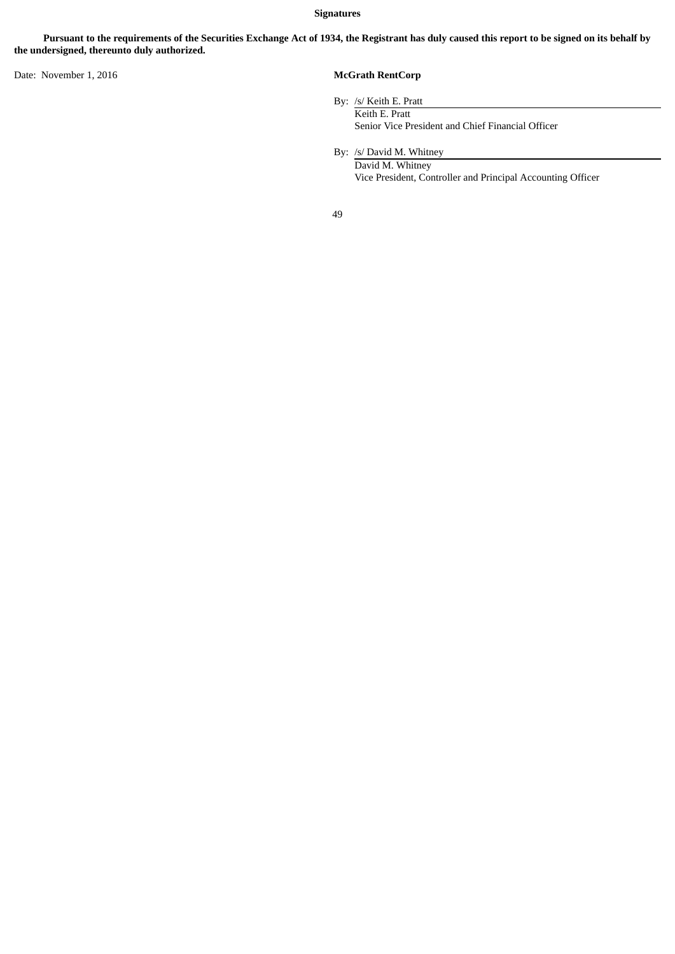# **Signatures**

Pursuant to the requirements of the Securities Exchange Act of 1934, the Registrant has duly caused this report to be signed on its behalf by **the undersigned, thereunto duly authorized.**

Date: November 1, 2016 **McGrath RentCorp** 

By: /s/ Keith E. Pratt

Keith E. Pratt Senior Vice President and Chief Financial Officer

By: /s/ David M. Whitney David M. Whitney Vice President, Controller and Principal Accounting Officer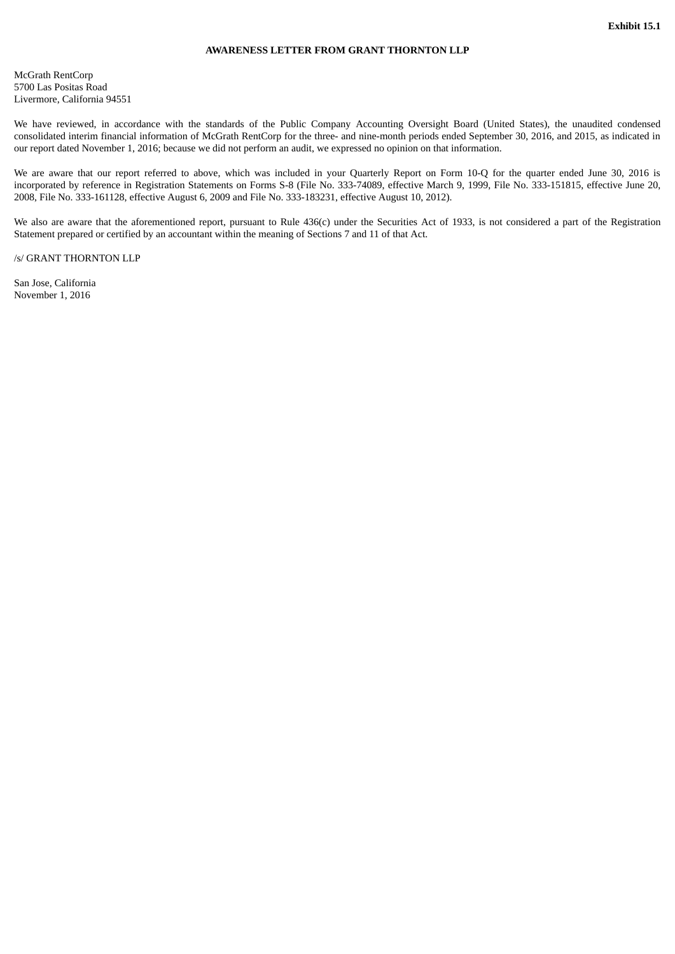#### **AWARENESS LETTER FROM GRANT THORNTON LLP**

McGrath RentCorp 5700 Las Positas Road Livermore, California 94551

We have reviewed, in accordance with the standards of the Public Company Accounting Oversight Board (United States), the unaudited condensed consolidated interim financial information of McGrath RentCorp for the three- and nine-month periods ended September 30, 2016, and 2015, as indicated in our report dated November 1, 2016; because we did not perform an audit, we expressed no opinion on that information.

We are aware that our report referred to above, which was included in your Quarterly Report on Form 10-Q for the quarter ended June 30, 2016 is incorporated by reference in Registration Statements on Forms S-8 (File No. 333-74089, effective March 9, 1999, File No. 333-151815, effective June 20, 2008, File No. 333-161128, effective August 6, 2009 and File No. 333-183231, effective August 10, 2012).

We also are aware that the aforementioned report, pursuant to Rule 436(c) under the Securities Act of 1933, is not considered a part of the Registration Statement prepared or certified by an accountant within the meaning of Sections 7 and 11 of that Act.

# /s/ GRANT THORNTON LLP

San Jose, California November 1, 2016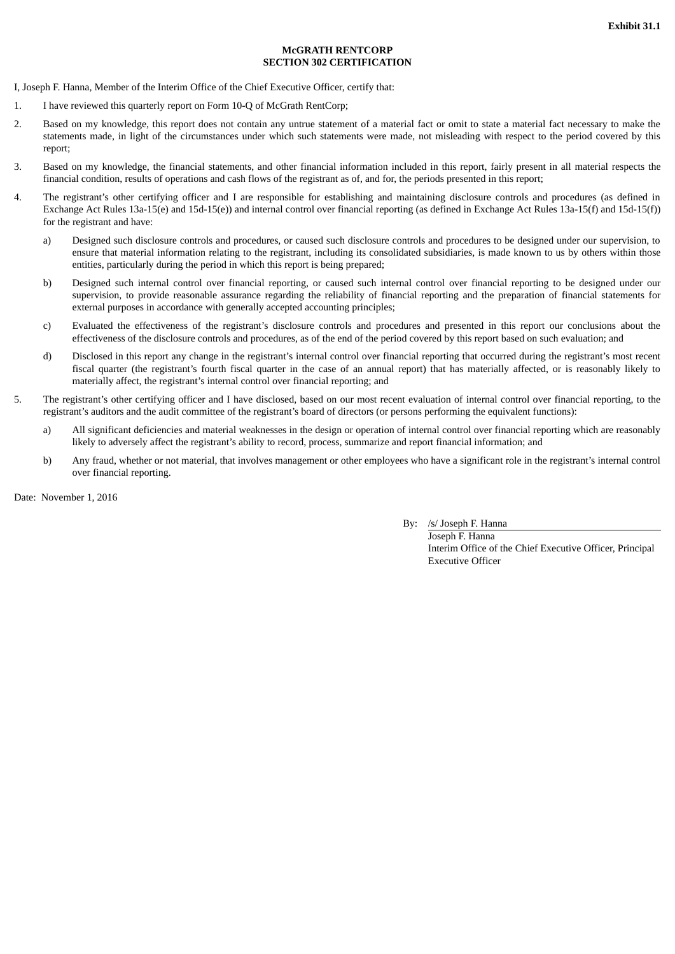# **McGRATH RENTCORP SECTION 302 CERTIFICATION**

I, Joseph F. Hanna, Member of the Interim Office of the Chief Executive Officer, certify that:

- 1. I have reviewed this quarterly report on Form 10-Q of McGrath RentCorp;
- 2. Based on my knowledge, this report does not contain any untrue statement of a material fact or omit to state a material fact necessary to make the statements made, in light of the circumstances under which such statements were made, not misleading with respect to the period covered by this report;
- 3. Based on my knowledge, the financial statements, and other financial information included in this report, fairly present in all material respects the financial condition, results of operations and cash flows of the registrant as of, and for, the periods presented in this report;
- 4. The registrant's other certifying officer and I are responsible for establishing and maintaining disclosure controls and procedures (as defined in Exchange Act Rules 13a-15(e) and 15d-15(e)) and internal control over financial reporting (as defined in Exchange Act Rules 13a-15(f) and 15d-15(f)) for the registrant and have:
	- a) Designed such disclosure controls and procedures, or caused such disclosure controls and procedures to be designed under our supervision, to ensure that material information relating to the registrant, including its consolidated subsidiaries, is made known to us by others within those entities, particularly during the period in which this report is being prepared;
	- b) Designed such internal control over financial reporting, or caused such internal control over financial reporting to be designed under our supervision, to provide reasonable assurance regarding the reliability of financial reporting and the preparation of financial statements for external purposes in accordance with generally accepted accounting principles;
	- c) Evaluated the effectiveness of the registrant's disclosure controls and procedures and presented in this report our conclusions about the effectiveness of the disclosure controls and procedures, as of the end of the period covered by this report based on such evaluation; and
	- d) Disclosed in this report any change in the registrant's internal control over financial reporting that occurred during the registrant's most recent fiscal quarter (the registrant's fourth fiscal quarter in the case of an annual report) that has materially affected, or is reasonably likely to materially affect, the registrant's internal control over financial reporting; and
- 5. The registrant's other certifying officer and I have disclosed, based on our most recent evaluation of internal control over financial reporting, to the registrant's auditors and the audit committee of the registrant's board of directors (or persons performing the equivalent functions):
	- a) All significant deficiencies and material weaknesses in the design or operation of internal control over financial reporting which are reasonably likely to adversely affect the registrant's ability to record, process, summarize and report financial information; and
	- b) Any fraud, whether or not material, that involves management or other employees who have a significant role in the registrant's internal control over financial reporting.

Date: November 1, 2016

By: /s/ Joseph F. Hanna

Joseph F. Hanna Interim Office of the Chief Executive Officer, Principal Executive Officer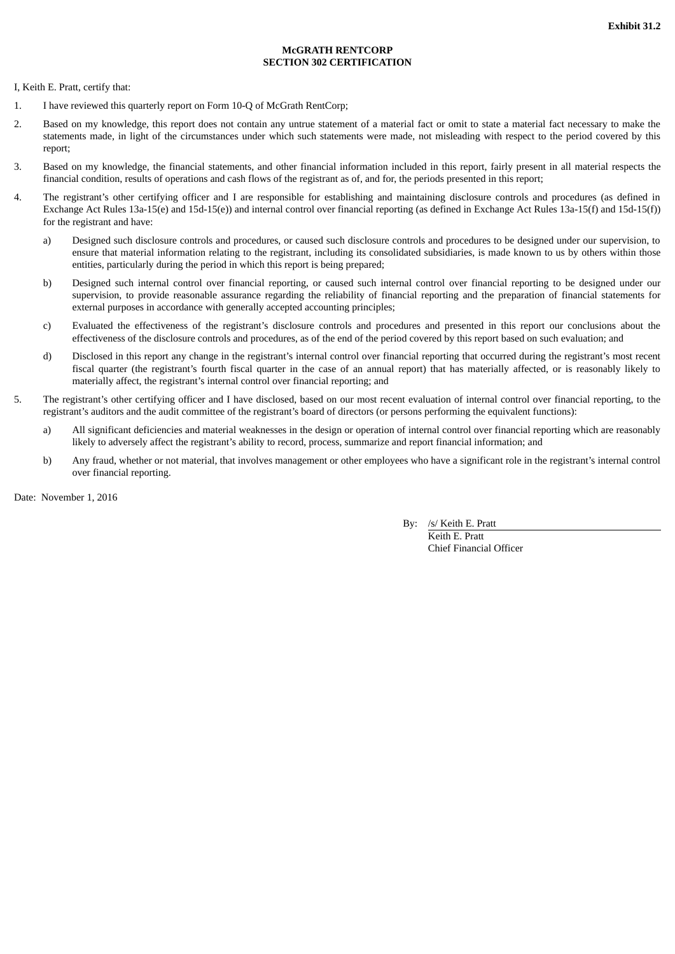# **McGRATH RENTCORP SECTION 302 CERTIFICATION**

I, Keith E. Pratt, certify that:

- 1. I have reviewed this quarterly report on Form 10-Q of McGrath RentCorp;
- 2. Based on my knowledge, this report does not contain any untrue statement of a material fact or omit to state a material fact necessary to make the statements made, in light of the circumstances under which such statements were made, not misleading with respect to the period covered by this report;
- 3. Based on my knowledge, the financial statements, and other financial information included in this report, fairly present in all material respects the financial condition, results of operations and cash flows of the registrant as of, and for, the periods presented in this report;
- 4. The registrant's other certifying officer and I are responsible for establishing and maintaining disclosure controls and procedures (as defined in Exchange Act Rules 13a-15(e) and 15d-15(e)) and internal control over financial reporting (as defined in Exchange Act Rules 13a-15(f) and 15d-15(f)) for the registrant and have:
	- a) Designed such disclosure controls and procedures, or caused such disclosure controls and procedures to be designed under our supervision, to ensure that material information relating to the registrant, including its consolidated subsidiaries, is made known to us by others within those entities, particularly during the period in which this report is being prepared;
	- b) Designed such internal control over financial reporting, or caused such internal control over financial reporting to be designed under our supervision, to provide reasonable assurance regarding the reliability of financial reporting and the preparation of financial statements for external purposes in accordance with generally accepted accounting principles;
	- c) Evaluated the effectiveness of the registrant's disclosure controls and procedures and presented in this report our conclusions about the effectiveness of the disclosure controls and procedures, as of the end of the period covered by this report based on such evaluation; and
	- d) Disclosed in this report any change in the registrant's internal control over financial reporting that occurred during the registrant's most recent fiscal quarter (the registrant's fourth fiscal quarter in the case of an annual report) that has materially affected, or is reasonably likely to materially affect, the registrant's internal control over financial reporting; and
- 5. The registrant's other certifying officer and I have disclosed, based on our most recent evaluation of internal control over financial reporting, to the registrant's auditors and the audit committee of the registrant's board of directors (or persons performing the equivalent functions):
	- a) All significant deficiencies and material weaknesses in the design or operation of internal control over financial reporting which are reasonably likely to adversely affect the registrant's ability to record, process, summarize and report financial information; and
	- b) Any fraud, whether or not material, that involves management or other employees who have a significant role in the registrant's internal control over financial reporting.

Date: November 1, 2016

By: /s/ Keith E. Pratt

Keith E. Pratt Chief Financial Officer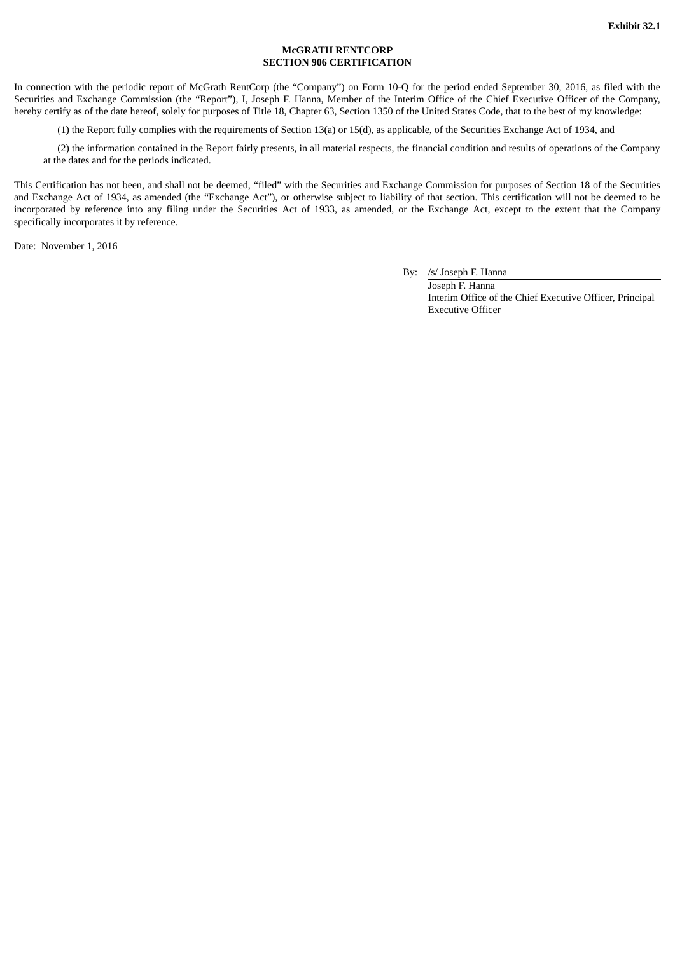# **McGRATH RENTCORP SECTION 906 CERTIFICATION**

In connection with the periodic report of McGrath RentCorp (the "Company") on Form 10-Q for the period ended September 30, 2016, as filed with the Securities and Exchange Commission (the "Report"), I, Joseph F. Hanna, Member of the Interim Office of the Chief Executive Officer of the Company, hereby certify as of the date hereof, solely for purposes of Title 18, Chapter 63, Section 1350 of the United States Code, that to the best of my knowledge:

(1) the Report fully complies with the requirements of Section 13(a) or 15(d), as applicable, of the Securities Exchange Act of 1934, and

(2) the information contained in the Report fairly presents, in all material respects, the financial condition and results of operations of the Company at the dates and for the periods indicated.

This Certification has not been, and shall not be deemed, "filed" with the Securities and Exchange Commission for purposes of Section 18 of the Securities and Exchange Act of 1934, as amended (the "Exchange Act"), or otherwise subject to liability of that section. This certification will not be deemed to be incorporated by reference into any filing under the Securities Act of 1933, as amended, or the Exchange Act, except to the extent that the Company specifically incorporates it by reference.

Date: November 1, 2016

By: /s/ Joseph F. Hanna

Joseph F. Hanna Interim Office of the Chief Executive Officer, Principal Executive Officer